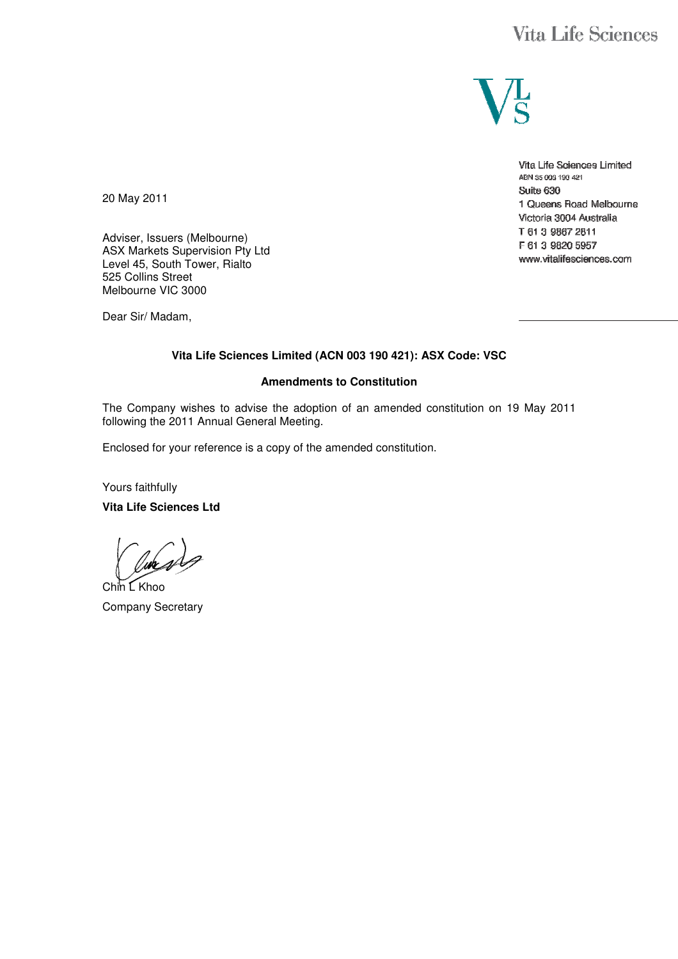# **Vita Life Sciences**



Vita Life Sciences Limited ABN 35 003 190 421 Suite 630 1 Queens Road Melbourne Victoria 3004 Australia T 61 3 9867 2811 F 61 3 9820 5957 www.vitalifesciences.com

20 May 2011

Adviser, Issuers (Melbourne) ASX Markets Supervision Pty Ltd Level 45, South Tower, Rialto 525 Collins Street Melbourne VIC 3000

Dear Sir/ Madam,

#### **Vita Life Sciences Limited (ACN 003 190 421): ASX Code: VSC**

#### **Amendments to Constitution**

The Company wishes to advise the adoption of an amended constitution on 19 May 2011 following the 2011 Annual General Meeting.

Enclosed for your reference is a copy of the amended constitution.

Yours faithfully

**Vita Life Sciences Ltd** 

Chin L Khoo Company Secretary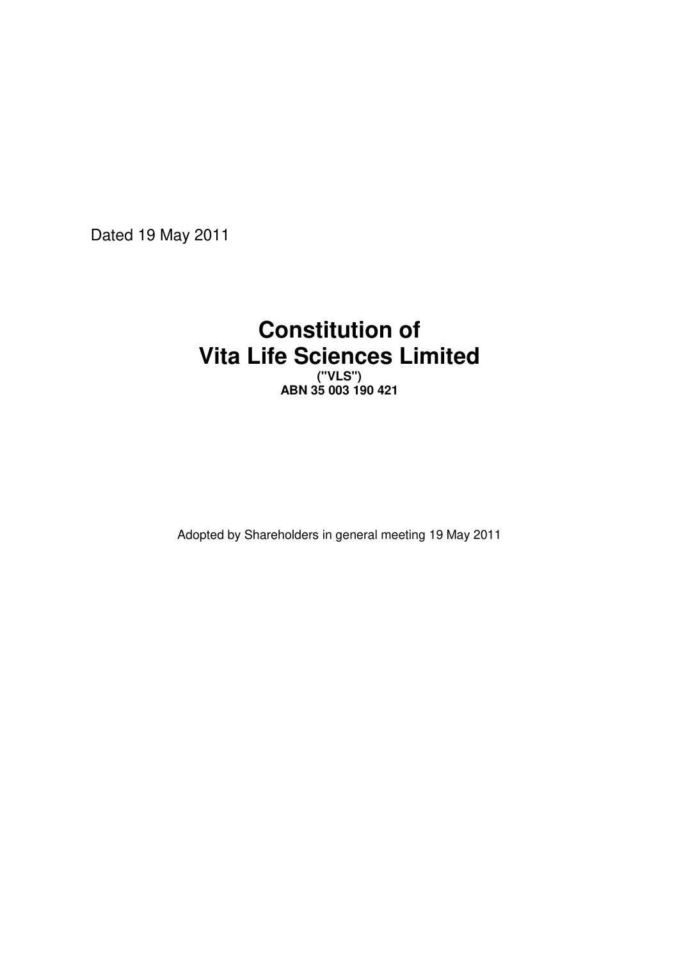Dated 19 May 2011

# **Constitution of Vita Life Sciences Limited**

**("VLS") ABN 35 003 190 421** 

Adopted by Shareholders in general meeting 19 May 2011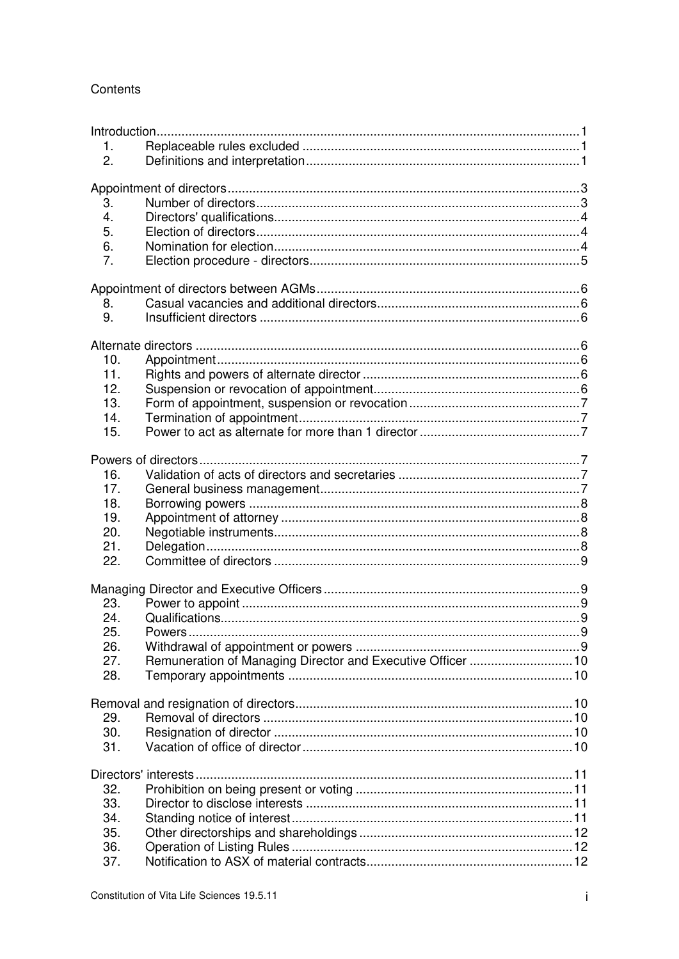# Contents

| 1.               |                                                             |  |
|------------------|-------------------------------------------------------------|--|
| 2.               |                                                             |  |
|                  |                                                             |  |
|                  |                                                             |  |
| 3.               |                                                             |  |
| $\overline{4}$ . |                                                             |  |
| 5.               |                                                             |  |
| 6.               |                                                             |  |
| 7.               |                                                             |  |
|                  |                                                             |  |
|                  |                                                             |  |
| 8.               |                                                             |  |
| 9.               |                                                             |  |
|                  |                                                             |  |
|                  |                                                             |  |
| 10.              |                                                             |  |
| 11.              |                                                             |  |
| 12.              |                                                             |  |
| 13.              |                                                             |  |
| 14.              |                                                             |  |
| 15.              |                                                             |  |
|                  |                                                             |  |
|                  |                                                             |  |
| 16.              |                                                             |  |
| 17.              |                                                             |  |
| 18.              |                                                             |  |
| 19.              |                                                             |  |
| 20.              |                                                             |  |
| 21.              |                                                             |  |
| 22.              |                                                             |  |
|                  |                                                             |  |
|                  |                                                             |  |
| 23.              |                                                             |  |
| 24.              |                                                             |  |
| 25               | . 9<br>Powers                                               |  |
| 26.              |                                                             |  |
| 27.              | Remuneration of Managing Director and Executive Officer  10 |  |
| 28.              |                                                             |  |
|                  |                                                             |  |
|                  |                                                             |  |
| 29.              |                                                             |  |
| 30.              |                                                             |  |
| 31.              |                                                             |  |
|                  |                                                             |  |
|                  |                                                             |  |
| 32.              |                                                             |  |
| 33.              |                                                             |  |
| 34.              |                                                             |  |
| 35.              |                                                             |  |
|                  |                                                             |  |
| 36.              |                                                             |  |
| 37.              |                                                             |  |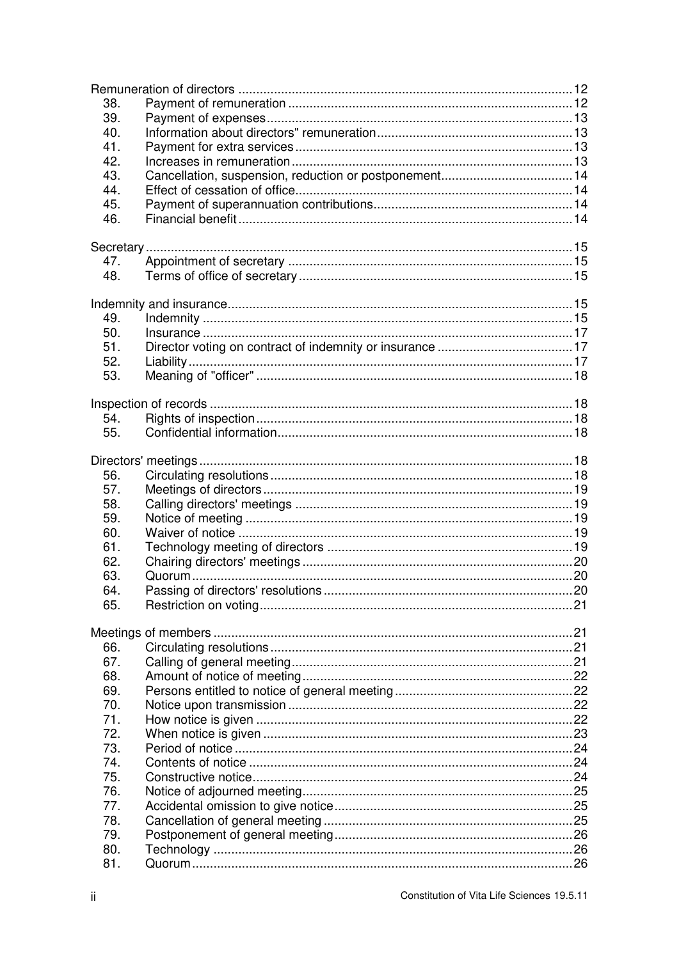| 38. |  |
|-----|--|
| 39. |  |
| 40. |  |
| 41. |  |
| 42. |  |
| 43. |  |
| 44. |  |
| 45. |  |
| 46. |  |
|     |  |
|     |  |
| 47. |  |
| 48. |  |
|     |  |
|     |  |
| 49. |  |
| 50. |  |
| 51. |  |
| 52. |  |
| 53. |  |
|     |  |
|     |  |
| 54. |  |
| 55. |  |
|     |  |
|     |  |
| 56. |  |
| 57. |  |
| 58. |  |
| 59. |  |
| 60. |  |
| 61. |  |
| 62. |  |
| 63. |  |
| 64  |  |
| 65. |  |
|     |  |
|     |  |
| 66. |  |
| 67. |  |
| 68. |  |
| 69. |  |
| 70. |  |
| 71. |  |
| 72. |  |
| 73. |  |
| 74. |  |
| 75. |  |
| 76. |  |
| 77. |  |
| 78. |  |
| 79. |  |
| 80. |  |
| 81. |  |
|     |  |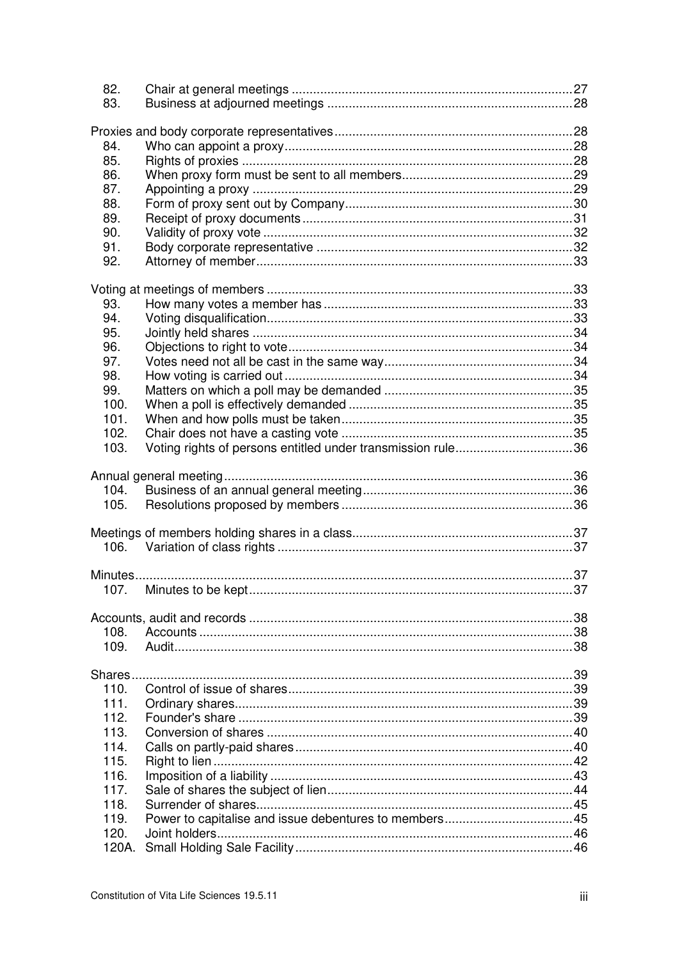| 82.            |                                                             |  |
|----------------|-------------------------------------------------------------|--|
| 83.            |                                                             |  |
|                |                                                             |  |
| 84.            |                                                             |  |
| 85.            |                                                             |  |
| 86.            |                                                             |  |
| 87.            |                                                             |  |
| 88.            |                                                             |  |
| 89.            |                                                             |  |
| 90.            |                                                             |  |
| 91.            |                                                             |  |
| 92.            |                                                             |  |
|                |                                                             |  |
|                |                                                             |  |
| 93.            |                                                             |  |
| 94.            |                                                             |  |
| 95.            |                                                             |  |
| 96.            |                                                             |  |
| 97.            |                                                             |  |
| 98.            |                                                             |  |
| 99.            |                                                             |  |
| 100.<br>101.   |                                                             |  |
| 102.           |                                                             |  |
| 103.           | Voting rights of persons entitled under transmission rule36 |  |
|                |                                                             |  |
|                |                                                             |  |
| 104.           |                                                             |  |
| 105.           |                                                             |  |
|                |                                                             |  |
|                |                                                             |  |
| 106.           |                                                             |  |
|                |                                                             |  |
| 107.           | Minutes to be kept.                                         |  |
|                |                                                             |  |
|                |                                                             |  |
| 108.           |                                                             |  |
| 109.           |                                                             |  |
|                |                                                             |  |
| Shares<br>110. |                                                             |  |
| 111.           |                                                             |  |
| 112.           |                                                             |  |
| 113.           |                                                             |  |
| 114.           |                                                             |  |
| 115.           |                                                             |  |
| 116.           |                                                             |  |
| 117.           |                                                             |  |
| 118.           |                                                             |  |
| 119.           |                                                             |  |
| 120.           |                                                             |  |
|                |                                                             |  |
|                |                                                             |  |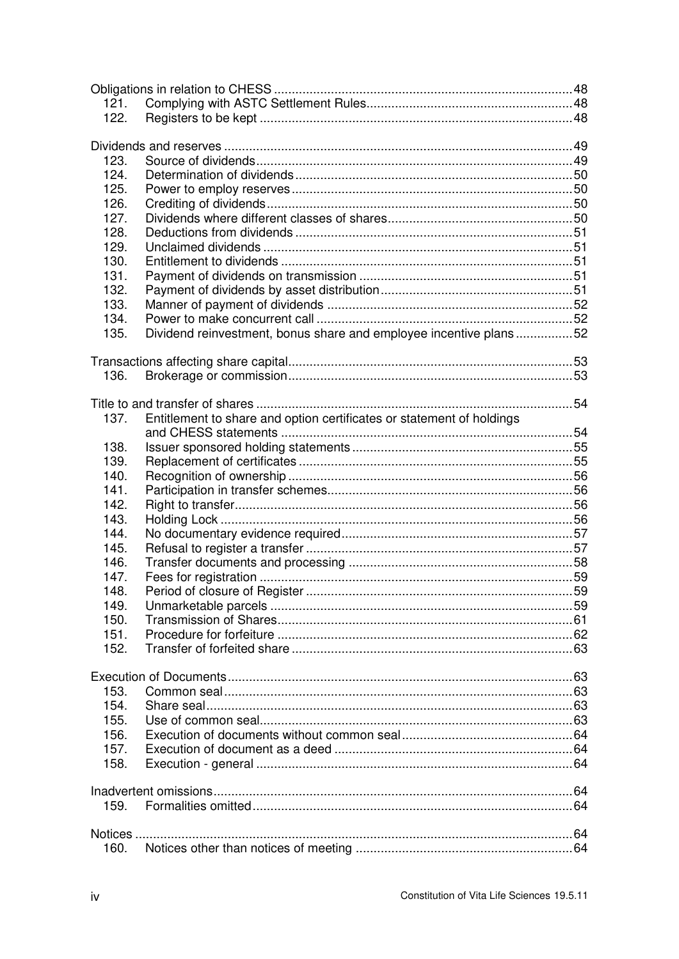| 121.    |                                                                       |  |
|---------|-----------------------------------------------------------------------|--|
| 122.    |                                                                       |  |
|         |                                                                       |  |
|         |                                                                       |  |
| 123.    |                                                                       |  |
| 124.    |                                                                       |  |
| 125.    |                                                                       |  |
| 126.    |                                                                       |  |
| 127.    |                                                                       |  |
| 128.    |                                                                       |  |
| 129.    |                                                                       |  |
| 130.    |                                                                       |  |
| 131.    |                                                                       |  |
| 132.    |                                                                       |  |
| 133.    |                                                                       |  |
| 134.    |                                                                       |  |
| 135.    | Dividend reinvestment, bonus share and employee incentive plans52     |  |
|         |                                                                       |  |
|         |                                                                       |  |
| 136.    |                                                                       |  |
|         |                                                                       |  |
|         |                                                                       |  |
| 137.    | Entitlement to share and option certificates or statement of holdings |  |
|         |                                                                       |  |
| 138.    |                                                                       |  |
| 139.    |                                                                       |  |
| 140.    |                                                                       |  |
| 141.    |                                                                       |  |
| 142.    |                                                                       |  |
| 143.    |                                                                       |  |
| 144.    |                                                                       |  |
| 145.    |                                                                       |  |
| 146.    |                                                                       |  |
| 147.    |                                                                       |  |
| 148.    |                                                                       |  |
| 149.    |                                                                       |  |
| 150.    |                                                                       |  |
| 151.    |                                                                       |  |
| 152.    |                                                                       |  |
|         |                                                                       |  |
|         |                                                                       |  |
| 153.    |                                                                       |  |
| 154.    |                                                                       |  |
| 155.    |                                                                       |  |
| 156.    |                                                                       |  |
| 157.    |                                                                       |  |
| 158.    |                                                                       |  |
|         |                                                                       |  |
|         |                                                                       |  |
| 159.    |                                                                       |  |
|         |                                                                       |  |
| Notices |                                                                       |  |
| 160.    |                                                                       |  |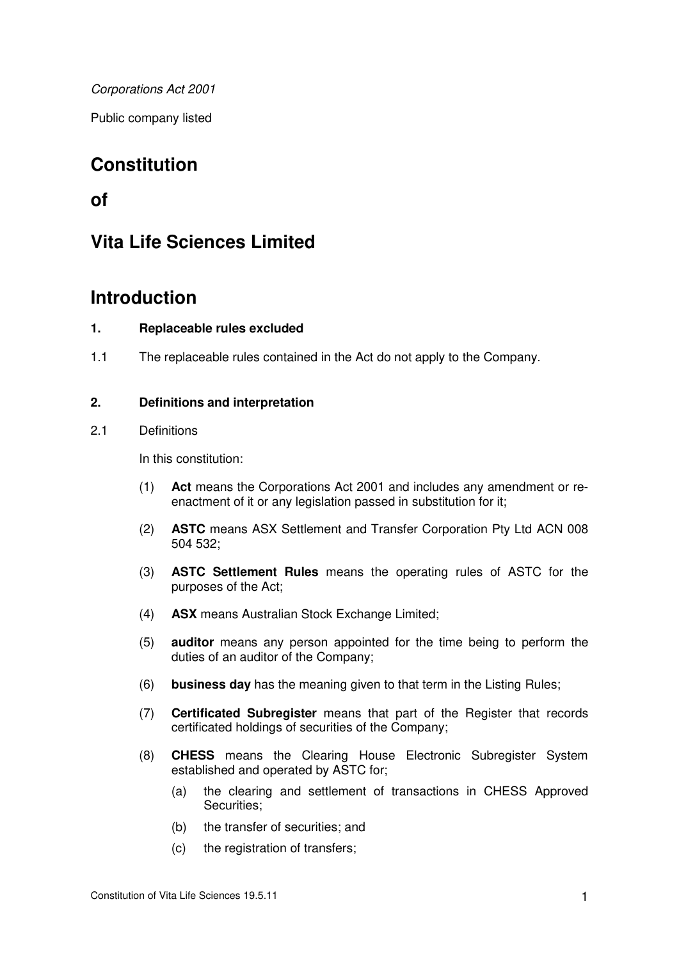*Corporations Act 2001* 

Public company listed

# **Constitution**

# **of**

# **Vita Life Sciences Limited**

# **Introduction**

# **1. Replaceable rules excluded**

1.1 The replaceable rules contained in the Act do not apply to the Company.

# **2. Definitions and interpretation**

# 2.1 Definitions

In this constitution:

- (1) **Act** means the Corporations Act 2001 and includes any amendment or reenactment of it or any legislation passed in substitution for it;
- (2) **ASTC** means ASX Settlement and Transfer Corporation Pty Ltd ACN 008 504 532;
- (3) **ASTC Settlement Rules** means the operating rules of ASTC for the purposes of the Act;
- (4) **ASX** means Australian Stock Exchange Limited;
- (5) **auditor** means any person appointed for the time being to perform the duties of an auditor of the Company;
- (6) **business day** has the meaning given to that term in the Listing Rules;
- (7) **Certificated Subregister** means that part of the Register that records certificated holdings of securities of the Company;
- (8) **CHESS** means the Clearing House Electronic Subregister System established and operated by ASTC for;
	- (a) the clearing and settlement of transactions in CHESS Approved Securities;
	- (b) the transfer of securities; and
	- (c) the registration of transfers;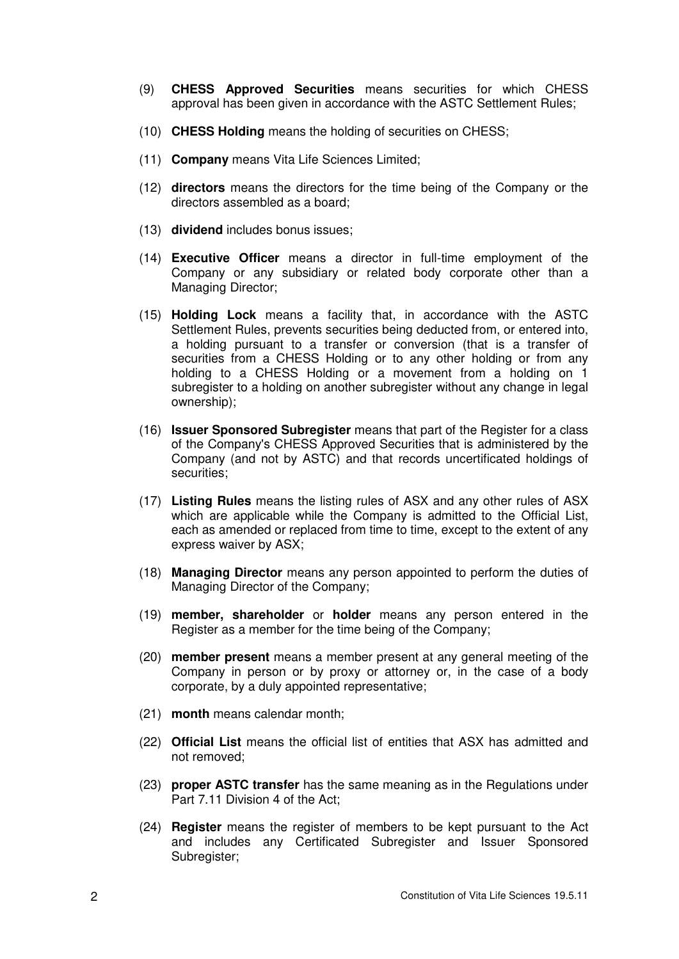- (9) **CHESS Approved Securities** means securities for which CHESS approval has been given in accordance with the ASTC Settlement Rules;
- (10) **CHESS Holding** means the holding of securities on CHESS;
- (11) **Company** means Vita Life Sciences Limited;
- (12) **directors** means the directors for the time being of the Company or the directors assembled as a board;
- (13) **dividend** includes bonus issues;
- (14) **Executive Officer** means a director in full-time employment of the Company or any subsidiary or related body corporate other than a Managing Director;
- (15) **Holding Lock** means a facility that, in accordance with the ASTC Settlement Rules, prevents securities being deducted from, or entered into, a holding pursuant to a transfer or conversion (that is a transfer of securities from a CHESS Holding or to any other holding or from any holding to a CHESS Holding or a movement from a holding on 1 subregister to a holding on another subregister without any change in legal ownership);
- (16) **Issuer Sponsored Subregister** means that part of the Register for a class of the Company's CHESS Approved Securities that is administered by the Company (and not by ASTC) and that records uncertificated holdings of securities;
- (17) **Listing Rules** means the listing rules of ASX and any other rules of ASX which are applicable while the Company is admitted to the Official List, each as amended or replaced from time to time, except to the extent of any express waiver by ASX;
- (18) **Managing Director** means any person appointed to perform the duties of Managing Director of the Company;
- (19) **member, shareholder** or **holder** means any person entered in the Register as a member for the time being of the Company;
- (20) **member present** means a member present at any general meeting of the Company in person or by proxy or attorney or, in the case of a body corporate, by a duly appointed representative;
- (21) **month** means calendar month;
- (22) **Official List** means the official list of entities that ASX has admitted and not removed;
- (23) **proper ASTC transfer** has the same meaning as in the Regulations under Part 7.11 Division 4 of the Act;
- (24) **Register** means the register of members to be kept pursuant to the Act and includes any Certificated Subregister and Issuer Sponsored Subregister;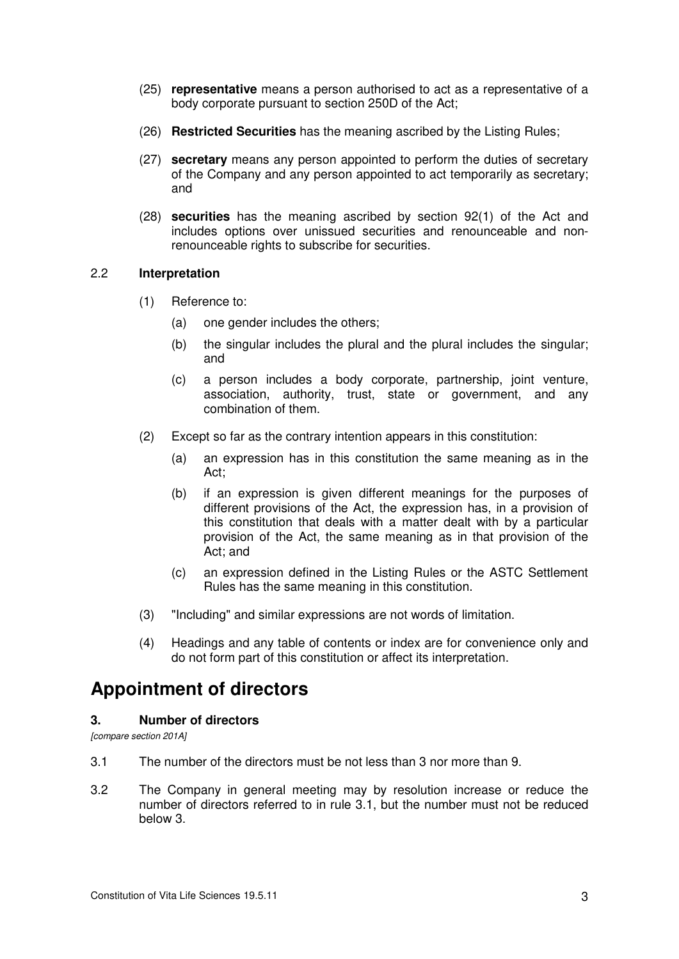- (25) **representative** means a person authorised to act as a representative of a body corporate pursuant to section 250D of the Act;
- (26) **Restricted Securities** has the meaning ascribed by the Listing Rules;
- (27) **secretary** means any person appointed to perform the duties of secretary of the Company and any person appointed to act temporarily as secretary; and
- (28) **securities** has the meaning ascribed by section 92(1) of the Act and includes options over unissued securities and renounceable and nonrenounceable rights to subscribe for securities.

#### 2.2 **Interpretation**

- (1) Reference to:
	- (a) one gender includes the others;
	- (b) the singular includes the plural and the plural includes the singular; and
	- (c) a person includes a body corporate, partnership, joint venture, association, authority, trust, state or government, and any combination of them.
- (2) Except so far as the contrary intention appears in this constitution:
	- (a) an expression has in this constitution the same meaning as in the Act;
	- (b) if an expression is given different meanings for the purposes of different provisions of the Act, the expression has, in a provision of this constitution that deals with a matter dealt with by a particular provision of the Act, the same meaning as in that provision of the Act; and
	- (c) an expression defined in the Listing Rules or the ASTC Settlement Rules has the same meaning in this constitution.
- (3) "Including" and similar expressions are not words of limitation.
- (4) Headings and any table of contents or index are for convenience only and do not form part of this constitution or affect its interpretation.

# **Appointment of directors**

#### **3. Number of directors**

*[compare section 201A]* 

- 3.1 The number of the directors must be not less than 3 nor more than 9.
- 3.2 The Company in general meeting may by resolution increase or reduce the number of directors referred to in rule 3.1, but the number must not be reduced below 3.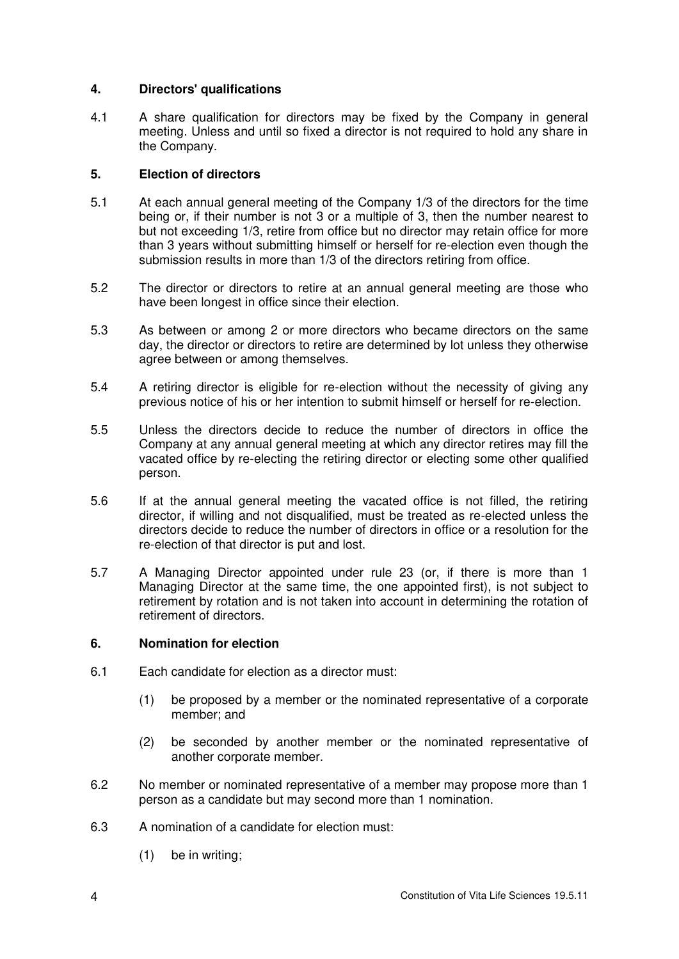# **4. Directors' qualifications**

4.1 A share qualification for directors may be fixed by the Company in general meeting. Unless and until so fixed a director is not required to hold any share in the Company.

# **5. Election of directors**

- 5.1 At each annual general meeting of the Company 1/3 of the directors for the time being or, if their number is not 3 or a multiple of 3, then the number nearest to but not exceeding 1/3, retire from office but no director may retain office for more than 3 years without submitting himself or herself for re-election even though the submission results in more than 1/3 of the directors retiring from office.
- 5.2 The director or directors to retire at an annual general meeting are those who have been longest in office since their election.
- 5.3 As between or among 2 or more directors who became directors on the same day, the director or directors to retire are determined by lot unless they otherwise agree between or among themselves.
- 5.4 A retiring director is eligible for re-election without the necessity of giving any previous notice of his or her intention to submit himself or herself for re-election.
- 5.5 Unless the directors decide to reduce the number of directors in office the Company at any annual general meeting at which any director retires may fill the vacated office by re-electing the retiring director or electing some other qualified person.
- 5.6 If at the annual general meeting the vacated office is not filled, the retiring director, if willing and not disqualified, must be treated as re-elected unless the directors decide to reduce the number of directors in office or a resolution for the re-election of that director is put and lost.
- 5.7 A Managing Director appointed under rule 23 (or, if there is more than 1 Managing Director at the same time, the one appointed first), is not subject to retirement by rotation and is not taken into account in determining the rotation of retirement of directors.

# **6. Nomination for election**

- 6.1 Each candidate for election as a director must:
	- (1) be proposed by a member or the nominated representative of a corporate member; and
	- (2) be seconded by another member or the nominated representative of another corporate member.
- 6.2 No member or nominated representative of a member may propose more than 1 person as a candidate but may second more than 1 nomination.
- 6.3 A nomination of a candidate for election must:
	- (1) be in writing;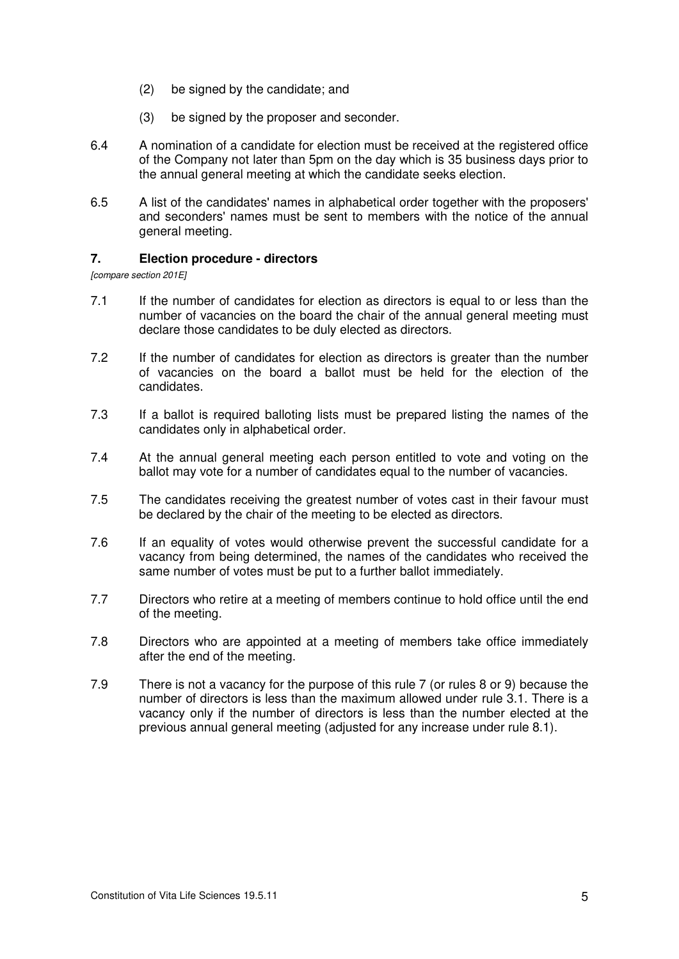- (2) be signed by the candidate; and
- (3) be signed by the proposer and seconder.
- 6.4 A nomination of a candidate for election must be received at the registered office of the Company not later than 5pm on the day which is 35 business days prior to the annual general meeting at which the candidate seeks election.
- 6.5 A list of the candidates' names in alphabetical order together with the proposers' and seconders' names must be sent to members with the notice of the annual general meeting.

#### **7. Election procedure - directors**

*[compare section 201E]* 

- 7.1 If the number of candidates for election as directors is equal to or less than the number of vacancies on the board the chair of the annual general meeting must declare those candidates to be duly elected as directors.
- 7.2 If the number of candidates for election as directors is greater than the number of vacancies on the board a ballot must be held for the election of the candidates.
- 7.3 If a ballot is required balloting lists must be prepared listing the names of the candidates only in alphabetical order.
- 7.4 At the annual general meeting each person entitled to vote and voting on the ballot may vote for a number of candidates equal to the number of vacancies.
- 7.5 The candidates receiving the greatest number of votes cast in their favour must be declared by the chair of the meeting to be elected as directors.
- 7.6 If an equality of votes would otherwise prevent the successful candidate for a vacancy from being determined, the names of the candidates who received the same number of votes must be put to a further ballot immediately.
- 7.7 Directors who retire at a meeting of members continue to hold office until the end of the meeting.
- 7.8 Directors who are appointed at a meeting of members take office immediately after the end of the meeting.
- 7.9 There is not a vacancy for the purpose of this rule 7 (or rules 8 or 9) because the number of directors is less than the maximum allowed under rule 3.1. There is a vacancy only if the number of directors is less than the number elected at the previous annual general meeting (adjusted for any increase under rule 8.1).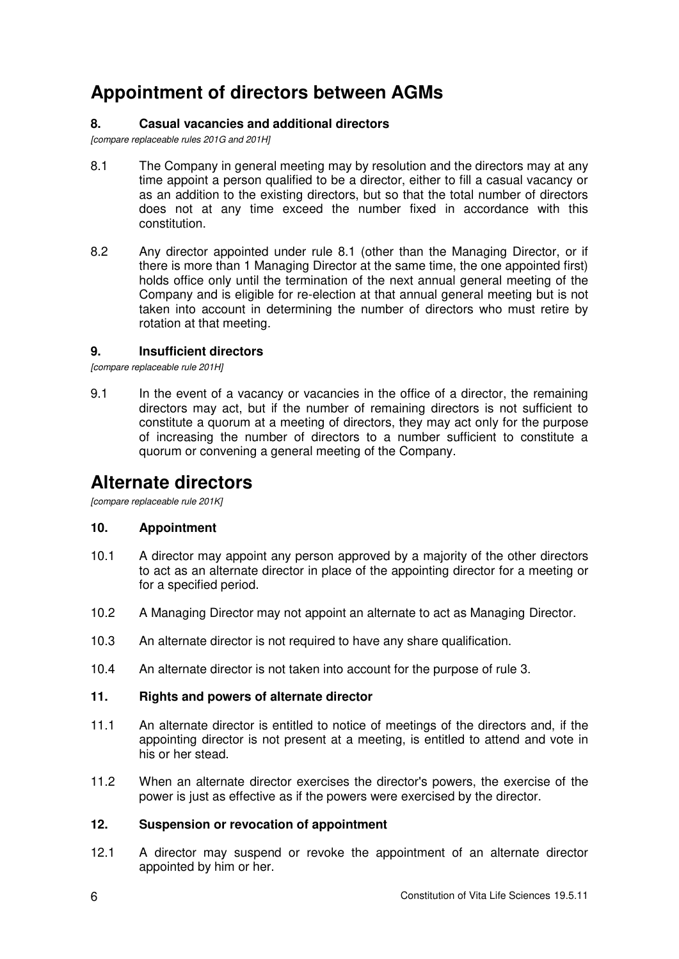# **Appointment of directors between AGMs**

# **8. Casual vacancies and additional directors**

*[compare replaceable rules 201G and 201H]* 

- 8.1 The Company in general meeting may by resolution and the directors may at any time appoint a person qualified to be a director, either to fill a casual vacancy or as an addition to the existing directors, but so that the total number of directors does not at any time exceed the number fixed in accordance with this constitution.
- 8.2 Any director appointed under rule 8.1 (other than the Managing Director, or if there is more than 1 Managing Director at the same time, the one appointed first) holds office only until the termination of the next annual general meeting of the Company and is eligible for re-election at that annual general meeting but is not taken into account in determining the number of directors who must retire by rotation at that meeting.

# **9. Insufficient directors**

*[compare replaceable rule 201H]* 

9.1 In the event of a vacancy or vacancies in the office of a director, the remaining directors may act, but if the number of remaining directors is not sufficient to constitute a quorum at a meeting of directors, they may act only for the purpose of increasing the number of directors to a number sufficient to constitute a quorum or convening a general meeting of the Company.

# **Alternate directors**

*[compare replaceable rule 201K]* 

# **10. Appointment**

- 10.1 A director may appoint any person approved by a majority of the other directors to act as an alternate director in place of the appointing director for a meeting or for a specified period.
- 10.2 A Managing Director may not appoint an alternate to act as Managing Director.
- 10.3 An alternate director is not required to have any share qualification.
- 10.4 An alternate director is not taken into account for the purpose of rule 3.

# **11. Rights and powers of alternate director**

- 11.1 An alternate director is entitled to notice of meetings of the directors and, if the appointing director is not present at a meeting, is entitled to attend and vote in his or her stead.
- 11.2 When an alternate director exercises the director's powers, the exercise of the power is just as effective as if the powers were exercised by the director.

# **12. Suspension or revocation of appointment**

12.1 A director may suspend or revoke the appointment of an alternate director appointed by him or her.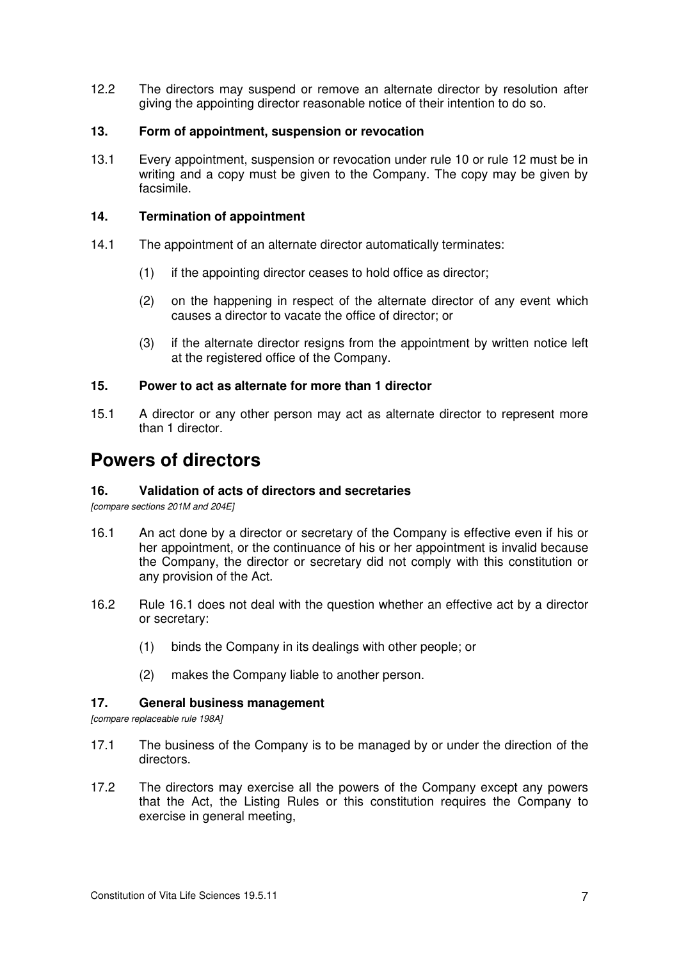12.2 The directors may suspend or remove an alternate director by resolution after giving the appointing director reasonable notice of their intention to do so.

### **13. Form of appointment, suspension or revocation**

13.1 Every appointment, suspension or revocation under rule 10 or rule 12 must be in writing and a copy must be given to the Company. The copy may be given by facsimile.

### **14. Termination of appointment**

- 14.1 The appointment of an alternate director automatically terminates:
	- (1) if the appointing director ceases to hold office as director;
	- (2) on the happening in respect of the alternate director of any event which causes a director to vacate the office of director; or
	- (3) if the alternate director resigns from the appointment by written notice left at the registered office of the Company.

#### **15. Power to act as alternate for more than 1 director**

15.1 A director or any other person may act as alternate director to represent more than 1 director.

# **Powers of directors**

# **16. Validation of acts of directors and secretaries**

*[compare sections 201M and 204E]* 

- 16.1 An act done by a director or secretary of the Company is effective even if his or her appointment, or the continuance of his or her appointment is invalid because the Company, the director or secretary did not comply with this constitution or any provision of the Act.
- 16.2 Rule 16.1 does not deal with the question whether an effective act by a director or secretary:
	- (1) binds the Company in its dealings with other people; or
	- (2) makes the Company liable to another person.

#### **17. General business management**

*[compare replaceable rule 198A]* 

- 17.1 The business of the Company is to be managed by or under the direction of the directors.
- 17.2 The directors may exercise all the powers of the Company except any powers that the Act, the Listing Rules or this constitution requires the Company to exercise in general meeting,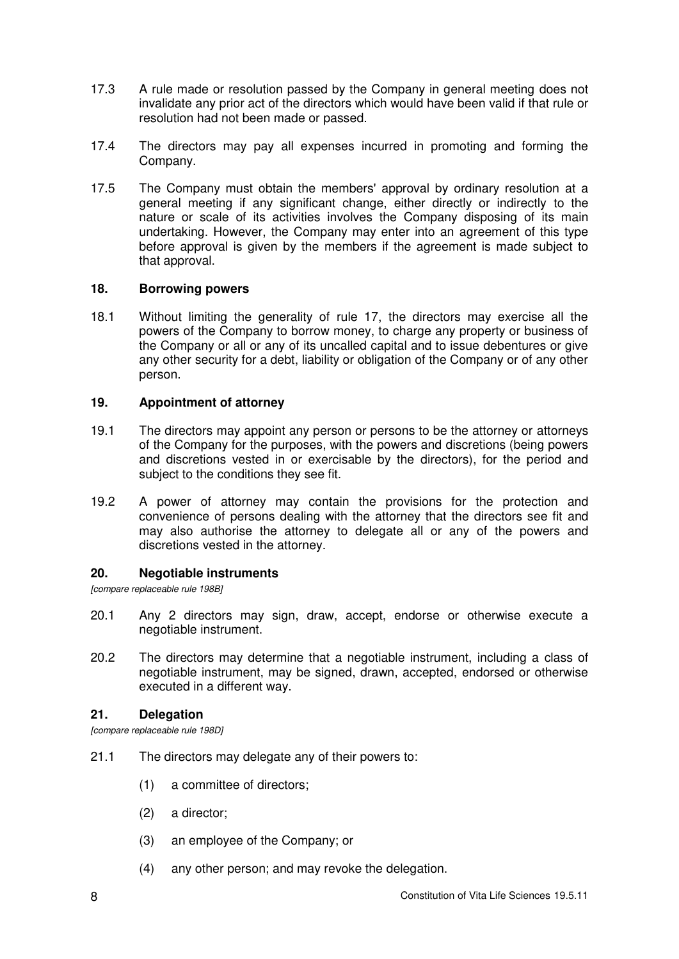- 17.3 A rule made or resolution passed by the Company in general meeting does not invalidate any prior act of the directors which would have been valid if that rule or resolution had not been made or passed.
- 17.4 The directors may pay all expenses incurred in promoting and forming the Company.
- 17.5 The Company must obtain the members' approval by ordinary resolution at a general meeting if any significant change, either directly or indirectly to the nature or scale of its activities involves the Company disposing of its main undertaking. However, the Company may enter into an agreement of this type before approval is given by the members if the agreement is made subject to that approval.

# **18. Borrowing powers**

18.1 Without limiting the generality of rule 17, the directors may exercise all the powers of the Company to borrow money, to charge any property or business of the Company or all or any of its uncalled capital and to issue debentures or give any other security for a debt, liability or obligation of the Company or of any other person.

#### **19. Appointment of attorney**

- 19.1 The directors may appoint any person or persons to be the attorney or attorneys of the Company for the purposes, with the powers and discretions (being powers and discretions vested in or exercisable by the directors), for the period and subject to the conditions they see fit.
- 19.2 A power of attorney may contain the provisions for the protection and convenience of persons dealing with the attorney that the directors see fit and may also authorise the attorney to delegate all or any of the powers and discretions vested in the attorney.

# **20. Negotiable instruments**

*[compare replaceable rule 198B]* 

- 20.1 Any 2 directors may sign, draw, accept, endorse or otherwise execute a negotiable instrument.
- 20.2 The directors may determine that a negotiable instrument, including a class of negotiable instrument, may be signed, drawn, accepted, endorsed or otherwise executed in a different way.

#### **21. Delegation**

*[compare replaceable rule 198D]* 

- 21.1 The directors may delegate any of their powers to:
	- (1) a committee of directors;
	- (2) a director;
	- (3) an employee of the Company; or
	- (4) any other person; and may revoke the delegation.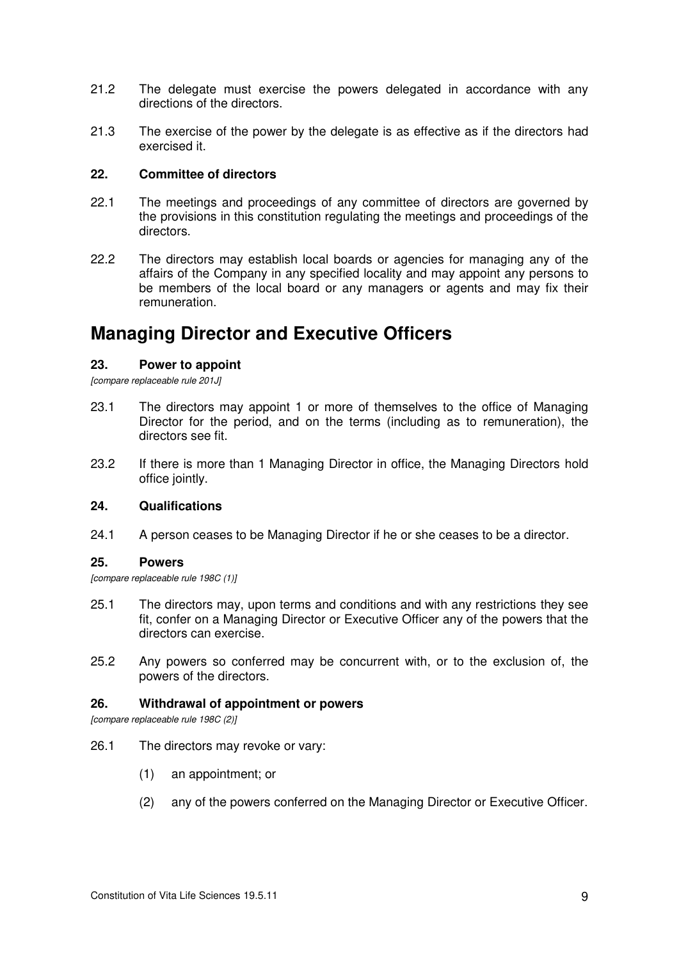- 21.2 The delegate must exercise the powers delegated in accordance with any directions of the directors.
- 21.3 The exercise of the power by the delegate is as effective as if the directors had exercised it.

#### **22. Committee of directors**

- 22.1 The meetings and proceedings of any committee of directors are governed by the provisions in this constitution regulating the meetings and proceedings of the directors.
- 22.2 The directors may establish local boards or agencies for managing any of the affairs of the Company in any specified locality and may appoint any persons to be members of the local board or any managers or agents and may fix their remuneration.

# **Managing Director and Executive Officers**

# **23. Power to appoint**

*[compare replaceable rule 201J]* 

- 23.1 The directors may appoint 1 or more of themselves to the office of Managing Director for the period, and on the terms (including as to remuneration), the directors see fit.
- 23.2 If there is more than 1 Managing Director in office, the Managing Directors hold office jointly.

#### **24. Qualifications**

24.1 A person ceases to be Managing Director if he or she ceases to be a director.

#### **25. Powers**

*[compare replaceable rule 198C (1)]*

- 25.1 The directors may, upon terms and conditions and with any restrictions they see fit, confer on a Managing Director or Executive Officer any of the powers that the directors can exercise.
- 25.2 Any powers so conferred may be concurrent with, or to the exclusion of, the powers of the directors.

#### **26. Withdrawal of appointment or powers**

*[compare replaceable rule 198C (2)]*

- 26.1 The directors may revoke or vary:
	- (1) an appointment; or
	- (2) any of the powers conferred on the Managing Director or Executive Officer.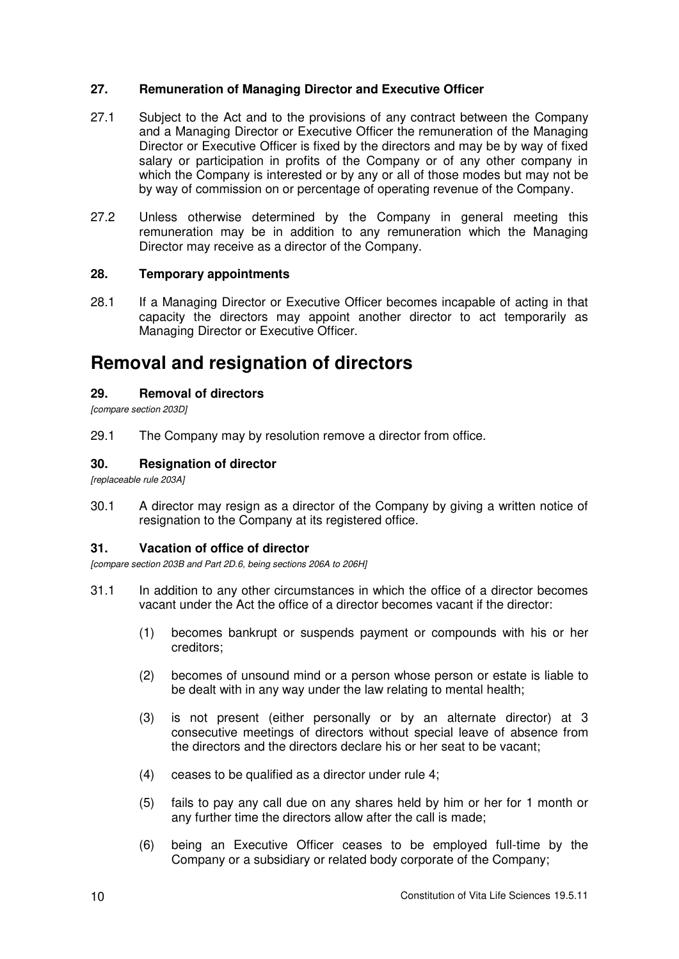# **27. Remuneration of Managing Director and Executive Officer**

- 27.1 Subject to the Act and to the provisions of any contract between the Company and a Managing Director or Executive Officer the remuneration of the Managing Director or Executive Officer is fixed by the directors and may be by way of fixed salary or participation in profits of the Company or of any other company in which the Company is interested or by any or all of those modes but may not be by way of commission on or percentage of operating revenue of the Company.
- 27.2 Unless otherwise determined by the Company in general meeting this remuneration may be in addition to any remuneration which the Managing Director may receive as a director of the Company.

# **28. Temporary appointments**

28.1 If a Managing Director or Executive Officer becomes incapable of acting in that capacity the directors may appoint another director to act temporarily as Managing Director or Executive Officer.

# **Removal and resignation of directors**

# **29. Removal of directors**

*[compare section 203D]* 

29.1 The Company may by resolution remove a director from office.

# **30. Resignation of director**

*[replaceable rule 203A]* 

30.1 A director may resign as a director of the Company by giving a written notice of resignation to the Company at its registered office.

# **31. Vacation of office of director**

*[compare section 203B and Part 2D.6, being sections 206A to 206H]* 

- 31.1 In addition to any other circumstances in which the office of a director becomes vacant under the Act the office of a director becomes vacant if the director:
	- (1) becomes bankrupt or suspends payment or compounds with his or her creditors;
	- (2) becomes of unsound mind or a person whose person or estate is liable to be dealt with in any way under the law relating to mental health;
	- (3) is not present (either personally or by an alternate director) at 3 consecutive meetings of directors without special leave of absence from the directors and the directors declare his or her seat to be vacant;
	- (4) ceases to be qualified as a director under rule 4;
	- (5) fails to pay any call due on any shares held by him or her for 1 month or any further time the directors allow after the call is made;
	- (6) being an Executive Officer ceases to be employed full-time by the Company or a subsidiary or related body corporate of the Company;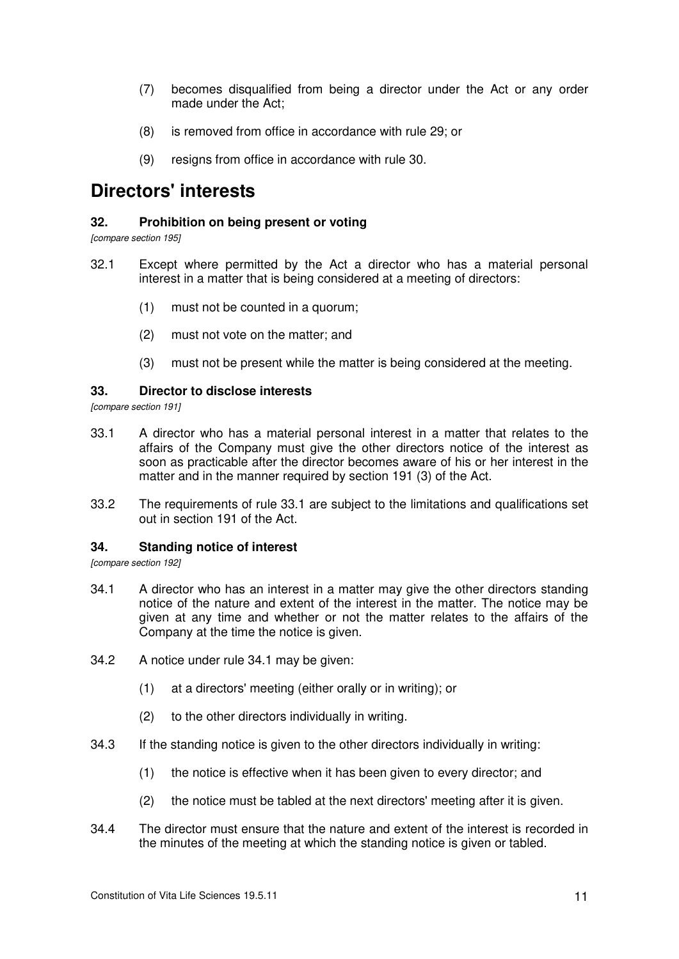- (7) becomes disqualified from being a director under the Act or any order made under the Act;
- (8) is removed from office in accordance with rule 29; or
- (9) resigns from office in accordance with rule 30.

# **Directors' interests**

# **32. Prohibition on being present or voting**

*[compare section 195]* 

- 32.1 Except where permitted by the Act a director who has a material personal interest in a matter that is being considered at a meeting of directors:
	- (1) must not be counted in a quorum;
	- (2) must not vote on the matter; and
	- (3) must not be present while the matter is being considered at the meeting.

#### **33. Director to disclose interests**

*[compare section 191]* 

- 33.1 A director who has a material personal interest in a matter that relates to the affairs of the Company must give the other directors notice of the interest as soon as practicable after the director becomes aware of his or her interest in the matter and in the manner required by section 191 (3) of the Act.
- 33.2 The requirements of rule 33.1 are subject to the limitations and qualifications set out in section 191 of the Act.

# **34. Standing notice of interest**

*[compare section 192]* 

- 34.1 A director who has an interest in a matter may give the other directors standing notice of the nature and extent of the interest in the matter. The notice may be given at any time and whether or not the matter relates to the affairs of the Company at the time the notice is given.
- 34.2 A notice under rule 34.1 may be given:
	- (1) at a directors' meeting (either orally or in writing); or
	- (2) to the other directors individually in writing.
- 34.3 If the standing notice is given to the other directors individually in writing:
	- (1) the notice is effective when it has been given to every director; and
	- (2) the notice must be tabled at the next directors' meeting after it is given.
- 34.4 The director must ensure that the nature and extent of the interest is recorded in the minutes of the meeting at which the standing notice is given or tabled.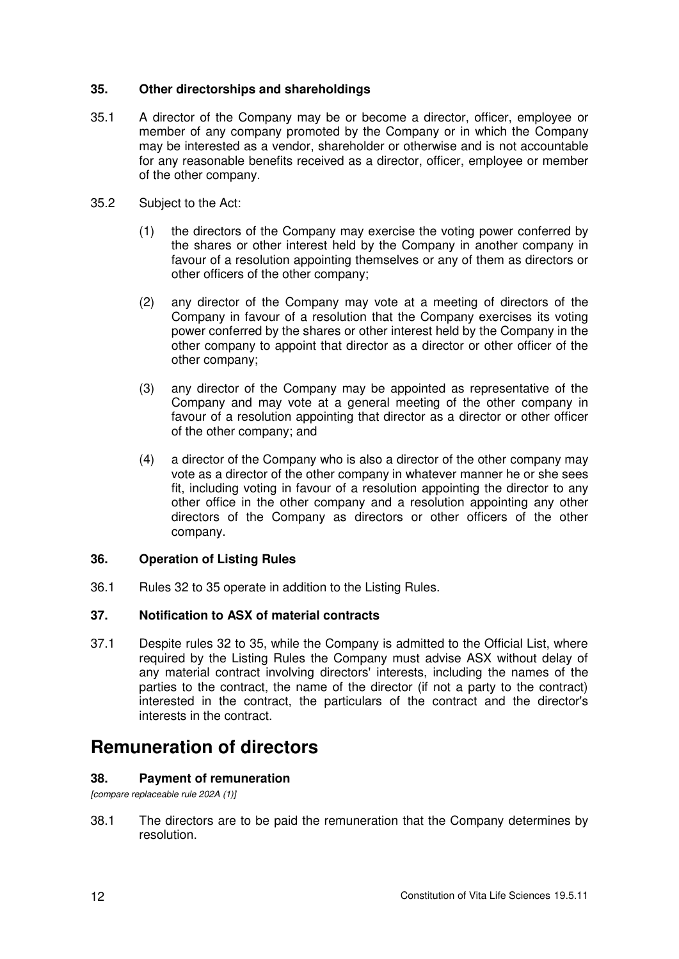# **35. Other directorships and shareholdings**

- 35.1 A director of the Company may be or become a director, officer, employee or member of any company promoted by the Company or in which the Company may be interested as a vendor, shareholder or otherwise and is not accountable for any reasonable benefits received as a director, officer, employee or member of the other company.
- 35.2 Subject to the Act:
	- (1) the directors of the Company may exercise the voting power conferred by the shares or other interest held by the Company in another company in favour of a resolution appointing themselves or any of them as directors or other officers of the other company;
	- (2) any director of the Company may vote at a meeting of directors of the Company in favour of a resolution that the Company exercises its voting power conferred by the shares or other interest held by the Company in the other company to appoint that director as a director or other officer of the other company;
	- (3) any director of the Company may be appointed as representative of the Company and may vote at a general meeting of the other company in favour of a resolution appointing that director as a director or other officer of the other company; and
	- (4) a director of the Company who is also a director of the other company may vote as a director of the other company in whatever manner he or she sees fit, including voting in favour of a resolution appointing the director to any other office in the other company and a resolution appointing any other directors of the Company as directors or other officers of the other company.

# **36. Operation of Listing Rules**

36.1 Rules 32 to 35 operate in addition to the Listing Rules.

# **37. Notification to ASX of material contracts**

37.1 Despite rules 32 to 35, while the Company is admitted to the Official List, where required by the Listing Rules the Company must advise ASX without delay of any material contract involving directors' interests, including the names of the parties to the contract, the name of the director (if not a party to the contract) interested in the contract, the particulars of the contract and the director's interests in the contract.

# **Remuneration of directors**

# **38. Payment of remuneration**

# *[compare replaceable rule 202A (1)]*

38.1 The directors are to be paid the remuneration that the Company determines by resolution.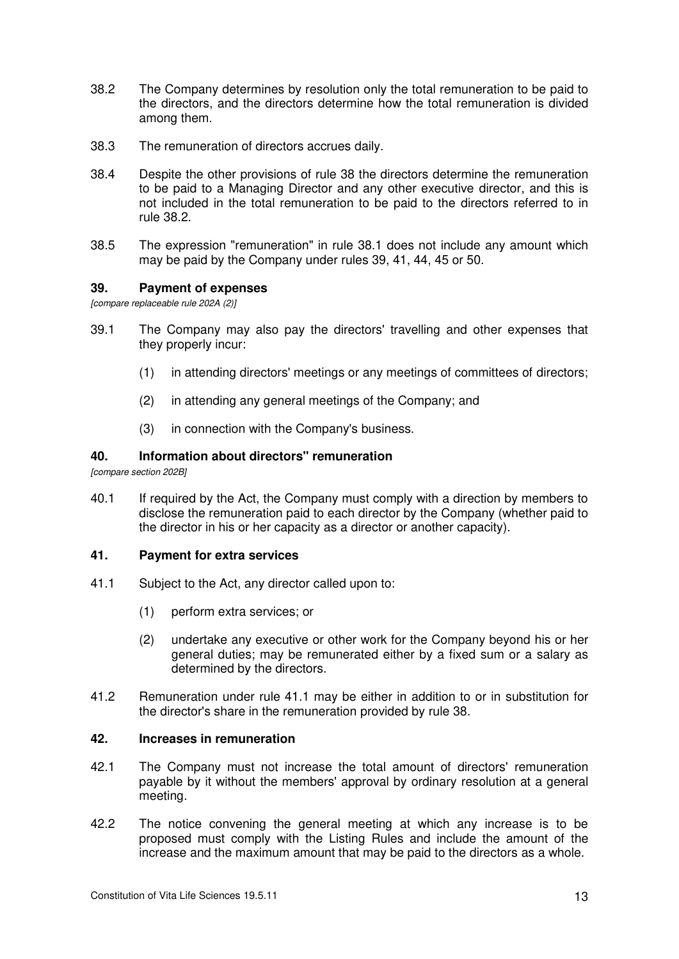- 38.2 The Company determines by resolution only the total remuneration to be paid to the directors, and the directors determine how the total remuneration is divided among them.
- 38.3 The remuneration of directors accrues daily.
- 38.4 Despite the other provisions of rule 38 the directors determine the remuneration to be paid to a Managing Director and any other executive director, and this is not included in the total remuneration to be paid to the directors referred to in rule 38.2.
- 38.5 The expression "remuneration" in rule 38.1 does not include any amount which may be paid by the Company under rules 39, 41, 44, 45 or 50.

#### **39. Payment of expenses**

*[compare replaceable rule 202A (2)]* 

- 39.1 The Company may also pay the directors' travelling and other expenses that they properly incur:
	- (1) in attending directors' meetings or any meetings of committees of directors;
	- (2) in attending any general meetings of the Company; and
	- (3) in connection with the Company's business.

# **40. Information about directors" remuneration**

*[compare section 202B]* 

40.1 If required by the Act, the Company must comply with a direction by members to disclose the remuneration paid to each director by the Company (whether paid to the director in his or her capacity as a director or another capacity).

#### **41. Payment for extra services**

- 41.1 Subject to the Act, any director called upon to:
	- (1) perform extra services; or
	- (2) undertake any executive or other work for the Company beyond his or her general duties; may be remunerated either by a fixed sum or a salary as determined by the directors.
- 41.2 Remuneration under rule 41.1 may be either in addition to or in substitution for the director's share in the remuneration provided by rule 38.

#### **42. Increases in remuneration**

- 42.1 The Company must not increase the total amount of directors' remuneration payable by it without the members' approval by ordinary resolution at a general meeting.
- 42.2 The notice convening the general meeting at which any increase is to be proposed must comply with the Listing Rules and include the amount of the increase and the maximum amount that may be paid to the directors as a whole.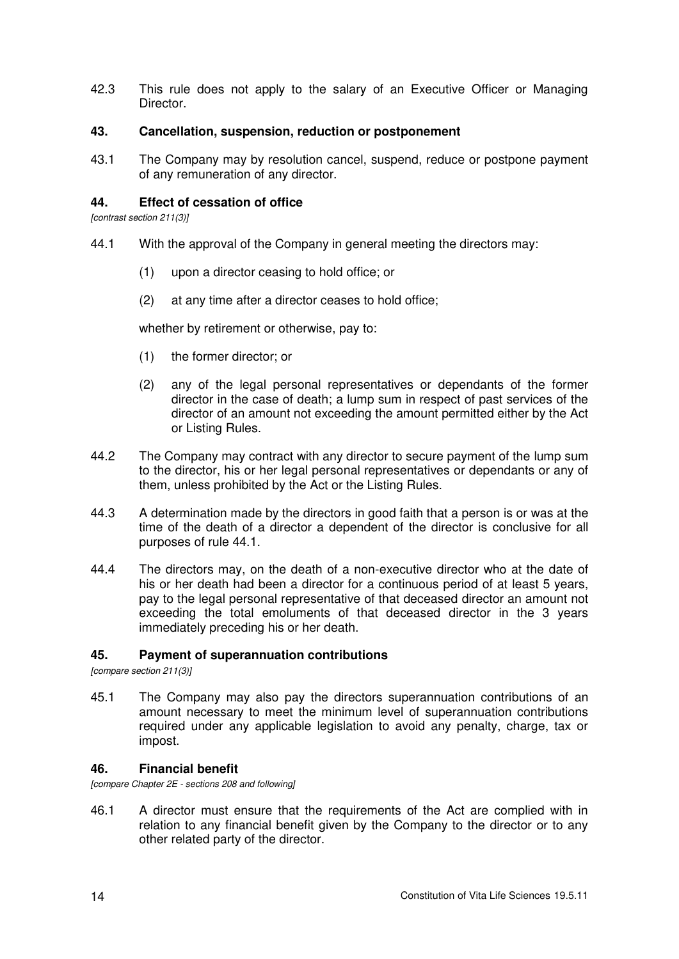42.3 This rule does not apply to the salary of an Executive Officer or Managing Director.

### **43. Cancellation, suspension, reduction or postponement**

43.1 The Company may by resolution cancel, suspend, reduce or postpone payment of any remuneration of any director.

### **44. Effect of cessation of office**

*[contrast section 211(3)]* 

- 44.1 With the approval of the Company in general meeting the directors may:
	- (1) upon a director ceasing to hold office; or
	- (2) at any time after a director ceases to hold office;

whether by retirement or otherwise, pay to:

- (1) the former director; or
- (2) any of the legal personal representatives or dependants of the former director in the case of death; a lump sum in respect of past services of the director of an amount not exceeding the amount permitted either by the Act or Listing Rules.
- 44.2 The Company may contract with any director to secure payment of the lump sum to the director, his or her legal personal representatives or dependants or any of them, unless prohibited by the Act or the Listing Rules.
- 44.3 A determination made by the directors in good faith that a person is or was at the time of the death of a director a dependent of the director is conclusive for all purposes of rule 44.1.
- 44.4 The directors may, on the death of a non-executive director who at the date of his or her death had been a director for a continuous period of at least 5 years, pay to the legal personal representative of that deceased director an amount not exceeding the total emoluments of that deceased director in the 3 years immediately preceding his or her death.

# **45. Payment of superannuation contributions**

*[compare section 211(3)]* 

45.1 The Company may also pay the directors superannuation contributions of an amount necessary to meet the minimum level of superannuation contributions required under any applicable legislation to avoid any penalty, charge, tax or impost.

# **46. Financial benefit**

*[compare Chapter 2E - sections 208 and following]* 

46.1 A director must ensure that the requirements of the Act are complied with in relation to any financial benefit given by the Company to the director or to any other related party of the director.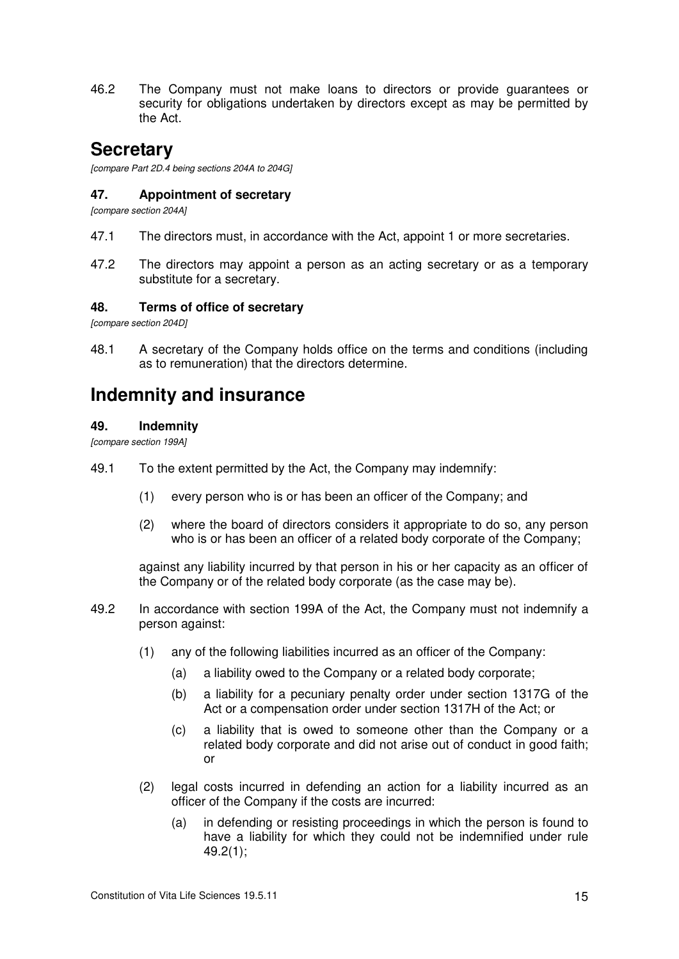46.2 The Company must not make loans to directors or provide guarantees or security for obligations undertaken by directors except as may be permitted by the Act.

# **Secretary**

*[compare Part 2D.4 being sections 204A to 204G]* 

# **47. Appointment of secretary**

*[compare section 204A]* 

- 47.1 The directors must, in accordance with the Act, appoint 1 or more secretaries.
- 47.2 The directors may appoint a person as an acting secretary or as a temporary substitute for a secretary.

# **48. Terms of office of secretary**

*[compare section 204D]* 

48.1 A secretary of the Company holds office on the terms and conditions (including as to remuneration) that the directors determine.

# **Indemnity and insurance**

# **49. Indemnity**

*[compare section 199A]* 

- 49.1 To the extent permitted by the Act, the Company may indemnify:
	- (1) every person who is or has been an officer of the Company; and
	- (2) where the board of directors considers it appropriate to do so, any person who is or has been an officer of a related body corporate of the Company;

against any liability incurred by that person in his or her capacity as an officer of the Company or of the related body corporate (as the case may be).

- 49.2 In accordance with section 199A of the Act, the Company must not indemnify a person against:
	- (1) any of the following liabilities incurred as an officer of the Company:
		- (a) a liability owed to the Company or a related body corporate;
		- (b) a liability for a pecuniary penalty order under section 1317G of the Act or a compensation order under section 1317H of the Act; or
		- (c) a liability that is owed to someone other than the Company or a related body corporate and did not arise out of conduct in good faith; or
	- (2) legal costs incurred in defending an action for a liability incurred as an officer of the Company if the costs are incurred:
		- (a) in defending or resisting proceedings in which the person is found to have a liability for which they could not be indemnified under rule 49.2(1);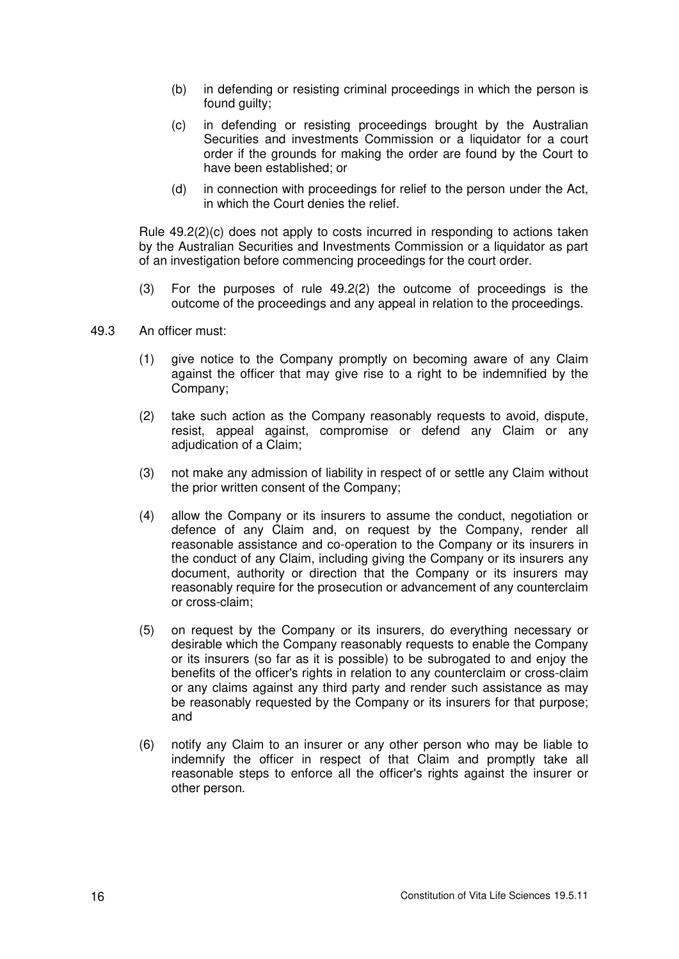- (b) in defending or resisting criminal proceedings in which the person is found guilty;
- (c) in defending or resisting proceedings brought by the Australian Securities and investments Commission or a liquidator for a court order if the grounds for making the order are found by the Court to have been established; or
- (d) in connection with proceedings for relief to the person under the Act, in which the Court denies the relief.

Rule 49.2(2)(c) does not apply to costs incurred in responding to actions taken by the Australian Securities and Investments Commission or a liquidator as part of an investigation before commencing proceedings for the court order.

- (3) For the purposes of rule 49.2(2) the outcome of proceedings is the outcome of the proceedings and any appeal in relation to the proceedings.
- 49.3 An officer must:
	- (1) give notice to the Company promptly on becoming aware of any Claim against the officer that may give rise to a right to be indemnified by the Company;
	- (2) take such action as the Company reasonably requests to avoid, dispute, resist, appeal against, compromise or defend any Claim or any adjudication of a Claim;
	- (3) not make any admission of liability in respect of or settle any Claim without the prior written consent of the Company;
	- (4) allow the Company or its insurers to assume the conduct, negotiation or defence of any Claim and, on request by the Company, render all reasonable assistance and co-operation to the Company or its insurers in the conduct of any Claim, including giving the Company or its insurers any document, authority or direction that the Company or its insurers may reasonably require for the prosecution or advancement of any counterclaim or cross-claim;
	- (5) on request by the Company or its insurers, do everything necessary or desirable which the Company reasonably requests to enable the Company or its insurers (so far as it is possible) to be subrogated to and enjoy the benefits of the officer's rights in relation to any counterclaim or cross-claim or any claims against any third party and render such assistance as may be reasonably requested by the Company or its insurers for that purpose; and
	- (6) notify any Claim to an insurer or any other person who may be liable to indemnify the officer in respect of that Claim and promptly take all reasonable steps to enforce all the officer's rights against the insurer or other person.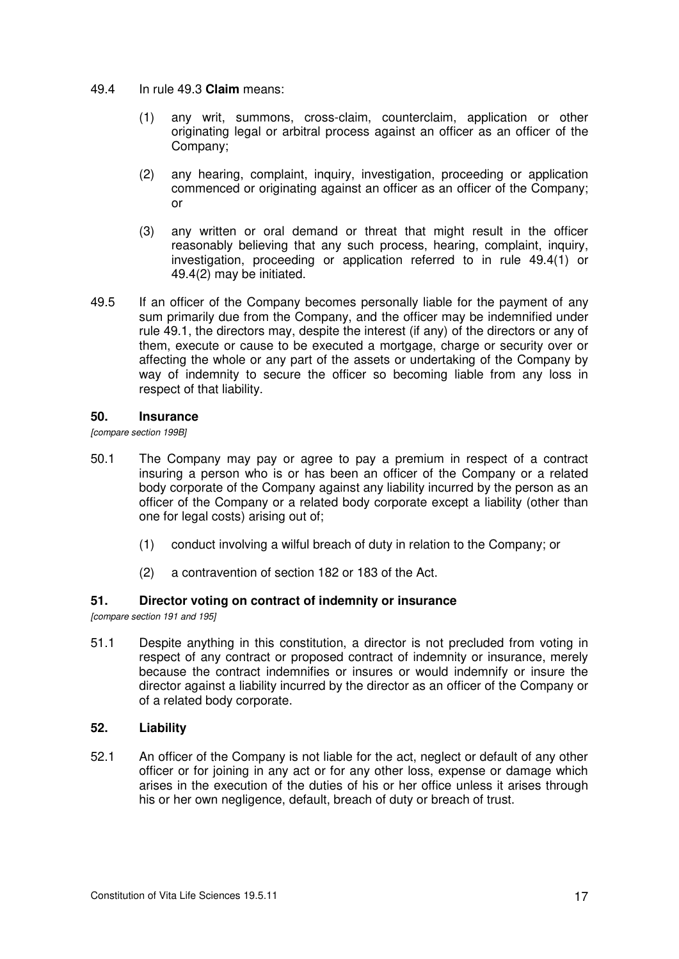- 49.4 In rule 49.3 **Claim** means:
	- (1) any writ, summons, cross-claim, counterclaim, application or other originating legal or arbitral process against an officer as an officer of the Company;
	- (2) any hearing, complaint, inquiry, investigation, proceeding or application commenced or originating against an officer as an officer of the Company; or
	- (3) any written or oral demand or threat that might result in the officer reasonably believing that any such process, hearing, complaint, inquiry, investigation, proceeding or application referred to in rule 49.4(1) or 49.4(2) may be initiated.
- 49.5 If an officer of the Company becomes personally liable for the payment of any sum primarily due from the Company, and the officer may be indemnified under rule 49.1, the directors may, despite the interest (if any) of the directors or any of them, execute or cause to be executed a mortgage, charge or security over or affecting the whole or any part of the assets or undertaking of the Company by way of indemnity to secure the officer so becoming liable from any loss in respect of that liability.

#### **50. Insurance**

*[compare section 199B]* 

- 50.1 The Company may pay or agree to pay a premium in respect of a contract insuring a person who is or has been an officer of the Company or a related body corporate of the Company against any liability incurred by the person as an officer of the Company or a related body corporate except a liability (other than one for legal costs) arising out of;
	- (1) conduct involving a wilful breach of duty in relation to the Company; or
	- (2) a contravention of section 182 or 183 of the Act.

# **51. Director voting on contract of indemnity or insurance**

*[compare section 191 and 195]* 

51.1 Despite anything in this constitution, a director is not precluded from voting in respect of any contract or proposed contract of indemnity or insurance, merely because the contract indemnifies or insures or would indemnify or insure the director against a liability incurred by the director as an officer of the Company or of a related body corporate.

# **52. Liability**

52.1 An officer of the Company is not liable for the act, neglect or default of any other officer or for joining in any act or for any other loss, expense or damage which arises in the execution of the duties of his or her office unless it arises through his or her own negligence, default, breach of duty or breach of trust.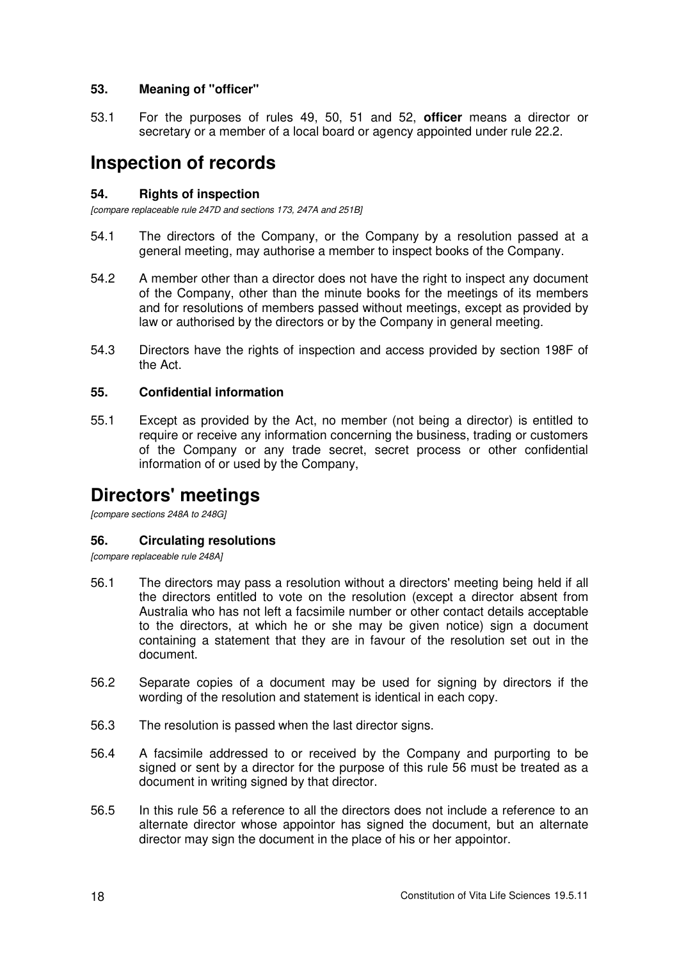# **53. Meaning of "officer"**

53.1 For the purposes of rules 49, 50, 51 and 52, **officer** means a director or secretary or a member of a local board or agency appointed under rule 22.2.

# **Inspection of records**

# **54. Rights of inspection**

*[compare replaceable rule 247D and sections 173, 247A and 251B]* 

- 54.1 The directors of the Company, or the Company by a resolution passed at a general meeting, may authorise a member to inspect books of the Company.
- 54.2 A member other than a director does not have the right to inspect any document of the Company, other than the minute books for the meetings of its members and for resolutions of members passed without meetings, except as provided by law or authorised by the directors or by the Company in general meeting.
- 54.3 Directors have the rights of inspection and access provided by section 198F of the Act.

# **55. Confidential information**

55.1 Except as provided by the Act, no member (not being a director) is entitled to require or receive any information concerning the business, trading or customers of the Company or any trade secret, secret process or other confidential information of or used by the Company,

# **Directors' meetings**

*[compare sections 248A to 248G]* 

# **56. Circulating resolutions**

*[compare replaceable rule 248A]* 

- 56.1 The directors may pass a resolution without a directors' meeting being held if all the directors entitled to vote on the resolution (except a director absent from Australia who has not left a facsimile number or other contact details acceptable to the directors, at which he or she may be given notice) sign a document containing a statement that they are in favour of the resolution set out in the document.
- 56.2 Separate copies of a document may be used for signing by directors if the wording of the resolution and statement is identical in each copy.
- 56.3 The resolution is passed when the last director signs.
- 56.4 A facsimile addressed to or received by the Company and purporting to be signed or sent by a director for the purpose of this rule 56 must be treated as a document in writing signed by that director.
- 56.5 In this rule 56 a reference to all the directors does not include a reference to an alternate director whose appointor has signed the document, but an alternate director may sign the document in the place of his or her appointor.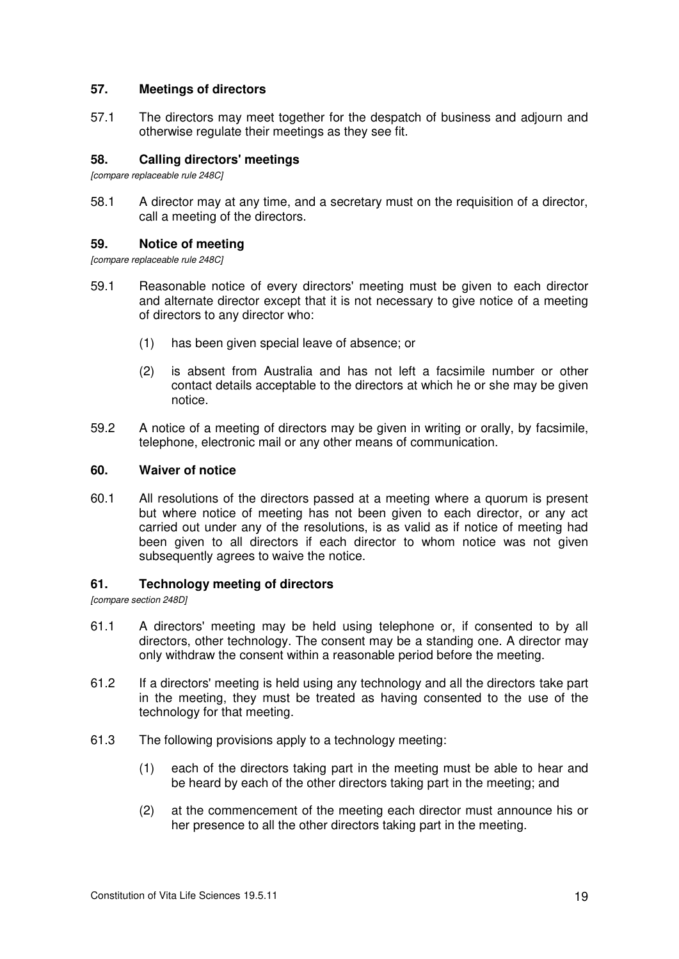#### **57. Meetings of directors**

57.1 The directors may meet together for the despatch of business and adjourn and otherwise regulate their meetings as they see fit.

# **58. Calling directors' meetings**

*[compare replaceable rule 248C]*

58.1 A director may at any time, and a secretary must on the requisition of a director, call a meeting of the directors.

# **59. Notice of meeting**

*[compare replaceable rule 248C]* 

- 59.1 Reasonable notice of every directors' meeting must be given to each director and alternate director except that it is not necessary to give notice of a meeting of directors to any director who:
	- (1) has been given special leave of absence; or
	- (2) is absent from Australia and has not left a facsimile number or other contact details acceptable to the directors at which he or she may be given notice.
- 59.2 A notice of a meeting of directors may be given in writing or orally, by facsimile, telephone, electronic mail or any other means of communication.

#### **60. Waiver of notice**

60.1 All resolutions of the directors passed at a meeting where a quorum is present but where notice of meeting has not been given to each director, or any act carried out under any of the resolutions, is as valid as if notice of meeting had been given to all directors if each director to whom notice was not given subsequently agrees to waive the notice.

#### **61. Technology meeting of directors**

*[compare section 248D]* 

- 61.1 A directors' meeting may be held using telephone or, if consented to by all directors, other technology. The consent may be a standing one. A director may only withdraw the consent within a reasonable period before the meeting.
- 61.2 If a directors' meeting is held using any technology and all the directors take part in the meeting, they must be treated as having consented to the use of the technology for that meeting.
- 61.3 The following provisions apply to a technology meeting:
	- (1) each of the directors taking part in the meeting must be able to hear and be heard by each of the other directors taking part in the meeting; and
	- (2) at the commencement of the meeting each director must announce his or her presence to all the other directors taking part in the meeting.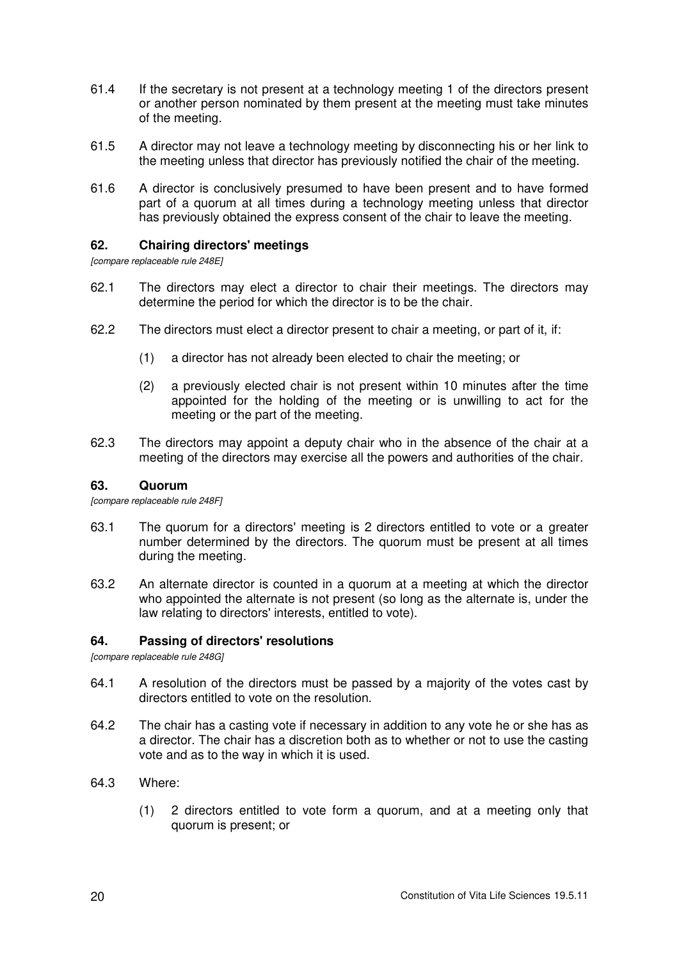- 61.4 If the secretary is not present at a technology meeting 1 of the directors present or another person nominated by them present at the meeting must take minutes of the meeting.
- 61.5 A director may not leave a technology meeting by disconnecting his or her link to the meeting unless that director has previously notified the chair of the meeting.
- 61.6 A director is conclusively presumed to have been present and to have formed part of a quorum at all times during a technology meeting unless that director has previously obtained the express consent of the chair to leave the meeting.

# **62. Chairing directors' meetings**

*[compare replaceable rule 248E]* 

- 62.1 The directors may elect a director to chair their meetings. The directors may determine the period for which the director is to be the chair.
- 62.2 The directors must elect a director present to chair a meeting, or part of it, if:
	- (1) a director has not already been elected to chair the meeting; or
	- (2) a previously elected chair is not present within 10 minutes after the time appointed for the holding of the meeting or is unwilling to act for the meeting or the part of the meeting.
- 62.3 The directors may appoint a deputy chair who in the absence of the chair at a meeting of the directors may exercise all the powers and authorities of the chair.

# **63. Quorum**

*[compare replaceable rule 248F]* 

- 63.1 The quorum for a directors' meeting is 2 directors entitled to vote or a greater number determined by the directors. The quorum must be present at all times during the meeting.
- 63.2 An alternate director is counted in a quorum at a meeting at which the director who appointed the alternate is not present (so long as the alternate is, under the law relating to directors' interests, entitled to vote).

# **64. Passing of directors' resolutions**

*[compare replaceable rule 248G]* 

- 64.1 A resolution of the directors must be passed by a majority of the votes cast by directors entitled to vote on the resolution.
- 64.2 The chair has a casting vote if necessary in addition to any vote he or she has as a director. The chair has a discretion both as to whether or not to use the casting vote and as to the way in which it is used.
- 64.3 Where:
	- (1) 2 directors entitled to vote form a quorum, and at a meeting only that quorum is present; or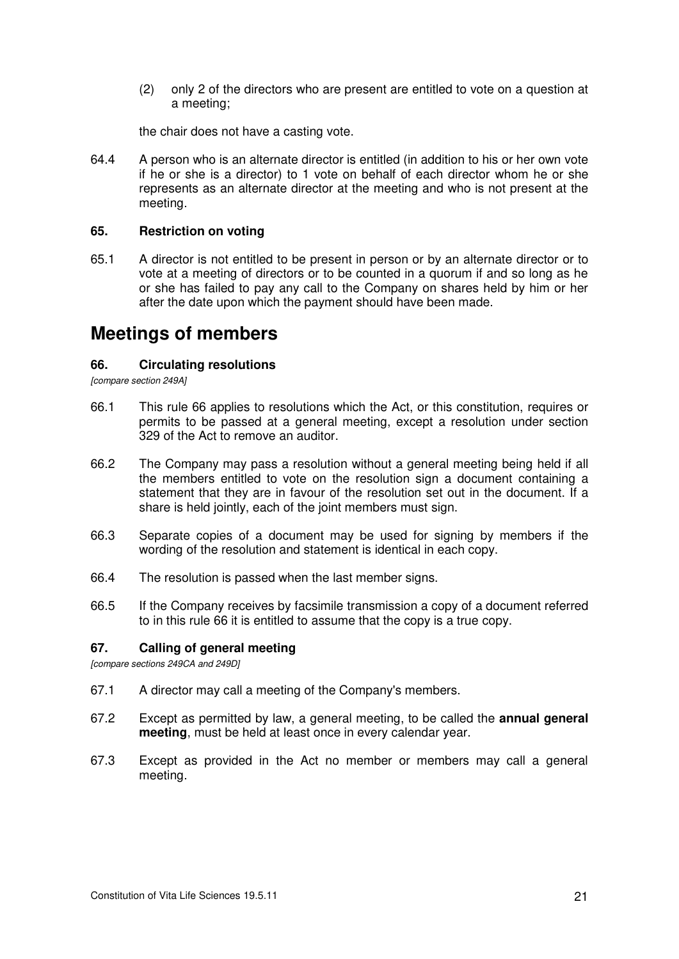(2) only 2 of the directors who are present are entitled to vote on a question at a meeting;

the chair does not have a casting vote.

64.4 A person who is an alternate director is entitled (in addition to his or her own vote if he or she is a director) to 1 vote on behalf of each director whom he or she represents as an alternate director at the meeting and who is not present at the meeting.

# **65. Restriction on voting**

65.1 A director is not entitled to be present in person or by an alternate director or to vote at a meeting of directors or to be counted in a quorum if and so long as he or she has failed to pay any call to the Company on shares held by him or her after the date upon which the payment should have been made.

# **Meetings of members**

# **66. Circulating resolutions**

*[compare section 249A]* 

- 66.1 This rule 66 applies to resolutions which the Act, or this constitution, requires or permits to be passed at a general meeting, except a resolution under section 329 of the Act to remove an auditor.
- 66.2 The Company may pass a resolution without a general meeting being held if all the members entitled to vote on the resolution sign a document containing a statement that they are in favour of the resolution set out in the document. If a share is held jointly, each of the joint members must sign.
- 66.3 Separate copies of a document may be used for signing by members if the wording of the resolution and statement is identical in each copy.
- 66.4 The resolution is passed when the last member signs.
- 66.5 If the Company receives by facsimile transmission a copy of a document referred to in this rule 66 it is entitled to assume that the copy is a true copy.

# **67. Calling of general meeting**

*[compare sections 249CA and 249D]* 

- 67.1 A director may call a meeting of the Company's members.
- 67.2 Except as permitted by law, a general meeting, to be called the **annual general meeting**, must be held at least once in every calendar year.
- 67.3 Except as provided in the Act no member or members may call a general meeting.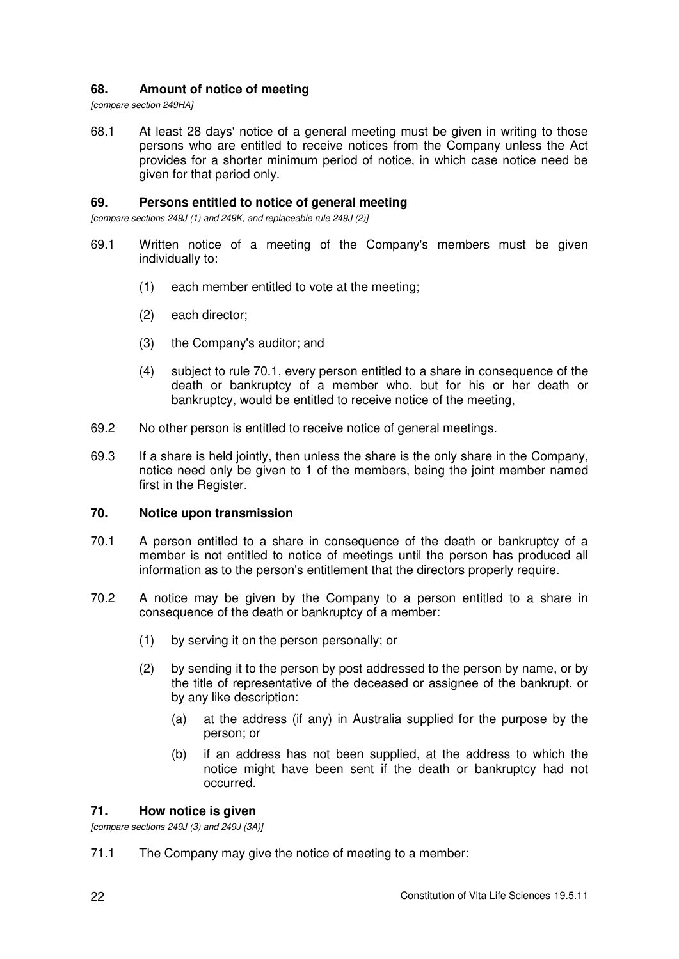# **68. Amount of notice of meeting**

*[compare section 249HA]* 

68.1 At least 28 days' notice of a general meeting must be given in writing to those persons who are entitled to receive notices from the Company unless the Act provides for a shorter minimum period of notice, in which case notice need be given for that period only.

# **69. Persons entitled to notice of general meeting**

*[compare sections 249J (1) and 249K, and replaceable rule 249J (2)]*

- 69.1 Written notice of a meeting of the Company's members must be given individually to:
	- (1) each member entitled to vote at the meeting;
	- (2) each director;
	- (3) the Company's auditor; and
	- (4) subject to rule 70.1, every person entitled to a share in consequence of the death or bankruptcy of a member who, but for his or her death or bankruptcy, would be entitled to receive notice of the meeting,
- 69.2 No other person is entitled to receive notice of general meetings.
- 69.3 If a share is held jointly, then unless the share is the only share in the Company, notice need only be given to 1 of the members, being the joint member named first in the Register.

# **70. Notice upon transmission**

- 70.1 A person entitled to a share in consequence of the death or bankruptcy of a member is not entitled to notice of meetings until the person has produced all information as to the person's entitlement that the directors properly require.
- 70.2 A notice may be given by the Company to a person entitled to a share in consequence of the death or bankruptcy of a member:
	- (1) by serving it on the person personally; or
	- (2) by sending it to the person by post addressed to the person by name, or by the title of representative of the deceased or assignee of the bankrupt, or by any like description:
		- (a) at the address (if any) in Australia supplied for the purpose by the person; or
		- (b) if an address has not been supplied, at the address to which the notice might have been sent if the death or bankruptcy had not occurred.

# **71. How notice is given**

*[compare sections 249J (3) and 249J (3A)]* 

71.1 The Company may give the notice of meeting to a member: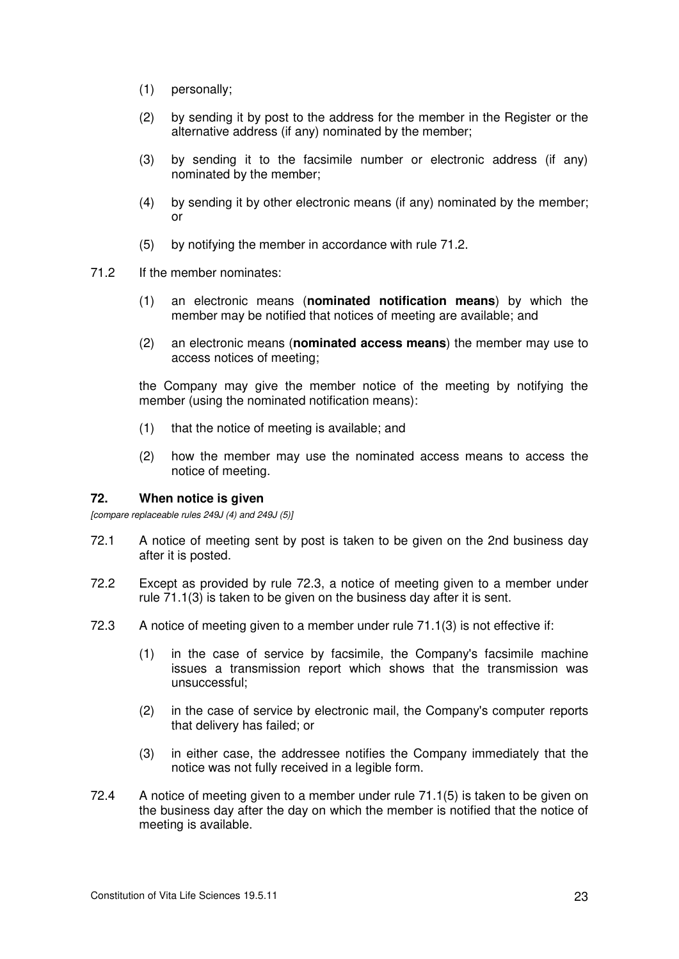- (1) personally;
- (2) by sending it by post to the address for the member in the Register or the alternative address (if any) nominated by the member;
- (3) by sending it to the facsimile number or electronic address (if any) nominated by the member;
- (4) by sending it by other electronic means (if any) nominated by the member; or
- (5) by notifying the member in accordance with rule 71.2.
- 71.2 If the member nominates:
	- (1) an electronic means (**nominated notification means**) by which the member may be notified that notices of meeting are available; and
	- (2) an electronic means (**nominated access means**) the member may use to access notices of meeting;

the Company may give the member notice of the meeting by notifying the member (using the nominated notification means):

- (1) that the notice of meeting is available; and
- (2) how the member may use the nominated access means to access the notice of meeting.

#### **72. When notice is given**

*[compare replaceable rules 249J (4) and 249J (5)]*

- 72.1 A notice of meeting sent by post is taken to be given on the 2nd business day after it is posted.
- 72.2 Except as provided by rule 72.3, a notice of meeting given to a member under rule 71.1(3) is taken to be given on the business day after it is sent.
- 72.3 A notice of meeting given to a member under rule 71.1(3) is not effective if:
	- (1) in the case of service by facsimile, the Company's facsimile machine issues a transmission report which shows that the transmission was unsuccessful;
	- (2) in the case of service by electronic mail, the Company's computer reports that delivery has failed; or
	- (3) in either case, the addressee notifies the Company immediately that the notice was not fully received in a legible form.
- 72.4 A notice of meeting given to a member under rule 71.1(5) is taken to be given on the business day after the day on which the member is notified that the notice of meeting is available.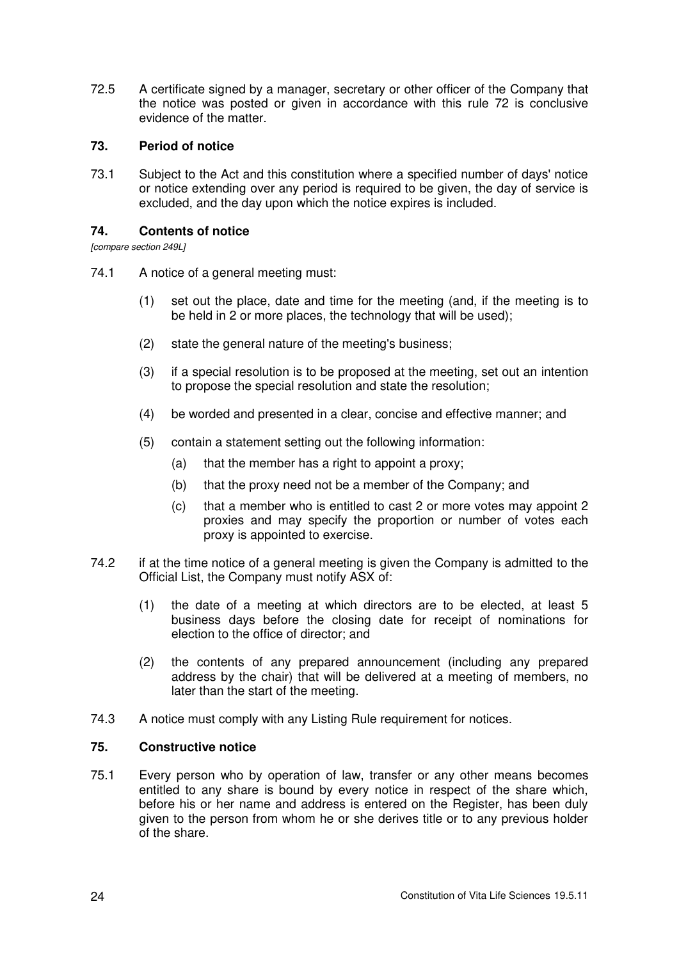72.5 A certificate signed by a manager, secretary or other officer of the Company that the notice was posted or given in accordance with this rule 72 is conclusive evidence of the matter.

# **73. Period of notice**

73.1 Subject to the Act and this constitution where a specified number of days' notice or notice extending over any period is required to be given, the day of service is excluded, and the day upon which the notice expires is included.

# **74. Contents of notice**

*[compare section 249L]* 

- 74.1 A notice of a general meeting must:
	- (1) set out the place, date and time for the meeting (and, if the meeting is to be held in 2 or more places, the technology that will be used);
	- (2) state the general nature of the meeting's business;
	- (3) if a special resolution is to be proposed at the meeting, set out an intention to propose the special resolution and state the resolution;
	- (4) be worded and presented in a clear, concise and effective manner; and
	- (5) contain a statement setting out the following information:
		- (a) that the member has a right to appoint a proxy;
		- (b) that the proxy need not be a member of the Company; and
		- (c) that a member who is entitled to cast 2 or more votes may appoint 2 proxies and may specify the proportion or number of votes each proxy is appointed to exercise.
- 74.2 if at the time notice of a general meeting is given the Company is admitted to the Official List, the Company must notify ASX of:
	- (1) the date of a meeting at which directors are to be elected, at least 5 business days before the closing date for receipt of nominations for election to the office of director; and
	- (2) the contents of any prepared announcement (including any prepared address by the chair) that will be delivered at a meeting of members, no later than the start of the meeting.
- 74.3 A notice must comply with any Listing Rule requirement for notices.

# **75. Constructive notice**

75.1 Every person who by operation of law, transfer or any other means becomes entitled to any share is bound by every notice in respect of the share which, before his or her name and address is entered on the Register, has been duly given to the person from whom he or she derives title or to any previous holder of the share.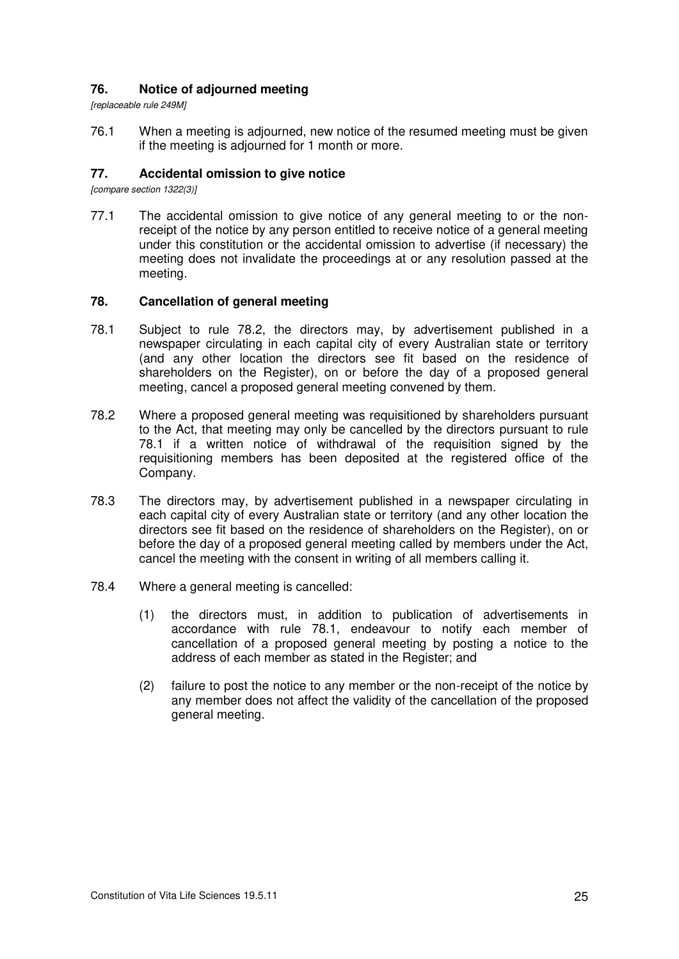# **76. Notice of adjourned meeting**

*[replaceable rule 249M]* 

76.1 When a meeting is adjourned, new notice of the resumed meeting must be given if the meeting is adjourned for 1 month or more.

# **77. Accidental omission to give notice**

*[compare section 1322(3)]* 

77.1 The accidental omission to give notice of any general meeting to or the nonreceipt of the notice by any person entitled to receive notice of a general meeting under this constitution or the accidental omission to advertise (if necessary) the meeting does not invalidate the proceedings at or any resolution passed at the meeting.

#### **78. Cancellation of general meeting**

- 78.1 Subject to rule 78.2, the directors may, by advertisement published in a newspaper circulating in each capital city of every Australian state or territory (and any other location the directors see fit based on the residence of shareholders on the Register), on or before the day of a proposed general meeting, cancel a proposed general meeting convened by them.
- 78.2 Where a proposed general meeting was requisitioned by shareholders pursuant to the Act, that meeting may only be cancelled by the directors pursuant to rule 78.1 if a written notice of withdrawal of the requisition signed by the requisitioning members has been deposited at the registered office of the Company.
- 78.3 The directors may, by advertisement published in a newspaper circulating in each capital city of every Australian state or territory (and any other location the directors see fit based on the residence of shareholders on the Register), on or before the day of a proposed general meeting called by members under the Act, cancel the meeting with the consent in writing of all members calling it.
- 78.4 Where a general meeting is cancelled:
	- (1) the directors must, in addition to publication of advertisements in accordance with rule 78.1, endeavour to notify each member of cancellation of a proposed general meeting by posting a notice to the address of each member as stated in the Register; and
	- (2) failure to post the notice to any member or the non-receipt of the notice by any member does not affect the validity of the cancellation of the proposed general meeting.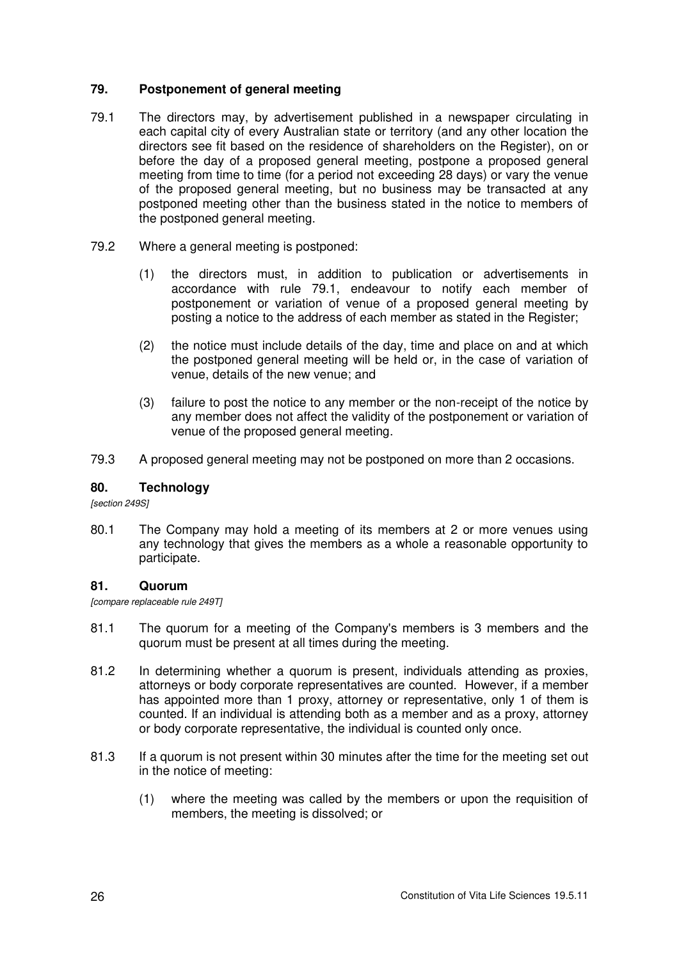# **79. Postponement of general meeting**

- 79.1 The directors may, by advertisement published in a newspaper circulating in each capital city of every Australian state or territory (and any other location the directors see fit based on the residence of shareholders on the Register), on or before the day of a proposed general meeting, postpone a proposed general meeting from time to time (for a period not exceeding 28 days) or vary the venue of the proposed general meeting, but no business may be transacted at any postponed meeting other than the business stated in the notice to members of the postponed general meeting.
- 79.2 Where a general meeting is postponed:
	- (1) the directors must, in addition to publication or advertisements in accordance with rule 79.1, endeavour to notify each member of postponement or variation of venue of a proposed general meeting by posting a notice to the address of each member as stated in the Register;
	- (2) the notice must include details of the day, time and place on and at which the postponed general meeting will be held or, in the case of variation of venue, details of the new venue; and
	- (3) failure to post the notice to any member or the non-receipt of the notice by any member does not affect the validity of the postponement or variation of venue of the proposed general meeting.
- 79.3 A proposed general meeting may not be postponed on more than 2 occasions.

# **80. Technology**

*[section 249S]* 

80.1 The Company may hold a meeting of its members at 2 or more venues using any technology that gives the members as a whole a reasonable opportunity to participate.

# **81. Quorum**

*[compare replaceable rule 249T]* 

- 81.1 The quorum for a meeting of the Company's members is 3 members and the quorum must be present at all times during the meeting.
- 81.2 In determining whether a quorum is present, individuals attending as proxies, attorneys or body corporate representatives are counted. However, if a member has appointed more than 1 proxy, attorney or representative, only 1 of them is counted. If an individual is attending both as a member and as a proxy, attorney or body corporate representative, the individual is counted only once.
- 81.3 If a quorum is not present within 30 minutes after the time for the meeting set out in the notice of meeting:
	- (1) where the meeting was called by the members or upon the requisition of members, the meeting is dissolved; or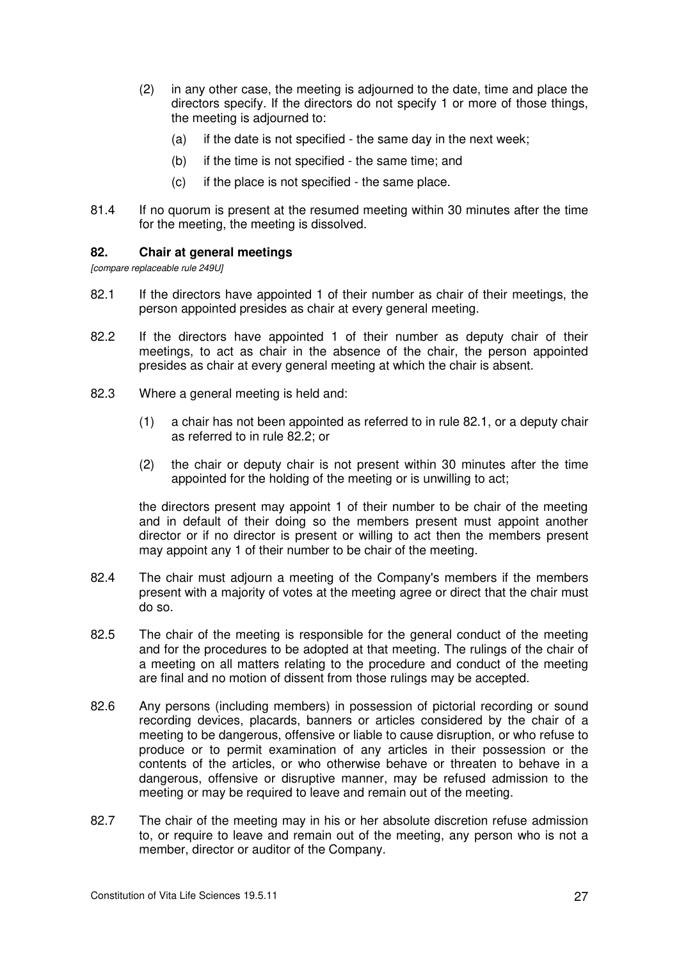- (2) in any other case, the meeting is adjourned to the date, time and place the directors specify. If the directors do not specify 1 or more of those things, the meeting is adjourned to:
	- (a) if the date is not specified the same day in the next week;
	- (b) if the time is not specified the same time; and
	- (c) if the place is not specified the same place.
- 81.4 If no quorum is present at the resumed meeting within 30 minutes after the time for the meeting, the meeting is dissolved.

#### **82. Chair at general meetings**

*[compare replaceable rule 249U]* 

- 82.1 If the directors have appointed 1 of their number as chair of their meetings, the person appointed presides as chair at every general meeting.
- 82.2 If the directors have appointed 1 of their number as deputy chair of their meetings, to act as chair in the absence of the chair, the person appointed presides as chair at every general meeting at which the chair is absent.
- 82.3 Where a general meeting is held and:
	- (1) a chair has not been appointed as referred to in rule 82.1, or a deputy chair as referred to in rule 82.2; or
	- (2) the chair or deputy chair is not present within 30 minutes after the time appointed for the holding of the meeting or is unwilling to act;

the directors present may appoint 1 of their number to be chair of the meeting and in default of their doing so the members present must appoint another director or if no director is present or willing to act then the members present may appoint any 1 of their number to be chair of the meeting.

- 82.4 The chair must adjourn a meeting of the Company's members if the members present with a majority of votes at the meeting agree or direct that the chair must do so.
- 82.5 The chair of the meeting is responsible for the general conduct of the meeting and for the procedures to be adopted at that meeting. The rulings of the chair of a meeting on all matters relating to the procedure and conduct of the meeting are final and no motion of dissent from those rulings may be accepted.
- 82.6 Any persons (including members) in possession of pictorial recording or sound recording devices, placards, banners or articles considered by the chair of a meeting to be dangerous, offensive or liable to cause disruption, or who refuse to produce or to permit examination of any articles in their possession or the contents of the articles, or who otherwise behave or threaten to behave in a dangerous, offensive or disruptive manner, may be refused admission to the meeting or may be required to leave and remain out of the meeting.
- 82.7 The chair of the meeting may in his or her absolute discretion refuse admission to, or require to leave and remain out of the meeting, any person who is not a member, director or auditor of the Company.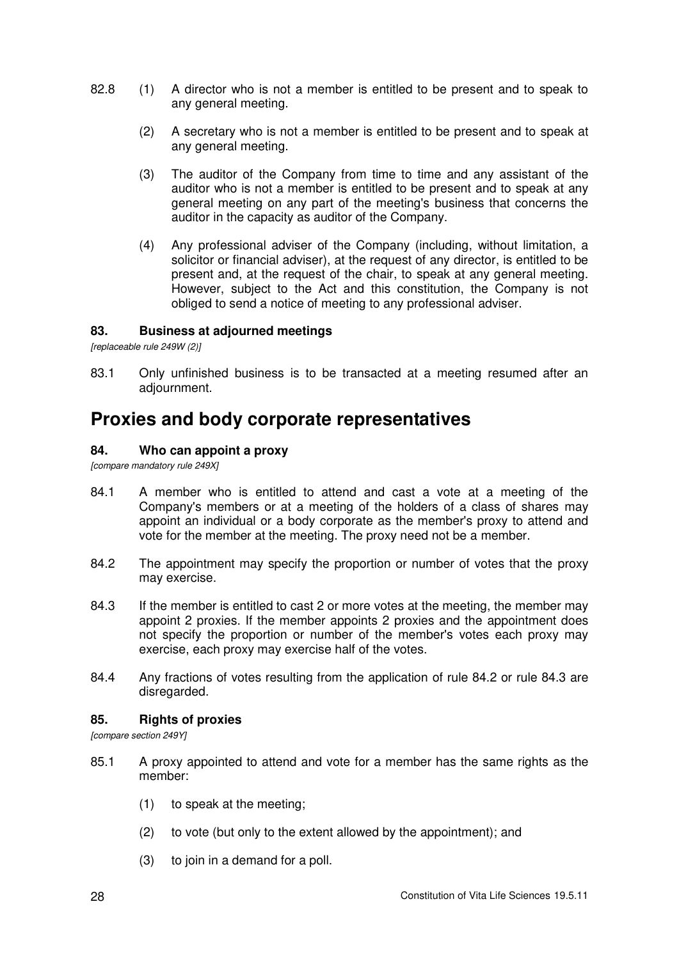- 82.8 (1) A director who is not a member is entitled to be present and to speak to any general meeting.
	- (2) A secretary who is not a member is entitled to be present and to speak at any general meeting.
	- (3) The auditor of the Company from time to time and any assistant of the auditor who is not a member is entitled to be present and to speak at any general meeting on any part of the meeting's business that concerns the auditor in the capacity as auditor of the Company.
	- (4) Any professional adviser of the Company (including, without limitation, a solicitor or financial adviser), at the request of any director, is entitled to be present and, at the request of the chair, to speak at any general meeting. However, subject to the Act and this constitution, the Company is not obliged to send a notice of meeting to any professional adviser.

# **83. Business at adjourned meetings**

*[replaceable rule 249W (2)]*

83.1 Only unfinished business is to be transacted at a meeting resumed after an adjournment.

# **Proxies and body corporate representatives**

#### **84. Who can appoint a proxy**

*[compare mandatory rule 249X]* 

- 84.1 A member who is entitled to attend and cast a vote at a meeting of the Company's members or at a meeting of the holders of a class of shares may appoint an individual or a body corporate as the member's proxy to attend and vote for the member at the meeting. The proxy need not be a member.
- 84.2 The appointment may specify the proportion or number of votes that the proxy may exercise.
- 84.3 If the member is entitled to cast 2 or more votes at the meeting, the member may appoint 2 proxies. If the member appoints 2 proxies and the appointment does not specify the proportion or number of the member's votes each proxy may exercise, each proxy may exercise half of the votes.
- 84.4 Any fractions of votes resulting from the application of rule 84.2 or rule 84.3 are disregarded.

#### **85. Rights of proxies**

*[compare section 249Y]* 

- 85.1 A proxy appointed to attend and vote for a member has the same rights as the member:
	- (1) to speak at the meeting;
	- (2) to vote (but only to the extent allowed by the appointment); and
	- (3) to join in a demand for a poll.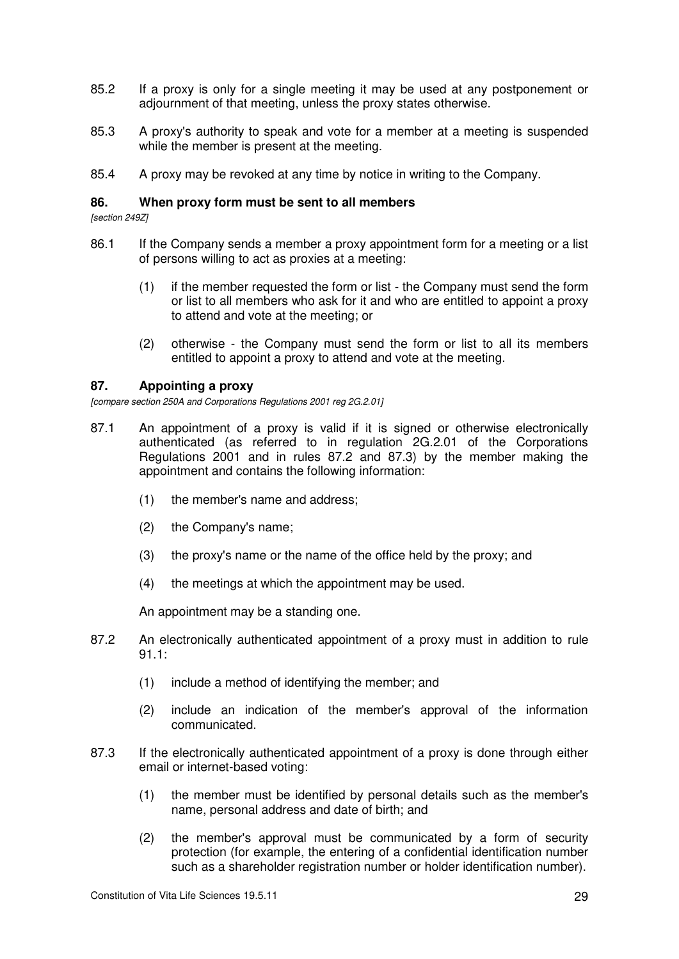- 85.2 If a proxy is only for a single meeting it may be used at any postponement or adjournment of that meeting, unless the proxy states otherwise.
- 85.3 A proxy's authority to speak and vote for a member at a meeting is suspended while the member is present at the meeting.
- 85.4 A proxy may be revoked at any time by notice in writing to the Company.

#### **86. When proxy form must be sent to all members**

*[section 249Z]* 

- 86.1 If the Company sends a member a proxy appointment form for a meeting or a list of persons willing to act as proxies at a meeting:
	- (1) if the member requested the form or list the Company must send the form or list to all members who ask for it and who are entitled to appoint a proxy to attend and vote at the meeting; or
	- (2) otherwise the Company must send the form or list to all its members entitled to appoint a proxy to attend and vote at the meeting.

#### **87. Appointing a proxy**

*[compare section 250A and Corporations Regulations 2001 reg 2G.2.01]* 

- 87.1 An appointment of a proxy is valid if it is signed or otherwise electronically authenticated (as referred to in regulation 2G.2.01 of the Corporations Regulations 2001 and in rules 87.2 and 87.3) by the member making the appointment and contains the following information:
	- (1) the member's name and address;
	- (2) the Company's name;
	- (3) the proxy's name or the name of the office held by the proxy; and
	- (4) the meetings at which the appointment may be used.

An appointment may be a standing one.

- 87.2 An electronically authenticated appointment of a proxy must in addition to rule 91.1:
	- (1) include a method of identifying the member; and
	- (2) include an indication of the member's approval of the information communicated.
- 87.3 If the electronically authenticated appointment of a proxy is done through either email or internet-based voting:
	- (1) the member must be identified by personal details such as the member's name, personal address and date of birth; and
	- (2) the member's approval must be communicated by a form of security protection (for example, the entering of a confidential identification number such as a shareholder registration number or holder identification number).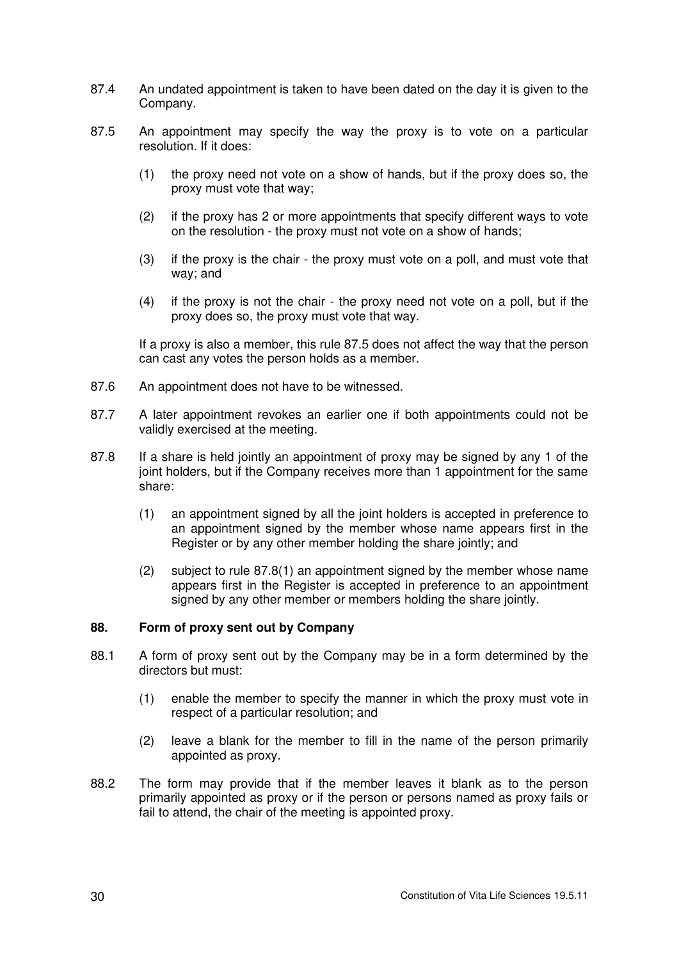- 87.4 An undated appointment is taken to have been dated on the day it is given to the Company.
- 87.5 An appointment may specify the way the proxy is to vote on a particular resolution. If it does:
	- (1) the proxy need not vote on a show of hands, but if the proxy does so, the proxy must vote that way;
	- (2) if the proxy has 2 or more appointments that specify different ways to vote on the resolution - the proxy must not vote on a show of hands;
	- (3) if the proxy is the chair the proxy must vote on a poll, and must vote that way; and
	- (4) if the proxy is not the chair the proxy need not vote on a poll, but if the proxy does so, the proxy must vote that way.

If a proxy is also a member, this rule 87.5 does not affect the way that the person can cast any votes the person holds as a member.

- 87.6 An appointment does not have to be witnessed.
- 87.7 A later appointment revokes an earlier one if both appointments could not be validly exercised at the meeting.
- 87.8 If a share is held jointly an appointment of proxy may be signed by any 1 of the joint holders, but if the Company receives more than 1 appointment for the same share:
	- (1) an appointment signed by all the joint holders is accepted in preference to an appointment signed by the member whose name appears first in the Register or by any other member holding the share jointly; and
	- (2) subject to rule 87.8(1) an appointment signed by the member whose name appears first in the Register is accepted in preference to an appointment signed by any other member or members holding the share jointly.

# **88. Form of proxy sent out by Company**

- 88.1 A form of proxy sent out by the Company may be in a form determined by the directors but must:
	- (1) enable the member to specify the manner in which the proxy must vote in respect of a particular resolution; and
	- (2) leave a blank for the member to fill in the name of the person primarily appointed as proxy.
- 88.2 The form may provide that if the member leaves it blank as to the person primarily appointed as proxy or if the person or persons named as proxy fails or fail to attend, the chair of the meeting is appointed proxy.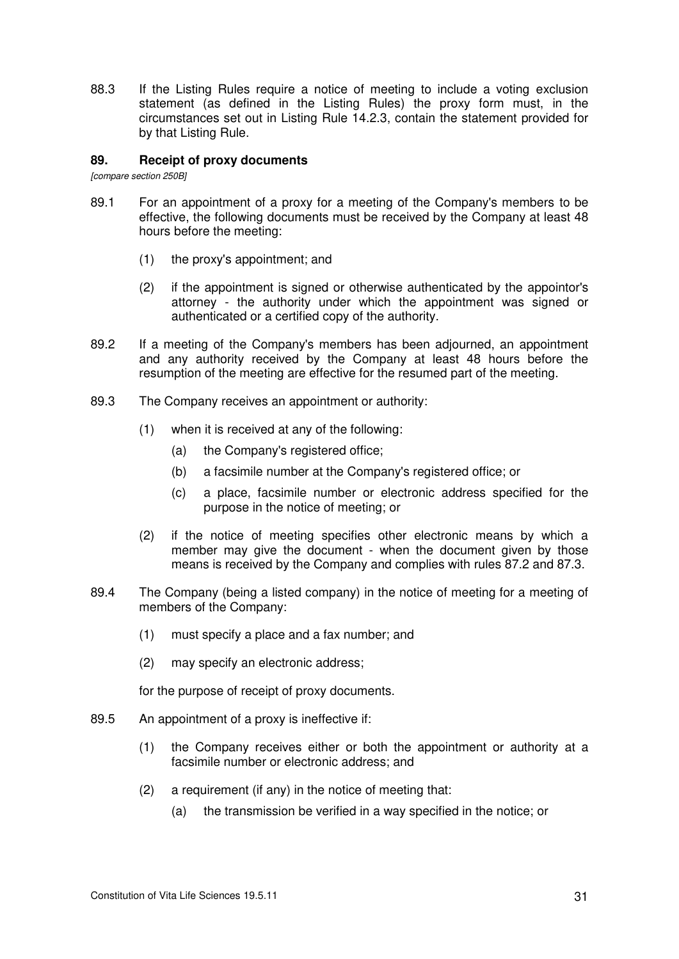88.3 If the Listing Rules require a notice of meeting to include a voting exclusion statement (as defined in the Listing Rules) the proxy form must, in the circumstances set out in Listing Rule 14.2.3, contain the statement provided for by that Listing Rule.

### **89. Receipt of proxy documents**

*[compare section 250B]* 

- 89.1 For an appointment of a proxy for a meeting of the Company's members to be effective, the following documents must be received by the Company at least 48 hours before the meeting:
	- (1) the proxy's appointment; and
	- (2) if the appointment is signed or otherwise authenticated by the appointor's attorney - the authority under which the appointment was signed or authenticated or a certified copy of the authority.
- 89.2 If a meeting of the Company's members has been adjourned, an appointment and any authority received by the Company at least 48 hours before the resumption of the meeting are effective for the resumed part of the meeting.
- 89.3 The Company receives an appointment or authority:
	- (1) when it is received at any of the following:
		- (a) the Company's registered office;
		- (b) a facsimile number at the Company's registered office; or
		- (c) a place, facsimile number or electronic address specified for the purpose in the notice of meeting; or
	- (2) if the notice of meeting specifies other electronic means by which a member may give the document - when the document given by those means is received by the Company and complies with rules 87.2 and 87.3.
- 89.4 The Company (being a listed company) in the notice of meeting for a meeting of members of the Company:
	- (1) must specify a place and a fax number; and
	- (2) may specify an electronic address;

for the purpose of receipt of proxy documents.

- 89.5 An appointment of a proxy is ineffective if:
	- (1) the Company receives either or both the appointment or authority at a facsimile number or electronic address; and
	- (2) a requirement (if any) in the notice of meeting that:
		- (a) the transmission be verified in a way specified in the notice; or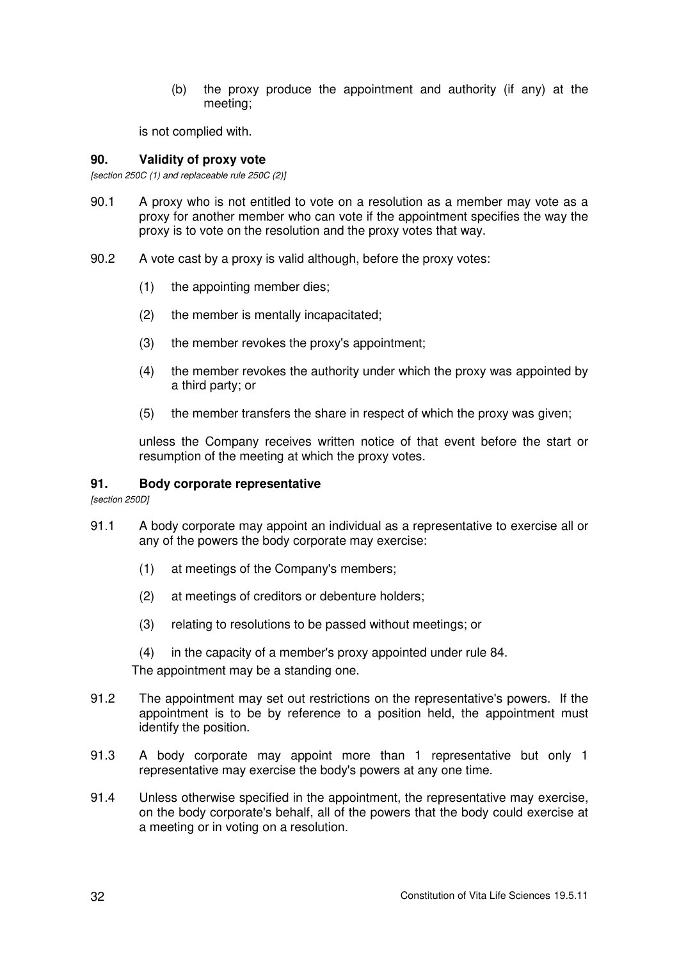(b) the proxy produce the appointment and authority (if any) at the meeting;

is not complied with.

### **90. Validity of proxy vote**

*[section 250C (1) and replaceable rule 250C (2)]*

- 90.1 A proxy who is not entitled to vote on a resolution as a member may vote as a proxy for another member who can vote if the appointment specifies the way the proxy is to vote on the resolution and the proxy votes that way.
- 90.2 A vote cast by a proxy is valid although, before the proxy votes:
	- (1) the appointing member dies;
	- (2) the member is mentally incapacitated;
	- (3) the member revokes the proxy's appointment;
	- (4) the member revokes the authority under which the proxy was appointed by a third party; or
	- (5) the member transfers the share in respect of which the proxy was given;

unless the Company receives written notice of that event before the start or resumption of the meeting at which the proxy votes.

### **91. Body corporate representative**

*[section 250D]* 

- 91.1 A body corporate may appoint an individual as a representative to exercise all or any of the powers the body corporate may exercise:
	- (1) at meetings of the Company's members;
	- (2) at meetings of creditors or debenture holders;
	- (3) relating to resolutions to be passed without meetings; or
	- (4) in the capacity of a member's proxy appointed under rule 84.

The appointment may be a standing one.

- 91.2 The appointment may set out restrictions on the representative's powers. If the appointment is to be by reference to a position held, the appointment must identify the position.
- 91.3 A body corporate may appoint more than 1 representative but only 1 representative may exercise the body's powers at any one time.
- 91.4 Unless otherwise specified in the appointment, the representative may exercise, on the body corporate's behalf, all of the powers that the body could exercise at a meeting or in voting on a resolution.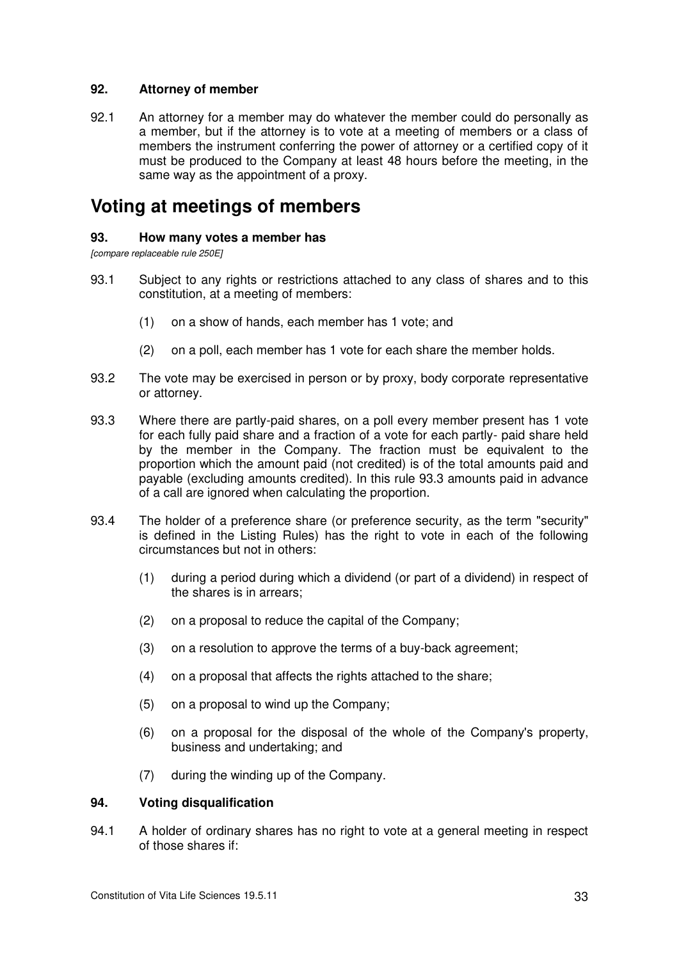### **92. Attorney of member**

92.1 An attorney for a member may do whatever the member could do personally as a member, but if the attorney is to vote at a meeting of members or a class of members the instrument conferring the power of attorney or a certified copy of it must be produced to the Company at least 48 hours before the meeting, in the same way as the appointment of a proxy.

# **Voting at meetings of members**

#### **93. How many votes a member has**

*[compare replaceable rule 250E]* 

- 93.1 Subject to any rights or restrictions attached to any class of shares and to this constitution, at a meeting of members:
	- (1) on a show of hands, each member has 1 vote; and
	- (2) on a poll, each member has 1 vote for each share the member holds.
- 93.2 The vote may be exercised in person or by proxy, body corporate representative or attorney.
- 93.3 Where there are partly-paid shares, on a poll every member present has 1 vote for each fully paid share and a fraction of a vote for each partly- paid share held by the member in the Company. The fraction must be equivalent to the proportion which the amount paid (not credited) is of the total amounts paid and payable (excluding amounts credited). In this rule 93.3 amounts paid in advance of a call are ignored when calculating the proportion.
- 93.4 The holder of a preference share (or preference security, as the term "security" is defined in the Listing Rules) has the right to vote in each of the following circumstances but not in others:
	- (1) during a period during which a dividend (or part of a dividend) in respect of the shares is in arrears;
	- (2) on a proposal to reduce the capital of the Company;
	- (3) on a resolution to approve the terms of a buy-back agreement;
	- (4) on a proposal that affects the rights attached to the share;
	- (5) on a proposal to wind up the Company;
	- (6) on a proposal for the disposal of the whole of the Company's property, business and undertaking; and
	- (7) during the winding up of the Company.

#### **94. Voting disqualification**

94.1 A holder of ordinary shares has no right to vote at a general meeting in respect of those shares if: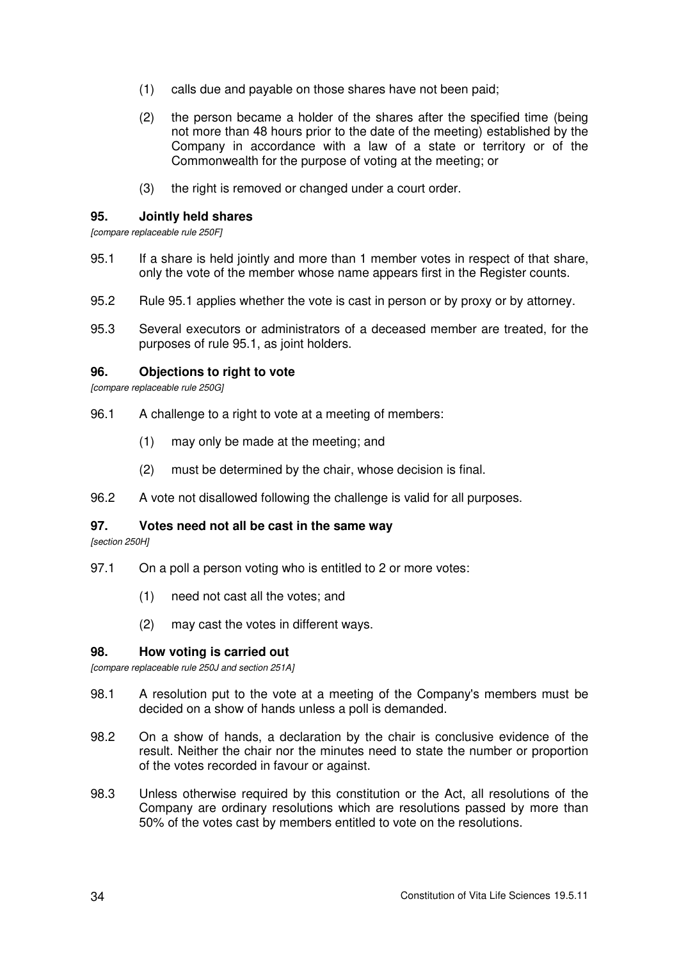- (1) calls due and payable on those shares have not been paid;
- (2) the person became a holder of the shares after the specified time (being not more than 48 hours prior to the date of the meeting) established by the Company in accordance with a law of a state or territory or of the Commonwealth for the purpose of voting at the meeting; or
- (3) the right is removed or changed under a court order.

#### **95. Jointly held shares**

*[compare replaceable rule 250F]* 

- 95.1 If a share is held jointly and more than 1 member votes in respect of that share, only the vote of the member whose name appears first in the Register counts.
- 95.2 Rule 95.1 applies whether the vote is cast in person or by proxy or by attorney.
- 95.3 Several executors or administrators of a deceased member are treated, for the purposes of rule 95.1, as joint holders.

### **96. Objections to right to vote**

*[compare replaceable rule 250G]* 

- 96.1 A challenge to a right to vote at a meeting of members:
	- (1) may only be made at the meeting; and
	- (2) must be determined by the chair, whose decision is final.
- 96.2 A vote not disallowed following the challenge is valid for all purposes.

#### **97. Votes need not all be cast in the same way**

*[section 250H]* 

- 97.1 On a poll a person voting who is entitled to 2 or more votes:
	- (1) need not cast all the votes; and
	- (2) may cast the votes in different ways.

#### **98. How voting is carried out**

*[compare replaceable rule 250J and section 251A]* 

- 98.1 A resolution put to the vote at a meeting of the Company's members must be decided on a show of hands unless a poll is demanded.
- 98.2 On a show of hands, a declaration by the chair is conclusive evidence of the result. Neither the chair nor the minutes need to state the number or proportion of the votes recorded in favour or against.
- 98.3 Unless otherwise required by this constitution or the Act, all resolutions of the Company are ordinary resolutions which are resolutions passed by more than 50% of the votes cast by members entitled to vote on the resolutions.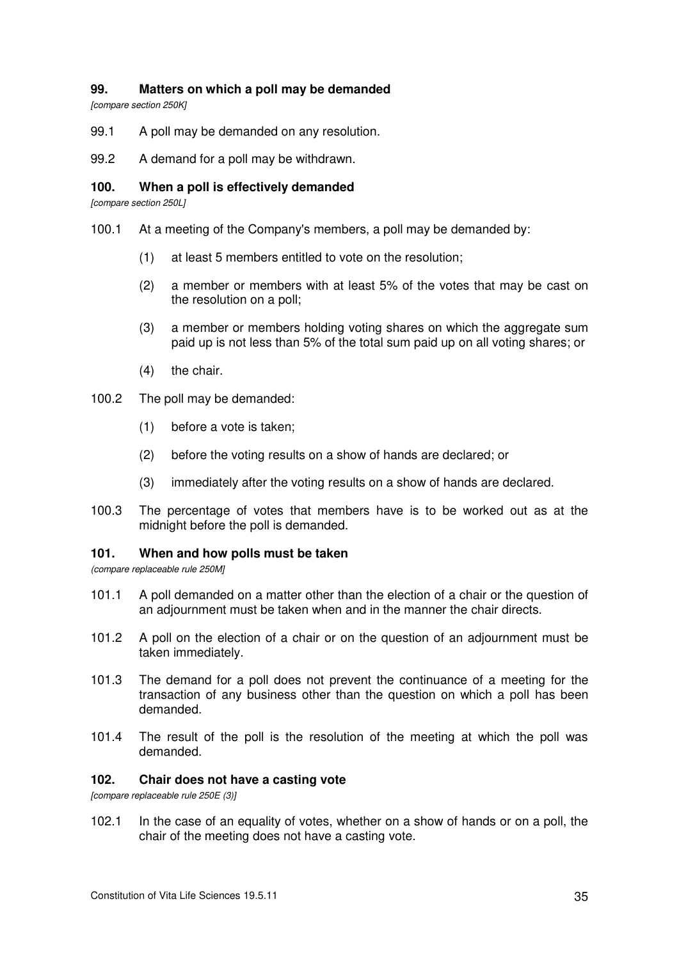# **99. Matters on which a poll may be demanded**

*[compare section 250K]* 

- 99.1 A poll may be demanded on any resolution.
- 99.2 A demand for a poll may be withdrawn.

### **100. When a poll is effectively demanded**

*[compare section 250L]* 

- 100.1 At a meeting of the Company's members, a poll may be demanded by:
	- (1) at least 5 members entitled to vote on the resolution;
	- (2) a member or members with at least 5% of the votes that may be cast on the resolution on a poll;
	- (3) a member or members holding voting shares on which the aggregate sum paid up is not less than 5% of the total sum paid up on all voting shares; or
	- (4) the chair.
- 100.2 The poll may be demanded:
	- (1) before a vote is taken;
	- (2) before the voting results on a show of hands are declared; or
	- (3) immediately after the voting results on a show of hands are declared.
- 100.3 The percentage of votes that members have is to be worked out as at the midnight before the poll is demanded.

#### **101. When and how polls must be taken**

*(compare replaceable rule 250M]* 

- 101.1 A poll demanded on a matter other than the election of a chair or the question of an adjournment must be taken when and in the manner the chair directs.
- 101.2 A poll on the election of a chair or on the question of an adjournment must be taken immediately.
- 101.3 The demand for a poll does not prevent the continuance of a meeting for the transaction of any business other than the question on which a poll has been demanded.
- 101.4 The result of the poll is the resolution of the meeting at which the poll was demanded.

# **102. Chair does not have a casting vote**

*[compare replaceable rule 250E (3)]* 

102.1 In the case of an equality of votes, whether on a show of hands or on a poll, the chair of the meeting does not have a casting vote.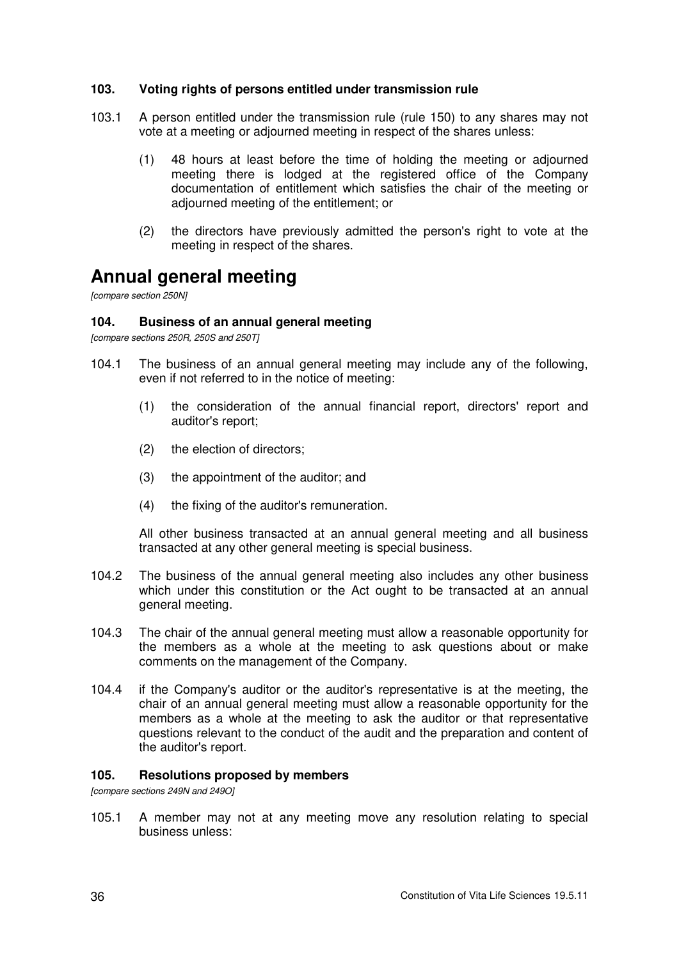### **103. Voting rights of persons entitled under transmission rule**

- 103.1 A person entitled under the transmission rule (rule 150) to any shares may not vote at a meeting or adjourned meeting in respect of the shares unless:
	- (1) 48 hours at least before the time of holding the meeting or adjourned meeting there is lodged at the registered office of the Company documentation of entitlement which satisfies the chair of the meeting or adjourned meeting of the entitlement; or
	- (2) the directors have previously admitted the person's right to vote at the meeting in respect of the shares.

# **Annual general meeting**

*[compare section 250N]* 

### **104. Business of an annual general meeting**

*[compare sections 250R, 250S and 250T]* 

- 104.1 The business of an annual general meeting may include any of the following, even if not referred to in the notice of meeting:
	- (1) the consideration of the annual financial report, directors' report and auditor's report;
	- (2) the election of directors;
	- (3) the appointment of the auditor; and
	- (4) the fixing of the auditor's remuneration.

All other business transacted at an annual general meeting and all business transacted at any other general meeting is special business.

- 104.2 The business of the annual general meeting also includes any other business which under this constitution or the Act ought to be transacted at an annual general meeting.
- 104.3 The chair of the annual general meeting must allow a reasonable opportunity for the members as a whole at the meeting to ask questions about or make comments on the management of the Company.
- 104.4 if the Company's auditor or the auditor's representative is at the meeting, the chair of an annual general meeting must allow a reasonable opportunity for the members as a whole at the meeting to ask the auditor or that representative questions relevant to the conduct of the audit and the preparation and content of the auditor's report.

#### **105. Resolutions proposed by members**

*[compare sections 249N and 249O]* 

105.1 A member may not at any meeting move any resolution relating to special business unless: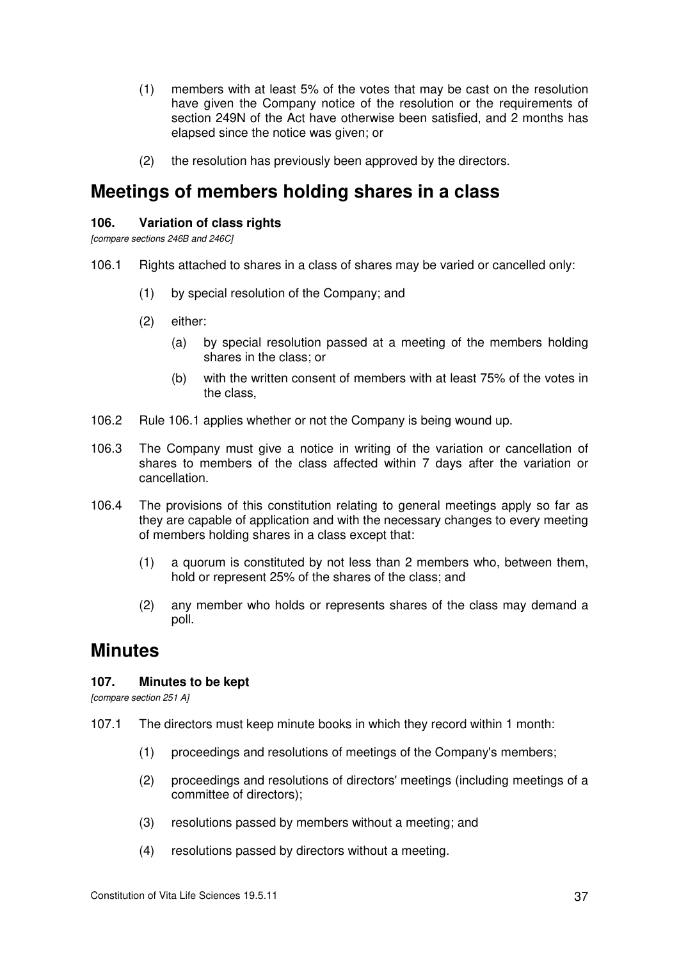- (1) members with at least 5% of the votes that may be cast on the resolution have given the Company notice of the resolution or the requirements of section 249N of the Act have otherwise been satisfied, and 2 months has elapsed since the notice was given; or
- (2) the resolution has previously been approved by the directors.

# **Meetings of members holding shares in a class**

### **106. Variation of class rights**

*[compare sections 246B and 246C]* 

- 106.1 Rights attached to shares in a class of shares may be varied or cancelled only:
	- (1) by special resolution of the Company; and
	- (2) either:
		- (a) by special resolution passed at a meeting of the members holding shares in the class; or
		- (b) with the written consent of members with at least 75% of the votes in the class,
- 106.2 Rule 106.1 applies whether or not the Company is being wound up.
- 106.3 The Company must give a notice in writing of the variation or cancellation of shares to members of the class affected within 7 days after the variation or cancellation.
- 106.4 The provisions of this constitution relating to general meetings apply so far as they are capable of application and with the necessary changes to every meeting of members holding shares in a class except that:
	- (1) a quorum is constituted by not less than 2 members who, between them, hold or represent 25% of the shares of the class; and
	- (2) any member who holds or represents shares of the class may demand a poll.

# **Minutes**

# **107. Minutes to be kept**

*[compare section 251 A]* 

- 107.1 The directors must keep minute books in which they record within 1 month:
	- (1) proceedings and resolutions of meetings of the Company's members;
	- (2) proceedings and resolutions of directors' meetings (including meetings of a committee of directors);
	- (3) resolutions passed by members without a meeting; and
	- (4) resolutions passed by directors without a meeting.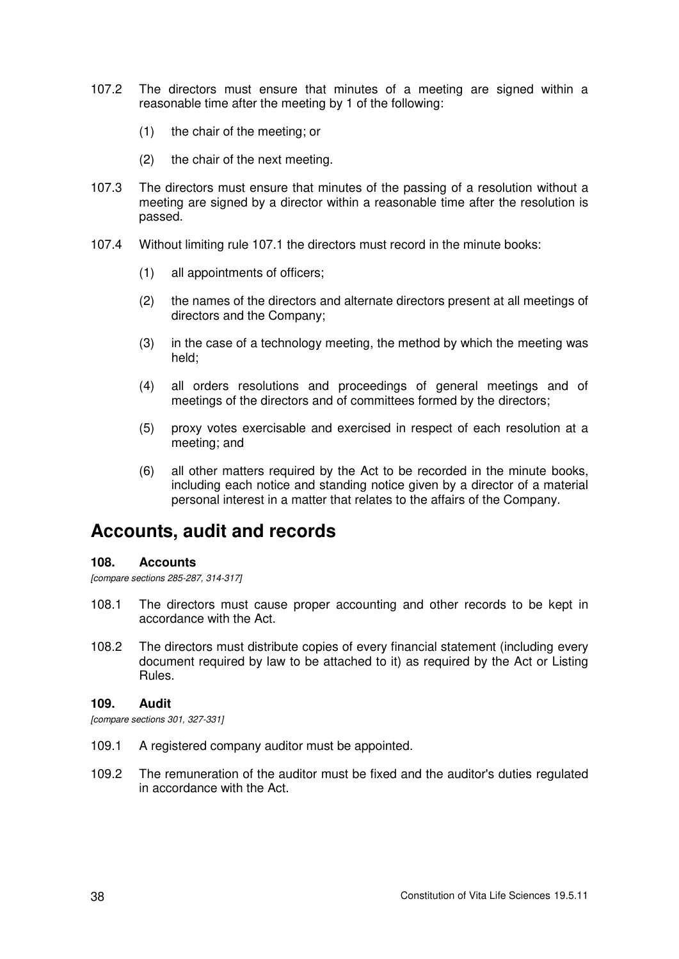- 107.2 The directors must ensure that minutes of a meeting are signed within a reasonable time after the meeting by 1 of the following:
	- (1) the chair of the meeting; or
	- (2) the chair of the next meeting.
- 107.3 The directors must ensure that minutes of the passing of a resolution without a meeting are signed by a director within a reasonable time after the resolution is passed.
- 107.4 Without limiting rule 107.1 the directors must record in the minute books:
	- (1) all appointments of officers;
	- (2) the names of the directors and alternate directors present at all meetings of directors and the Company;
	- (3) in the case of a technology meeting, the method by which the meeting was held;
	- (4) all orders resolutions and proceedings of general meetings and of meetings of the directors and of committees formed by the directors;
	- (5) proxy votes exercisable and exercised in respect of each resolution at a meeting; and
	- (6) all other matters required by the Act to be recorded in the minute books, including each notice and standing notice given by a director of a material personal interest in a matter that relates to the affairs of the Company.

# **Accounts, audit and records**

#### **108. Accounts**

*[compare sections 285-287, 314-317]*

- 108.1 The directors must cause proper accounting and other records to be kept in accordance with the Act.
- 108.2 The directors must distribute copies of every financial statement (including every document required by law to be attached to it) as required by the Act or Listing Rules.

#### **109. Audit**

*[compare sections 301, 327-331]*

- 109.1 A registered company auditor must be appointed.
- 109.2 The remuneration of the auditor must be fixed and the auditor's duties regulated in accordance with the Act.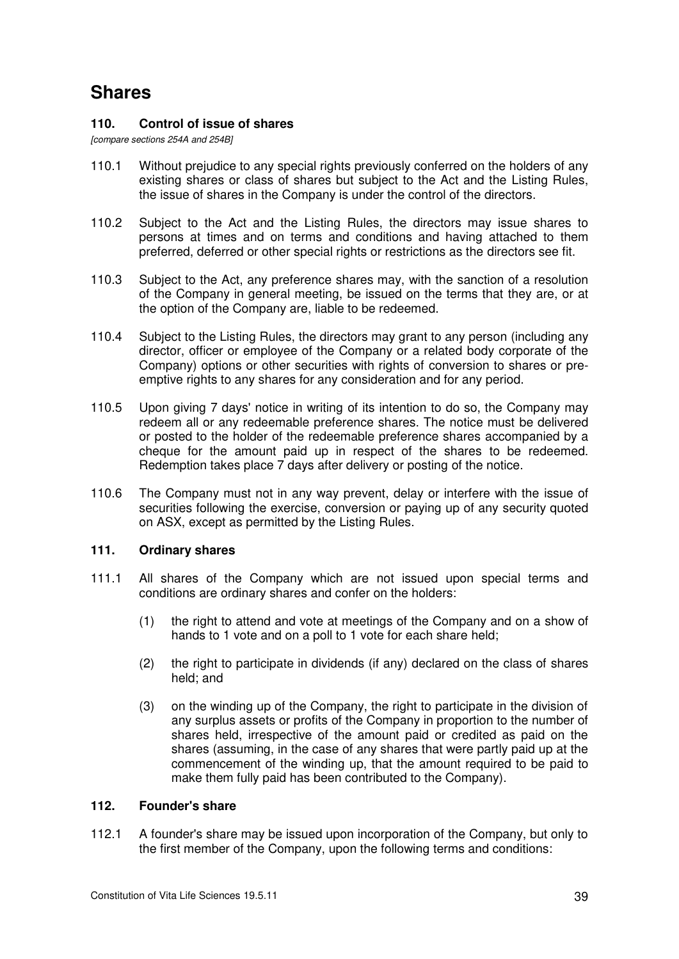# **Shares**

### **110. Control of issue of shares**

*[compare sections 254A and 254B]* 

- 110.1 Without prejudice to any special rights previously conferred on the holders of any existing shares or class of shares but subject to the Act and the Listing Rules, the issue of shares in the Company is under the control of the directors.
- 110.2 Subject to the Act and the Listing Rules, the directors may issue shares to persons at times and on terms and conditions and having attached to them preferred, deferred or other special rights or restrictions as the directors see fit.
- 110.3 Subject to the Act, any preference shares may, with the sanction of a resolution of the Company in general meeting, be issued on the terms that they are, or at the option of the Company are, liable to be redeemed.
- 110.4 Subject to the Listing Rules, the directors may grant to any person (including any director, officer or employee of the Company or a related body corporate of the Company) options or other securities with rights of conversion to shares or preemptive rights to any shares for any consideration and for any period.
- 110.5 Upon giving 7 days' notice in writing of its intention to do so, the Company may redeem all or any redeemable preference shares. The notice must be delivered or posted to the holder of the redeemable preference shares accompanied by a cheque for the amount paid up in respect of the shares to be redeemed. Redemption takes place 7 days after delivery or posting of the notice.
- 110.6 The Company must not in any way prevent, delay or interfere with the issue of securities following the exercise, conversion or paying up of any security quoted on ASX, except as permitted by the Listing Rules.

#### **111. Ordinary shares**

- 111.1 All shares of the Company which are not issued upon special terms and conditions are ordinary shares and confer on the holders:
	- (1) the right to attend and vote at meetings of the Company and on a show of hands to 1 vote and on a poll to 1 vote for each share held;
	- (2) the right to participate in dividends (if any) declared on the class of shares held; and
	- (3) on the winding up of the Company, the right to participate in the division of any surplus assets or profits of the Company in proportion to the number of shares held, irrespective of the amount paid or credited as paid on the shares (assuming, in the case of any shares that were partly paid up at the commencement of the winding up, that the amount required to be paid to make them fully paid has been contributed to the Company).

#### **112. Founder's share**

112.1 A founder's share may be issued upon incorporation of the Company, but only to the first member of the Company, upon the following terms and conditions: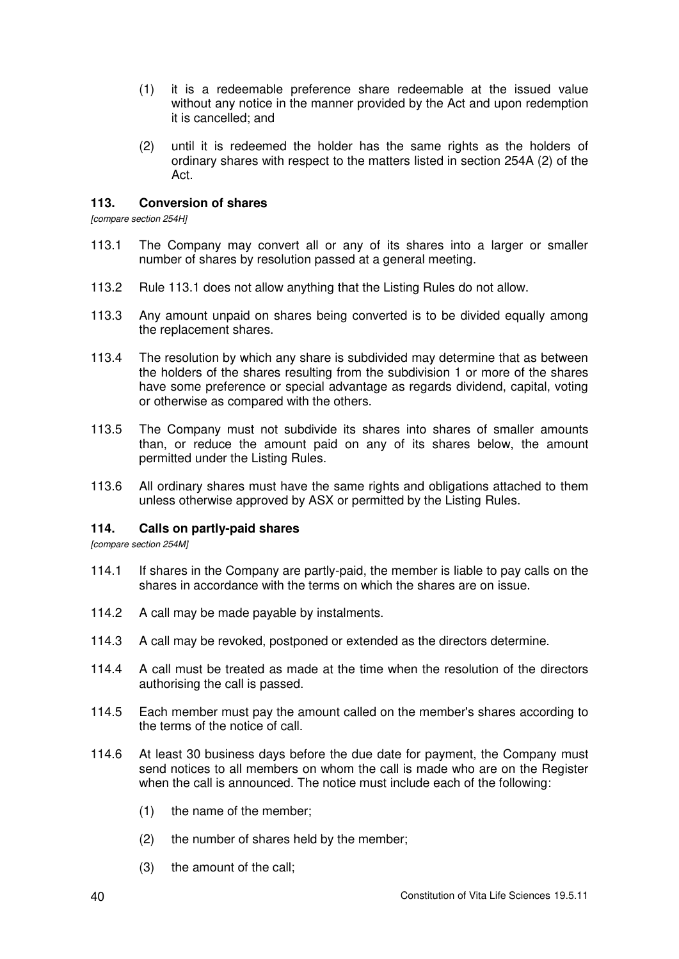- (1) it is a redeemable preference share redeemable at the issued value without any notice in the manner provided by the Act and upon redemption it is cancelled; and
- (2) until it is redeemed the holder has the same rights as the holders of ordinary shares with respect to the matters listed in section 254A (2) of the Act.

### **113. Conversion of shares**

*[compare section 254H]* 

- 113.1 The Company may convert all or any of its shares into a larger or smaller number of shares by resolution passed at a general meeting.
- 113.2 Rule 113.1 does not allow anything that the Listing Rules do not allow.
- 113.3 Any amount unpaid on shares being converted is to be divided equally among the replacement shares.
- 113.4 The resolution by which any share is subdivided may determine that as between the holders of the shares resulting from the subdivision 1 or more of the shares have some preference or special advantage as regards dividend, capital, voting or otherwise as compared with the others.
- 113.5 The Company must not subdivide its shares into shares of smaller amounts than, or reduce the amount paid on any of its shares below, the amount permitted under the Listing Rules.
- 113.6 All ordinary shares must have the same rights and obligations attached to them unless otherwise approved by ASX or permitted by the Listing Rules.

# **114. Calls on partly-paid shares**

*[compare section 254M]* 

- 114.1 If shares in the Company are partly-paid, the member is liable to pay calls on the shares in accordance with the terms on which the shares are on issue.
- 114.2 A call may be made payable by instalments.
- 114.3 A call may be revoked, postponed or extended as the directors determine.
- 114.4 A call must be treated as made at the time when the resolution of the directors authorising the call is passed.
- 114.5 Each member must pay the amount called on the member's shares according to the terms of the notice of call.
- 114.6 At least 30 business days before the due date for payment, the Company must send notices to all members on whom the call is made who are on the Register when the call is announced. The notice must include each of the following:
	- (1) the name of the member;
	- (2) the number of shares held by the member;
	- (3) the amount of the call;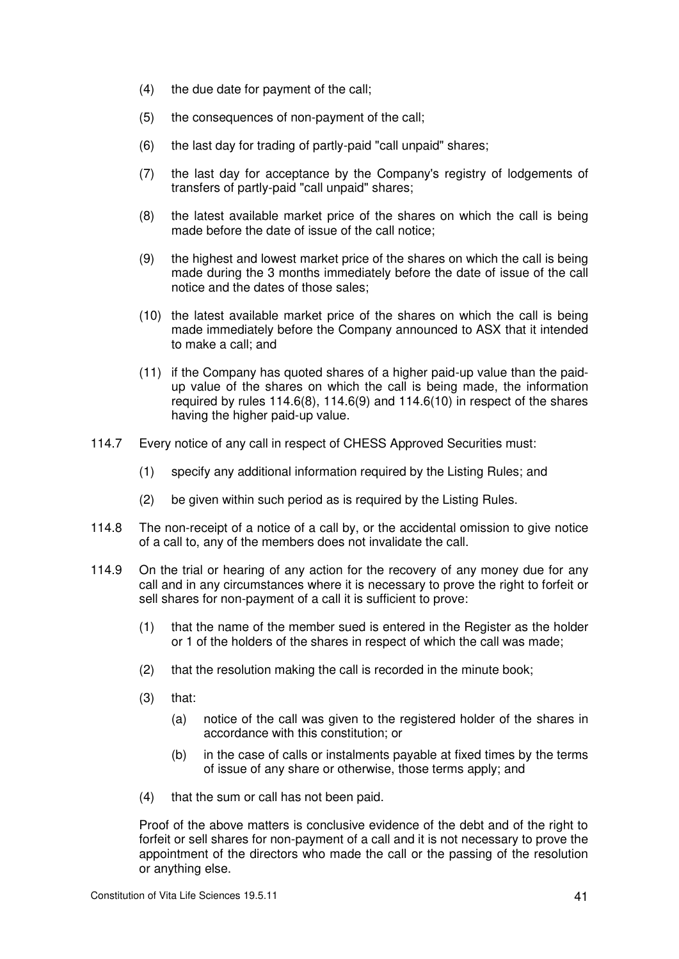- (4) the due date for payment of the call;
- (5) the consequences of non-payment of the call;
- (6) the last day for trading of partly-paid "call unpaid" shares;
- (7) the last day for acceptance by the Company's registry of lodgements of transfers of partly-paid "call unpaid" shares;
- (8) the latest available market price of the shares on which the call is being made before the date of issue of the call notice;
- (9) the highest and lowest market price of the shares on which the call is being made during the 3 months immediately before the date of issue of the call notice and the dates of those sales;
- (10) the latest available market price of the shares on which the call is being made immediately before the Company announced to ASX that it intended to make a call; and
- (11) if the Company has quoted shares of a higher paid-up value than the paidup value of the shares on which the call is being made, the information required by rules 114.6(8), 114.6(9) and 114.6(10) in respect of the shares having the higher paid-up value.
- 114.7 Every notice of any call in respect of CHESS Approved Securities must:
	- (1) specify any additional information required by the Listing Rules; and
	- (2) be given within such period as is required by the Listing Rules.
- 114.8 The non-receipt of a notice of a call by, or the accidental omission to give notice of a call to, any of the members does not invalidate the call.
- 114.9 On the trial or hearing of any action for the recovery of any money due for any call and in any circumstances where it is necessary to prove the right to forfeit or sell shares for non-payment of a call it is sufficient to prove:
	- (1) that the name of the member sued is entered in the Register as the holder or 1 of the holders of the shares in respect of which the call was made;
	- (2) that the resolution making the call is recorded in the minute book;
	- $(3)$  that:
		- (a) notice of the call was given to the registered holder of the shares in accordance with this constitution; or
		- (b) in the case of calls or instalments payable at fixed times by the terms of issue of any share or otherwise, those terms apply; and
	- (4) that the sum or call has not been paid.

Proof of the above matters is conclusive evidence of the debt and of the right to forfeit or sell shares for non-payment of a call and it is not necessary to prove the appointment of the directors who made the call or the passing of the resolution or anything else.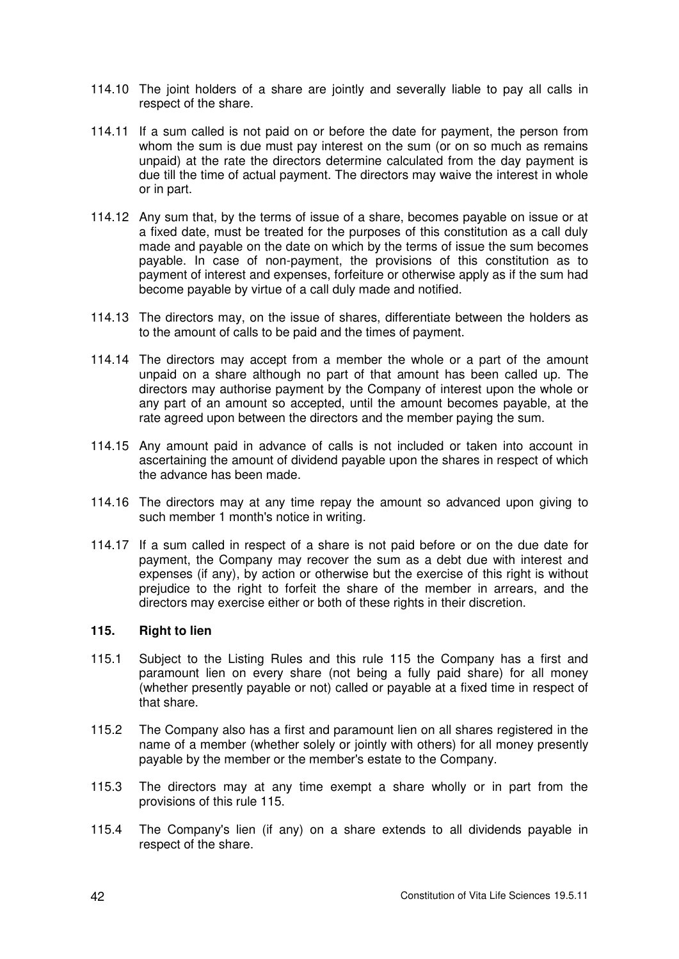- 114.10 The joint holders of a share are jointly and severally liable to pay all calls in respect of the share.
- 114.11 If a sum called is not paid on or before the date for payment, the person from whom the sum is due must pay interest on the sum (or on so much as remains unpaid) at the rate the directors determine calculated from the day payment is due till the time of actual payment. The directors may waive the interest in whole or in part.
- 114.12 Any sum that, by the terms of issue of a share, becomes payable on issue or at a fixed date, must be treated for the purposes of this constitution as a call duly made and payable on the date on which by the terms of issue the sum becomes payable. In case of non-payment, the provisions of this constitution as to payment of interest and expenses, forfeiture or otherwise apply as if the sum had become payable by virtue of a call duly made and notified.
- 114.13 The directors may, on the issue of shares, differentiate between the holders as to the amount of calls to be paid and the times of payment.
- 114.14 The directors may accept from a member the whole or a part of the amount unpaid on a share although no part of that amount has been called up. The directors may authorise payment by the Company of interest upon the whole or any part of an amount so accepted, until the amount becomes payable, at the rate agreed upon between the directors and the member paying the sum.
- 114.15 Any amount paid in advance of calls is not included or taken into account in ascertaining the amount of dividend payable upon the shares in respect of which the advance has been made.
- 114.16 The directors may at any time repay the amount so advanced upon giving to such member 1 month's notice in writing.
- 114.17 If a sum called in respect of a share is not paid before or on the due date for payment, the Company may recover the sum as a debt due with interest and expenses (if any), by action or otherwise but the exercise of this right is without prejudice to the right to forfeit the share of the member in arrears, and the directors may exercise either or both of these rights in their discretion.

# **115. Right to lien**

- 115.1 Subject to the Listing Rules and this rule 115 the Company has a first and paramount lien on every share (not being a fully paid share) for all money (whether presently payable or not) called or payable at a fixed time in respect of that share.
- 115.2 The Company also has a first and paramount lien on all shares registered in the name of a member (whether solely or jointly with others) for all money presently payable by the member or the member's estate to the Company.
- 115.3 The directors may at any time exempt a share wholly or in part from the provisions of this rule 115.
- 115.4 The Company's lien (if any) on a share extends to all dividends payable in respect of the share.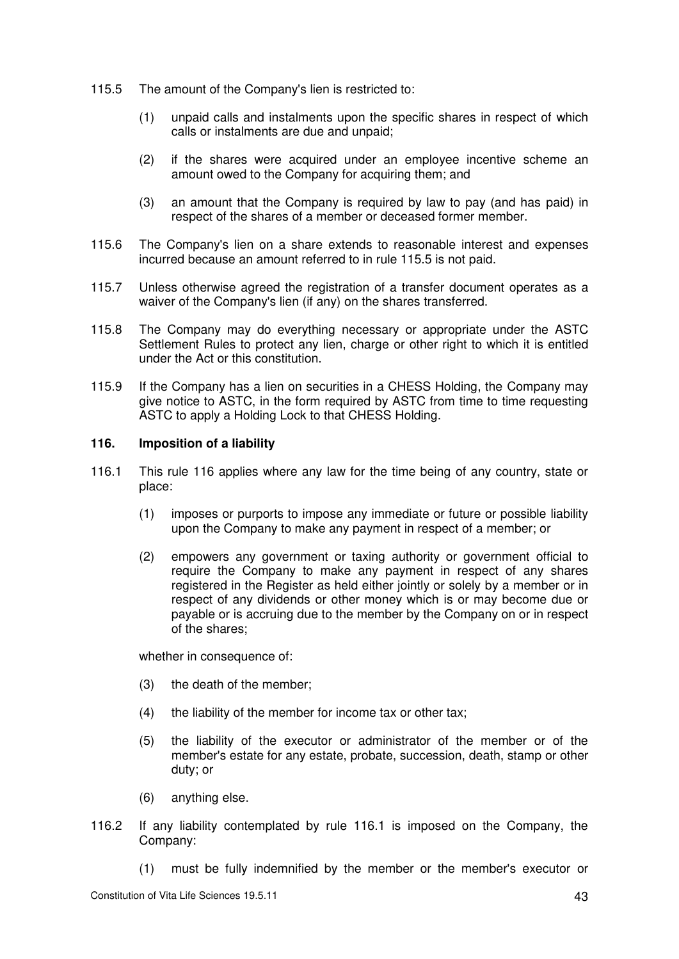- 115.5 The amount of the Company's lien is restricted to:
	- (1) unpaid calls and instalments upon the specific shares in respect of which calls or instalments are due and unpaid;
	- (2) if the shares were acquired under an employee incentive scheme an amount owed to the Company for acquiring them; and
	- (3) an amount that the Company is required by law to pay (and has paid) in respect of the shares of a member or deceased former member.
- 115.6 The Company's lien on a share extends to reasonable interest and expenses incurred because an amount referred to in rule 115.5 is not paid.
- 115.7 Unless otherwise agreed the registration of a transfer document operates as a waiver of the Company's lien (if any) on the shares transferred.
- 115.8 The Company may do everything necessary or appropriate under the ASTC Settlement Rules to protect any lien, charge or other right to which it is entitled under the Act or this constitution.
- 115.9 If the Company has a lien on securities in a CHESS Holding, the Company may give notice to ASTC, in the form required by ASTC from time to time requesting ASTC to apply a Holding Lock to that CHESS Holding.

# **116. Imposition of a liability**

- 116.1 This rule 116 applies where any law for the time being of any country, state or place:
	- (1) imposes or purports to impose any immediate or future or possible liability upon the Company to make any payment in respect of a member; or
	- (2) empowers any government or taxing authority or government official to require the Company to make any payment in respect of any shares registered in the Register as held either jointly or solely by a member or in respect of any dividends or other money which is or may become due or payable or is accruing due to the member by the Company on or in respect of the shares;

whether in consequence of:

- (3) the death of the member;
- $(4)$  the liability of the member for income tax or other tax;
- (5) the liability of the executor or administrator of the member or of the member's estate for any estate, probate, succession, death, stamp or other duty; or
- (6) anything else.
- 116.2 If any liability contemplated by rule 116.1 is imposed on the Company, the Company:
	- (1) must be fully indemnified by the member or the member's executor or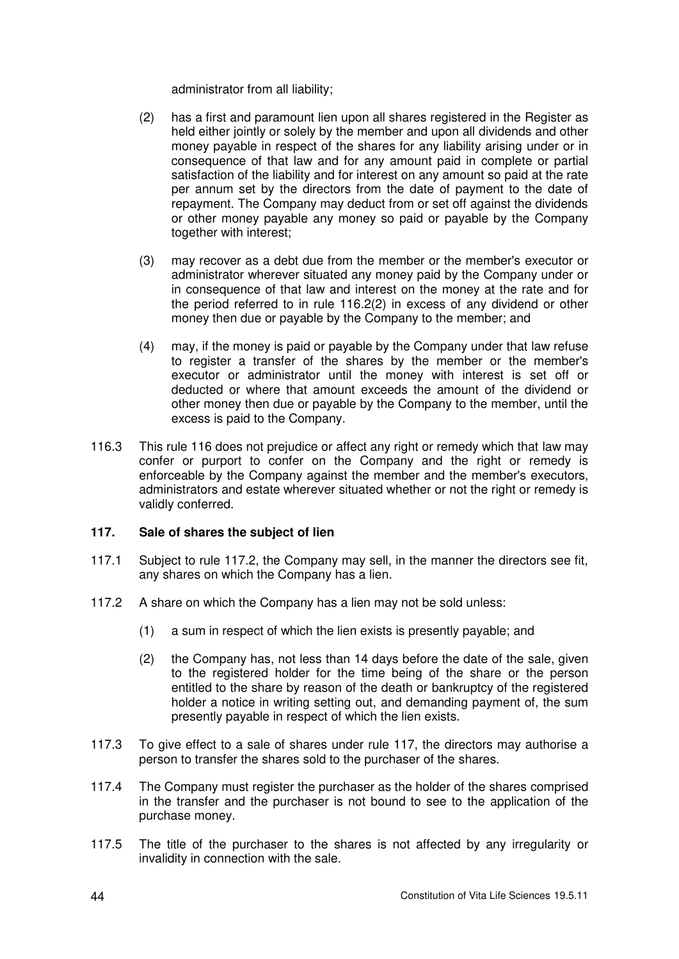administrator from all liability;

- (2) has a first and paramount lien upon all shares registered in the Register as held either jointly or solely by the member and upon all dividends and other money payable in respect of the shares for any liability arising under or in consequence of that law and for any amount paid in complete or partial satisfaction of the liability and for interest on any amount so paid at the rate per annum set by the directors from the date of payment to the date of repayment. The Company may deduct from or set off against the dividends or other money payable any money so paid or payable by the Company together with interest;
- (3) may recover as a debt due from the member or the member's executor or administrator wherever situated any money paid by the Company under or in consequence of that law and interest on the money at the rate and for the period referred to in rule 116.2(2) in excess of any dividend or other money then due or payable by the Company to the member; and
- (4) may, if the money is paid or payable by the Company under that law refuse to register a transfer of the shares by the member or the member's executor or administrator until the money with interest is set off or deducted or where that amount exceeds the amount of the dividend or other money then due or payable by the Company to the member, until the excess is paid to the Company.
- 116.3 This rule 116 does not prejudice or affect any right or remedy which that law may confer or purport to confer on the Company and the right or remedy is enforceable by the Company against the member and the member's executors, administrators and estate wherever situated whether or not the right or remedy is validly conferred.

# **117. Sale of shares the subject of lien**

- 117.1 Subject to rule 117.2, the Company may sell, in the manner the directors see fit, any shares on which the Company has a lien.
- 117.2 A share on which the Company has a lien may not be sold unless:
	- (1) a sum in respect of which the lien exists is presently payable; and
	- (2) the Company has, not less than 14 days before the date of the sale, given to the registered holder for the time being of the share or the person entitled to the share by reason of the death or bankruptcy of the registered holder a notice in writing setting out, and demanding payment of, the sum presently payable in respect of which the lien exists.
- 117.3 To give effect to a sale of shares under rule 117, the directors may authorise a person to transfer the shares sold to the purchaser of the shares.
- 117.4 The Company must register the purchaser as the holder of the shares comprised in the transfer and the purchaser is not bound to see to the application of the purchase money.
- 117.5 The title of the purchaser to the shares is not affected by any irregularity or invalidity in connection with the sale.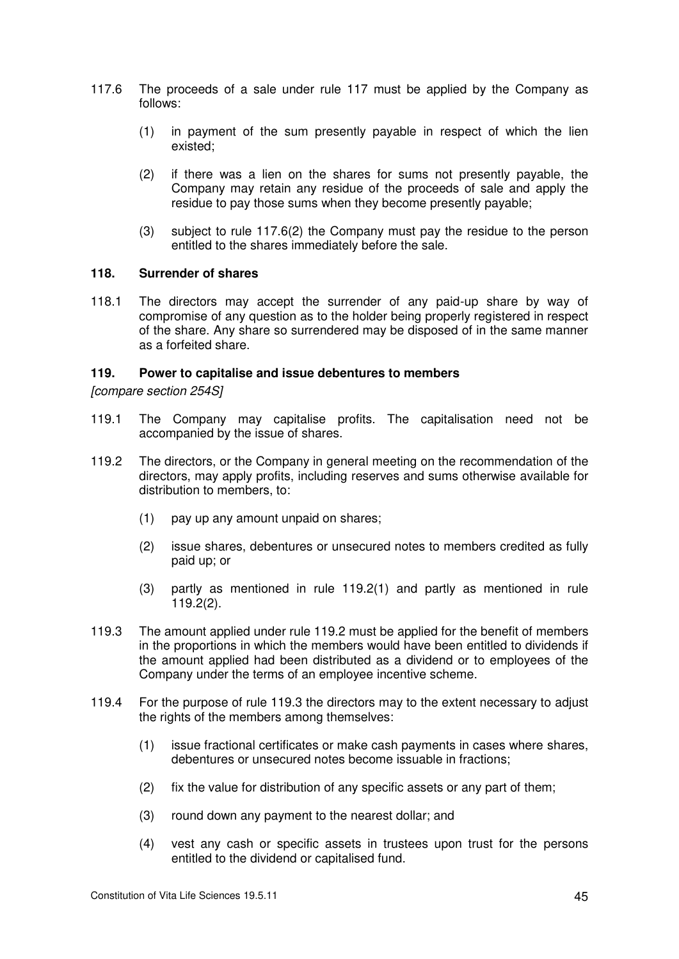- 117.6 The proceeds of a sale under rule 117 must be applied by the Company as follows:
	- (1) in payment of the sum presently payable in respect of which the lien existed;
	- (2) if there was a lien on the shares for sums not presently payable, the Company may retain any residue of the proceeds of sale and apply the residue to pay those sums when they become presently payable;
	- (3) subject to rule 117.6(2) the Company must pay the residue to the person entitled to the shares immediately before the sale.

#### **118. Surrender of shares**

118.1 The directors may accept the surrender of any paid-up share by way of compromise of any question as to the holder being properly registered in respect of the share. Any share so surrendered may be disposed of in the same manner as a forfeited share.

### **119. Power to capitalise and issue debentures to members**

*[compare section 254S]* 

- 119.1 The Company may capitalise profits. The capitalisation need not be accompanied by the issue of shares.
- 119.2 The directors, or the Company in general meeting on the recommendation of the directors, may apply profits, including reserves and sums otherwise available for distribution to members, to:
	- (1) pay up any amount unpaid on shares;
	- (2) issue shares, debentures or unsecured notes to members credited as fully paid up; or
	- (3) partly as mentioned in rule 119.2(1) and partly as mentioned in rule 119.2(2).
- 119.3 The amount applied under rule 119.2 must be applied for the benefit of members in the proportions in which the members would have been entitled to dividends if the amount applied had been distributed as a dividend or to employees of the Company under the terms of an employee incentive scheme.
- 119.4 For the purpose of rule 119.3 the directors may to the extent necessary to adjust the rights of the members among themselves:
	- (1) issue fractional certificates or make cash payments in cases where shares, debentures or unsecured notes become issuable in fractions;
	- (2) fix the value for distribution of any specific assets or any part of them;
	- (3) round down any payment to the nearest dollar; and
	- (4) vest any cash or specific assets in trustees upon trust for the persons entitled to the dividend or capitalised fund.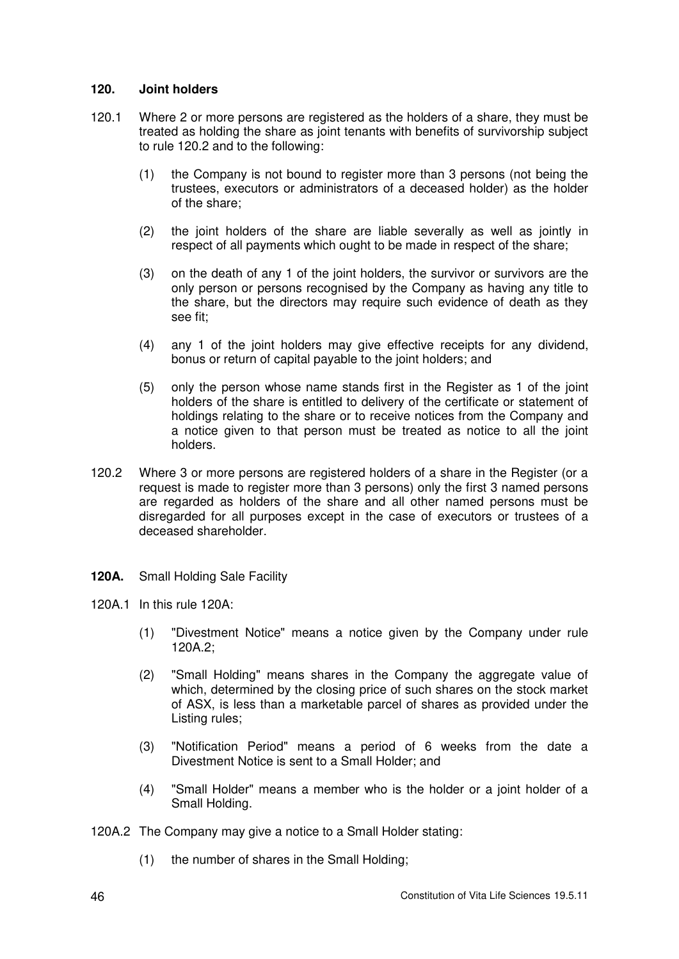### **120. Joint holders**

- 120.1 Where 2 or more persons are registered as the holders of a share, they must be treated as holding the share as joint tenants with benefits of survivorship subject to rule 120.2 and to the following:
	- (1) the Company is not bound to register more than 3 persons (not being the trustees, executors or administrators of a deceased holder) as the holder of the share;
	- (2) the joint holders of the share are liable severally as well as jointly in respect of all payments which ought to be made in respect of the share;
	- (3) on the death of any 1 of the joint holders, the survivor or survivors are the only person or persons recognised by the Company as having any title to the share, but the directors may require such evidence of death as they see fit;
	- (4) any 1 of the joint holders may give effective receipts for any dividend, bonus or return of capital payable to the joint holders; and
	- (5) only the person whose name stands first in the Register as 1 of the joint holders of the share is entitled to delivery of the certificate or statement of holdings relating to the share or to receive notices from the Company and a notice given to that person must be treated as notice to all the joint holders.
- 120.2 Where 3 or more persons are registered holders of a share in the Register (or a request is made to register more than 3 persons) only the first 3 named persons are regarded as holders of the share and all other named persons must be disregarded for all purposes except in the case of executors or trustees of a deceased shareholder.
- **120A.** Small Holding Sale Facility
- 120A.1 In this rule 120A:
	- (1) "Divestment Notice" means a notice given by the Company under rule 120A.2;
	- (2) "Small Holding" means shares in the Company the aggregate value of which, determined by the closing price of such shares on the stock market of ASX, is less than a marketable parcel of shares as provided under the Listing rules;
	- (3) "Notification Period" means a period of 6 weeks from the date a Divestment Notice is sent to a Small Holder; and
	- (4) "Small Holder" means a member who is the holder or a joint holder of a Small Holding.
- 120A.2 The Company may give a notice to a Small Holder stating:
	- (1) the number of shares in the Small Holding;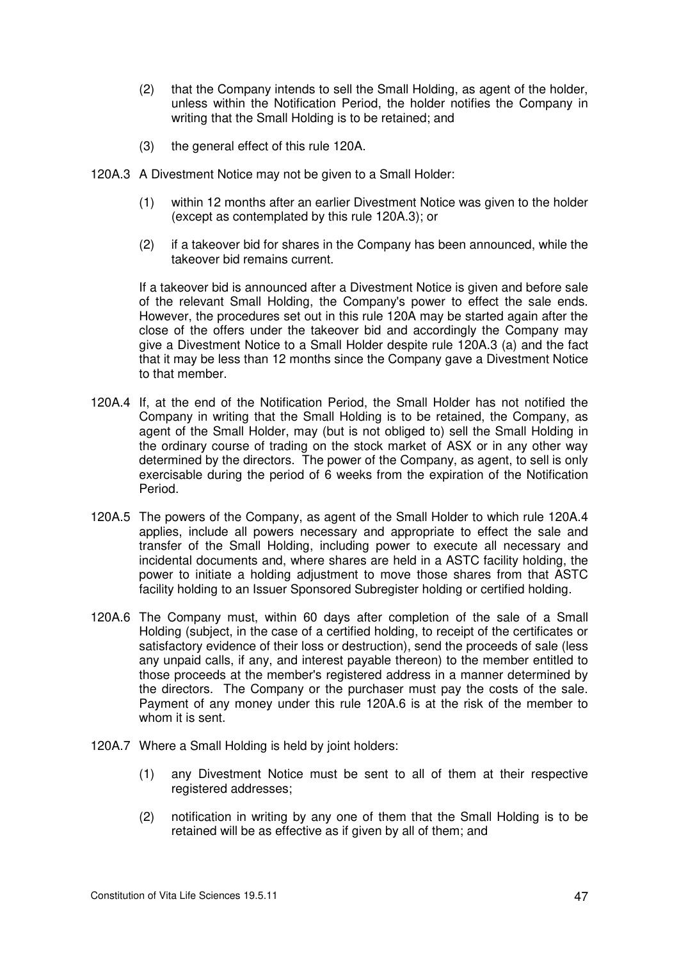- (2) that the Company intends to sell the Small Holding, as agent of the holder, unless within the Notification Period, the holder notifies the Company in writing that the Small Holding is to be retained; and
- (3) the general effect of this rule 120A.
- 120A.3 A Divestment Notice may not be given to a Small Holder:
	- (1) within 12 months after an earlier Divestment Notice was given to the holder (except as contemplated by this rule 120A.3); or
	- (2) if a takeover bid for shares in the Company has been announced, while the takeover bid remains current.

If a takeover bid is announced after a Divestment Notice is given and before sale of the relevant Small Holding, the Company's power to effect the sale ends. However, the procedures set out in this rule 120A may be started again after the close of the offers under the takeover bid and accordingly the Company may give a Divestment Notice to a Small Holder despite rule 120A.3 (a) and the fact that it may be less than 12 months since the Company gave a Divestment Notice to that member.

- 120A.4 If, at the end of the Notification Period, the Small Holder has not notified the Company in writing that the Small Holding is to be retained, the Company, as agent of the Small Holder, may (but is not obliged to) sell the Small Holding in the ordinary course of trading on the stock market of ASX or in any other way determined by the directors. The power of the Company, as agent, to sell is only exercisable during the period of 6 weeks from the expiration of the Notification Period.
- 120A.5 The powers of the Company, as agent of the Small Holder to which rule 120A.4 applies, include all powers necessary and appropriate to effect the sale and transfer of the Small Holding, including power to execute all necessary and incidental documents and, where shares are held in a ASTC facility holding, the power to initiate a holding adjustment to move those shares from that ASTC facility holding to an Issuer Sponsored Subregister holding or certified holding.
- 120A.6 The Company must, within 60 days after completion of the sale of a Small Holding (subject, in the case of a certified holding, to receipt of the certificates or satisfactory evidence of their loss or destruction), send the proceeds of sale (less any unpaid calls, if any, and interest payable thereon) to the member entitled to those proceeds at the member's registered address in a manner determined by the directors. The Company or the purchaser must pay the costs of the sale. Payment of any money under this rule 120A.6 is at the risk of the member to whom it is sent.
- 120A.7 Where a Small Holding is held by joint holders:
	- (1) any Divestment Notice must be sent to all of them at their respective registered addresses;
	- (2) notification in writing by any one of them that the Small Holding is to be retained will be as effective as if given by all of them; and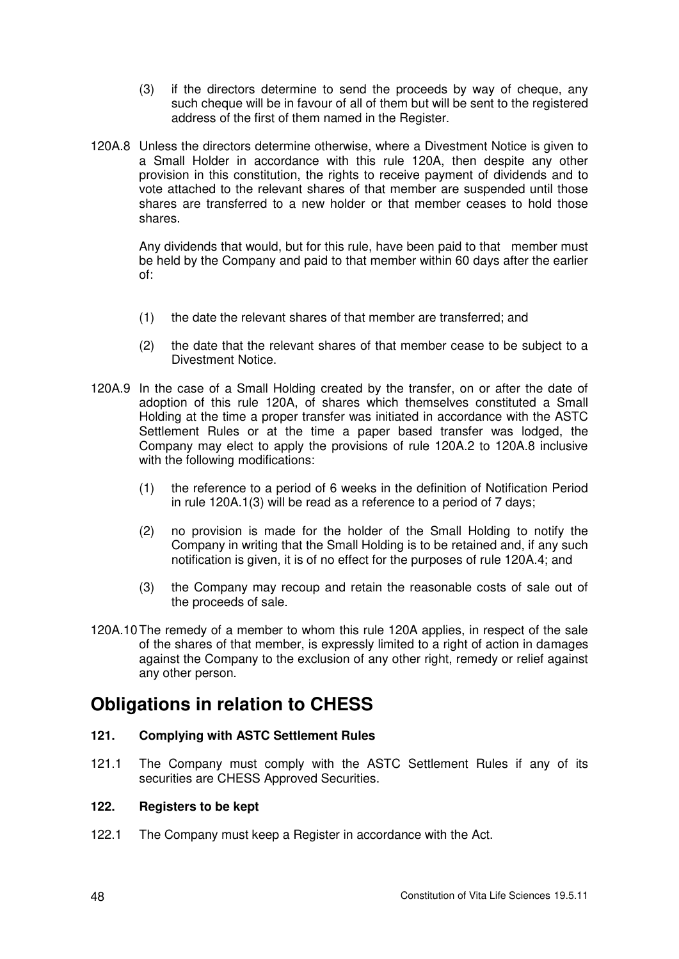- (3) if the directors determine to send the proceeds by way of cheque, any such cheque will be in favour of all of them but will be sent to the registered address of the first of them named in the Register.
- 120A.8 Unless the directors determine otherwise, where a Divestment Notice is given to a Small Holder in accordance with this rule 120A, then despite any other provision in this constitution, the rights to receive payment of dividends and to vote attached to the relevant shares of that member are suspended until those shares are transferred to a new holder or that member ceases to hold those shares.

Any dividends that would, but for this rule, have been paid to that member must be held by the Company and paid to that member within 60 days after the earlier of:

- (1) the date the relevant shares of that member are transferred; and
- (2) the date that the relevant shares of that member cease to be subject to a Divestment Notice.
- 120A.9 In the case of a Small Holding created by the transfer, on or after the date of adoption of this rule 120A, of shares which themselves constituted a Small Holding at the time a proper transfer was initiated in accordance with the ASTC Settlement Rules or at the time a paper based transfer was lodged, the Company may elect to apply the provisions of rule 120A.2 to 120A.8 inclusive with the following modifications:
	- (1) the reference to a period of 6 weeks in the definition of Notification Period in rule 120A.1(3) will be read as a reference to a period of 7 days;
	- (2) no provision is made for the holder of the Small Holding to notify the Company in writing that the Small Holding is to be retained and, if any such notification is given, it is of no effect for the purposes of rule 120A.4; and
	- (3) the Company may recoup and retain the reasonable costs of sale out of the proceeds of sale.
- 120A.10 The remedy of a member to whom this rule 120A applies, in respect of the sale of the shares of that member, is expressly limited to a right of action in damages against the Company to the exclusion of any other right, remedy or relief against any other person.

# **Obligations in relation to CHESS**

# **121. Complying with ASTC Settlement Rules**

121.1 The Company must comply with the ASTC Settlement Rules if any of its securities are CHESS Approved Securities.

# **122. Registers to be kept**

122.1 The Company must keep a Register in accordance with the Act.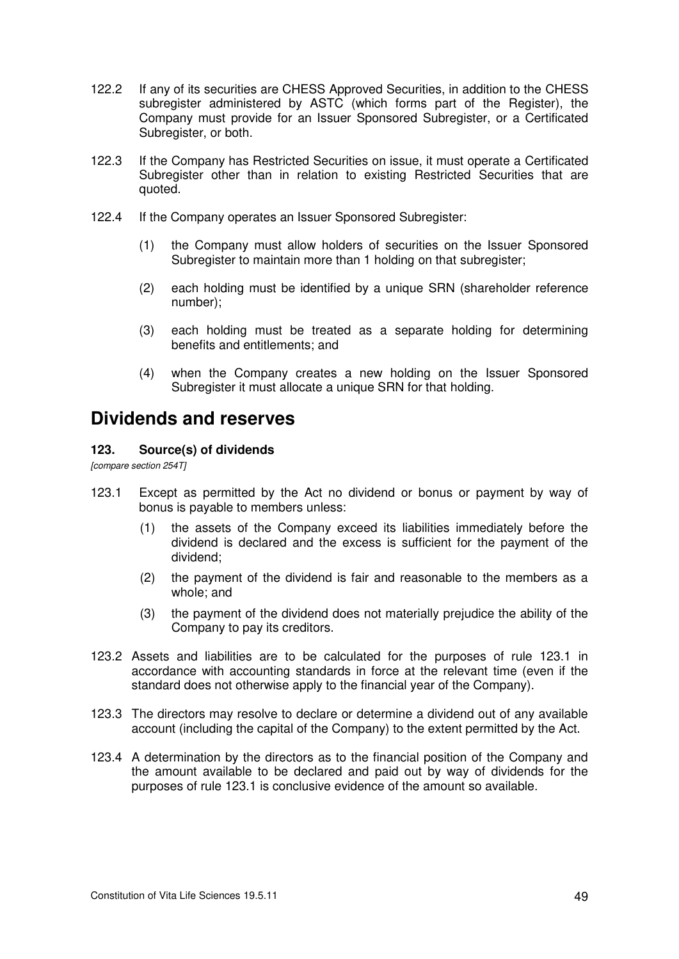- 122.2 If any of its securities are CHESS Approved Securities, in addition to the CHESS subregister administered by ASTC (which forms part of the Register), the Company must provide for an Issuer Sponsored Subregister, or a Certificated Subregister, or both.
- 122.3 If the Company has Restricted Securities on issue, it must operate a Certificated Subregister other than in relation to existing Restricted Securities that are quoted.
- 122.4 If the Company operates an Issuer Sponsored Subregister:
	- (1) the Company must allow holders of securities on the Issuer Sponsored Subregister to maintain more than 1 holding on that subregister;
	- (2) each holding must be identified by a unique SRN (shareholder reference number);
	- (3) each holding must be treated as a separate holding for determining benefits and entitlements; and
	- (4) when the Company creates a new holding on the Issuer Sponsored Subregister it must allocate a unique SRN for that holding.

# **Dividends and reserves**

# **123. Source(s) of dividends**

*[compare section 254T]* 

- 123.1 Except as permitted by the Act no dividend or bonus or payment by way of bonus is payable to members unless:
	- (1) the assets of the Company exceed its liabilities immediately before the dividend is declared and the excess is sufficient for the payment of the dividend;
	- (2) the payment of the dividend is fair and reasonable to the members as a whole; and
	- (3) the payment of the dividend does not materially prejudice the ability of the Company to pay its creditors.
- 123.2 Assets and liabilities are to be calculated for the purposes of rule 123.1 in accordance with accounting standards in force at the relevant time (even if the standard does not otherwise apply to the financial year of the Company).
- 123.3 The directors may resolve to declare or determine a dividend out of any available account (including the capital of the Company) to the extent permitted by the Act.
- 123.4 A determination by the directors as to the financial position of the Company and the amount available to be declared and paid out by way of dividends for the purposes of rule 123.1 is conclusive evidence of the amount so available.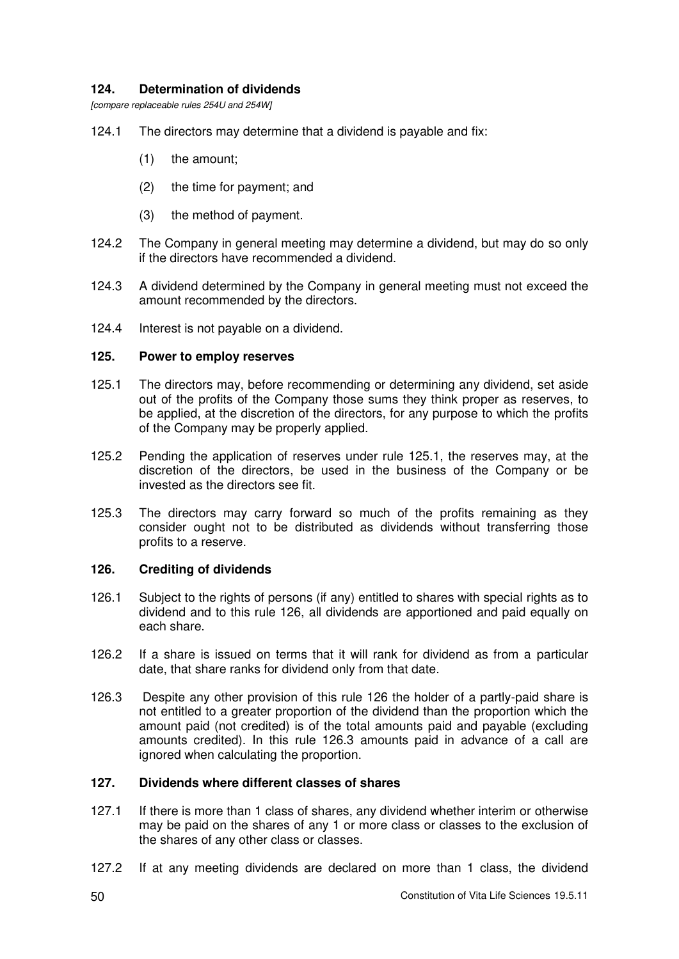# **124. Determination of dividends**

*[compare replaceable rules 254U and 254W]* 

- 124.1 The directors may determine that a dividend is payable and fix:
	- (1) the amount;
	- (2) the time for payment; and
	- (3) the method of payment.
- 124.2 The Company in general meeting may determine a dividend, but may do so only if the directors have recommended a dividend.
- 124.3 A dividend determined by the Company in general meeting must not exceed the amount recommended by the directors.
- 124.4 Interest is not payable on a dividend.

### **125. Power to employ reserves**

- 125.1 The directors may, before recommending or determining any dividend, set aside out of the profits of the Company those sums they think proper as reserves, to be applied, at the discretion of the directors, for any purpose to which the profits of the Company may be properly applied.
- 125.2 Pending the application of reserves under rule 125.1, the reserves may, at the discretion of the directors, be used in the business of the Company or be invested as the directors see fit.
- 125.3 The directors may carry forward so much of the profits remaining as they consider ought not to be distributed as dividends without transferring those profits to a reserve.

# **126. Crediting of dividends**

- 126.1 Subject to the rights of persons (if any) entitled to shares with special rights as to dividend and to this rule 126, all dividends are apportioned and paid equally on each share.
- 126.2 If a share is issued on terms that it will rank for dividend as from a particular date, that share ranks for dividend only from that date.
- 126.3 Despite any other provision of this rule 126 the holder of a partly-paid share is not entitled to a greater proportion of the dividend than the proportion which the amount paid (not credited) is of the total amounts paid and payable (excluding amounts credited). In this rule 126.3 amounts paid in advance of a call are ignored when calculating the proportion.

# **127. Dividends where different classes of shares**

- 127.1 If there is more than 1 class of shares, any dividend whether interim or otherwise may be paid on the shares of any 1 or more class or classes to the exclusion of the shares of any other class or classes.
- 127.2 If at any meeting dividends are declared on more than 1 class, the dividend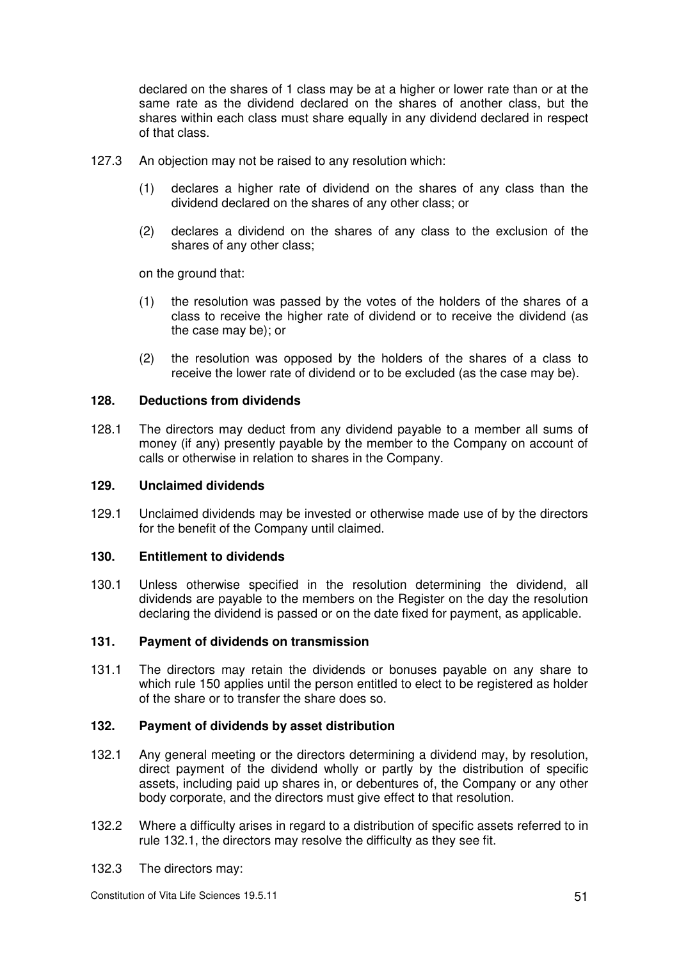declared on the shares of 1 class may be at a higher or lower rate than or at the same rate as the dividend declared on the shares of another class, but the shares within each class must share equally in any dividend declared in respect of that class.

- 127.3 An objection may not be raised to any resolution which:
	- (1) declares a higher rate of dividend on the shares of any class than the dividend declared on the shares of any other class; or
	- (2) declares a dividend on the shares of any class to the exclusion of the shares of any other class;

on the ground that:

- (1) the resolution was passed by the votes of the holders of the shares of a class to receive the higher rate of dividend or to receive the dividend (as the case may be); or
- (2) the resolution was opposed by the holders of the shares of a class to receive the lower rate of dividend or to be excluded (as the case may be).

# **128. Deductions from dividends**

128.1 The directors may deduct from any dividend payable to a member all sums of money (if any) presently payable by the member to the Company on account of calls or otherwise in relation to shares in the Company.

#### **129. Unclaimed dividends**

129.1 Unclaimed dividends may be invested or otherwise made use of by the directors for the benefit of the Company until claimed.

#### **130. Entitlement to dividends**

130.1 Unless otherwise specified in the resolution determining the dividend, all dividends are payable to the members on the Register on the day the resolution declaring the dividend is passed or on the date fixed for payment, as applicable.

# **131. Payment of dividends on transmission**

131.1 The directors may retain the dividends or bonuses payable on any share to which rule 150 applies until the person entitled to elect to be registered as holder of the share or to transfer the share does so.

#### **132. Payment of dividends by asset distribution**

- 132.1 Any general meeting or the directors determining a dividend may, by resolution, direct payment of the dividend wholly or partly by the distribution of specific assets, including paid up shares in, or debentures of, the Company or any other body corporate, and the directors must give effect to that resolution.
- 132.2 Where a difficulty arises in regard to a distribution of specific assets referred to in rule 132.1, the directors may resolve the difficulty as they see fit.
- 132.3 The directors may: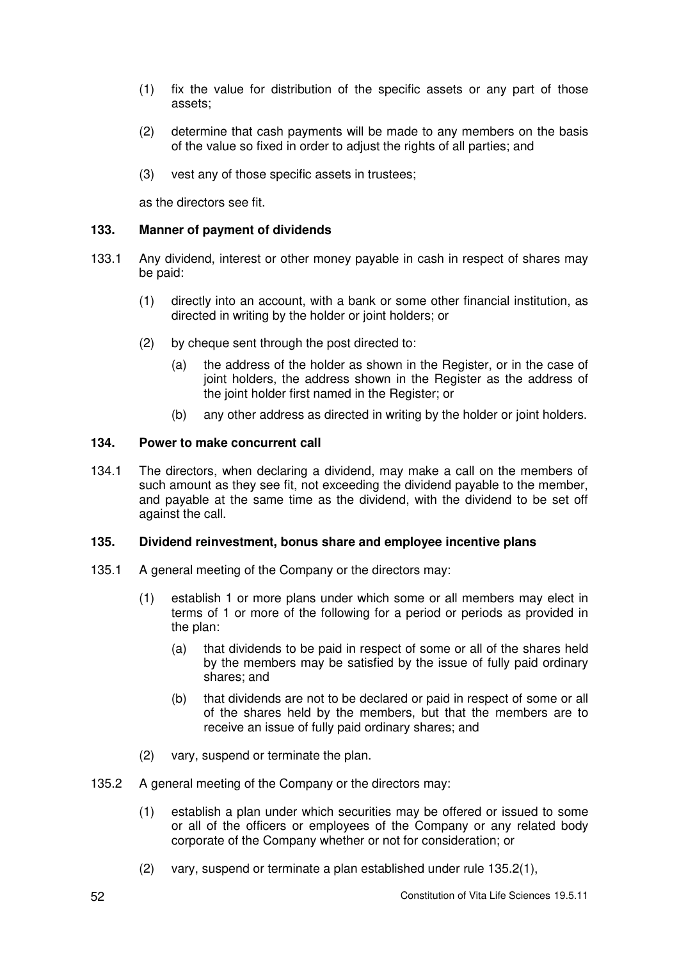- (1) fix the value for distribution of the specific assets or any part of those assets;
- (2) determine that cash payments will be made to any members on the basis of the value so fixed in order to adjust the rights of all parties; and
- (3) vest any of those specific assets in trustees;

as the directors see fit.

### **133. Manner of payment of dividends**

- 133.1 Any dividend, interest or other money payable in cash in respect of shares may be paid:
	- (1) directly into an account, with a bank or some other financial institution, as directed in writing by the holder or joint holders; or
	- (2) by cheque sent through the post directed to:
		- (a) the address of the holder as shown in the Register, or in the case of joint holders, the address shown in the Register as the address of the joint holder first named in the Register; or
		- (b) any other address as directed in writing by the holder or joint holders.

### **134. Power to make concurrent call**

134.1 The directors, when declaring a dividend, may make a call on the members of such amount as they see fit, not exceeding the dividend payable to the member, and payable at the same time as the dividend, with the dividend to be set off against the call.

#### **135. Dividend reinvestment, bonus share and employee incentive plans**

- 135.1 A general meeting of the Company or the directors may:
	- (1) establish 1 or more plans under which some or all members may elect in terms of 1 or more of the following for a period or periods as provided in the plan:
		- (a) that dividends to be paid in respect of some or all of the shares held by the members may be satisfied by the issue of fully paid ordinary shares; and
		- (b) that dividends are not to be declared or paid in respect of some or all of the shares held by the members, but that the members are to receive an issue of fully paid ordinary shares; and
	- (2) vary, suspend or terminate the plan.
- 135.2 A general meeting of the Company or the directors may:
	- (1) establish a plan under which securities may be offered or issued to some or all of the officers or employees of the Company or any related body corporate of the Company whether or not for consideration; or
	- (2) vary, suspend or terminate a plan established under rule 135.2(1),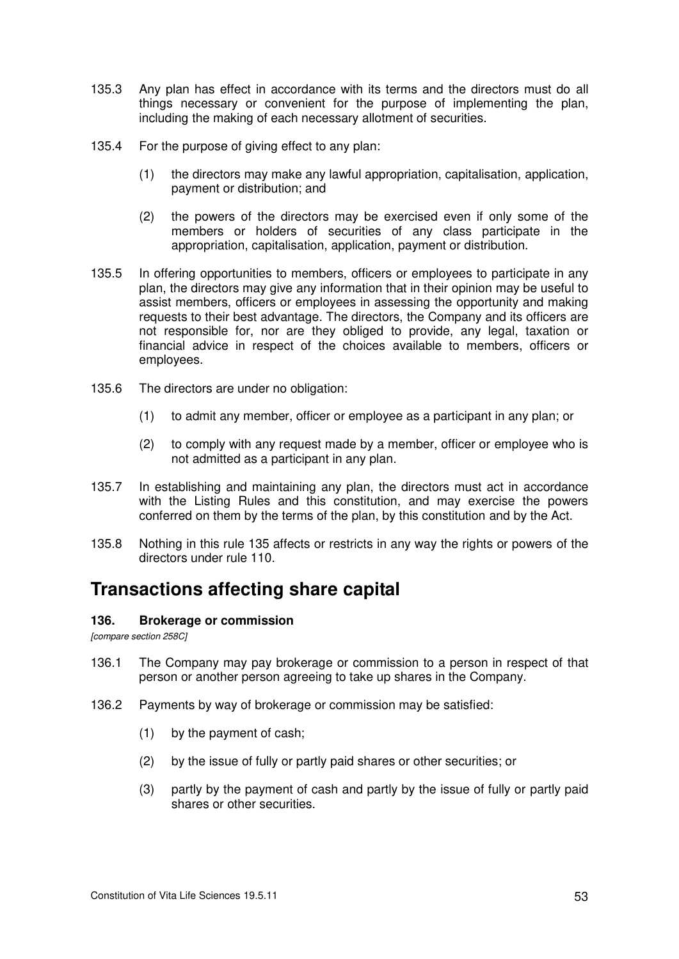- 135.3 Any plan has effect in accordance with its terms and the directors must do all things necessary or convenient for the purpose of implementing the plan, including the making of each necessary allotment of securities.
- 135.4 For the purpose of giving effect to any plan:
	- (1) the directors may make any lawful appropriation, capitalisation, application, payment or distribution; and
	- (2) the powers of the directors may be exercised even if only some of the members or holders of securities of any class participate in the appropriation, capitalisation, application, payment or distribution.
- 135.5 In offering opportunities to members, officers or employees to participate in any plan, the directors may give any information that in their opinion may be useful to assist members, officers or employees in assessing the opportunity and making requests to their best advantage. The directors, the Company and its officers are not responsible for, nor are they obliged to provide, any legal, taxation or financial advice in respect of the choices available to members, officers or employees.
- 135.6 The directors are under no obligation:
	- (1) to admit any member, officer or employee as a participant in any plan; or
	- (2) to comply with any request made by a member, officer or employee who is not admitted as a participant in any plan.
- 135.7 In establishing and maintaining any plan, the directors must act in accordance with the Listing Rules and this constitution, and may exercise the powers conferred on them by the terms of the plan, by this constitution and by the Act.
- 135.8 Nothing in this rule 135 affects or restricts in any way the rights or powers of the directors under rule 110.

# **Transactions affecting share capital**

#### **136. Brokerage or commission**

*[compare section 258C]* 

- 136.1 The Company may pay brokerage or commission to a person in respect of that person or another person agreeing to take up shares in the Company.
- 136.2 Payments by way of brokerage or commission may be satisfied:
	- (1) by the payment of cash;
	- (2) by the issue of fully or partly paid shares or other securities; or
	- (3) partly by the payment of cash and partly by the issue of fully or partly paid shares or other securities.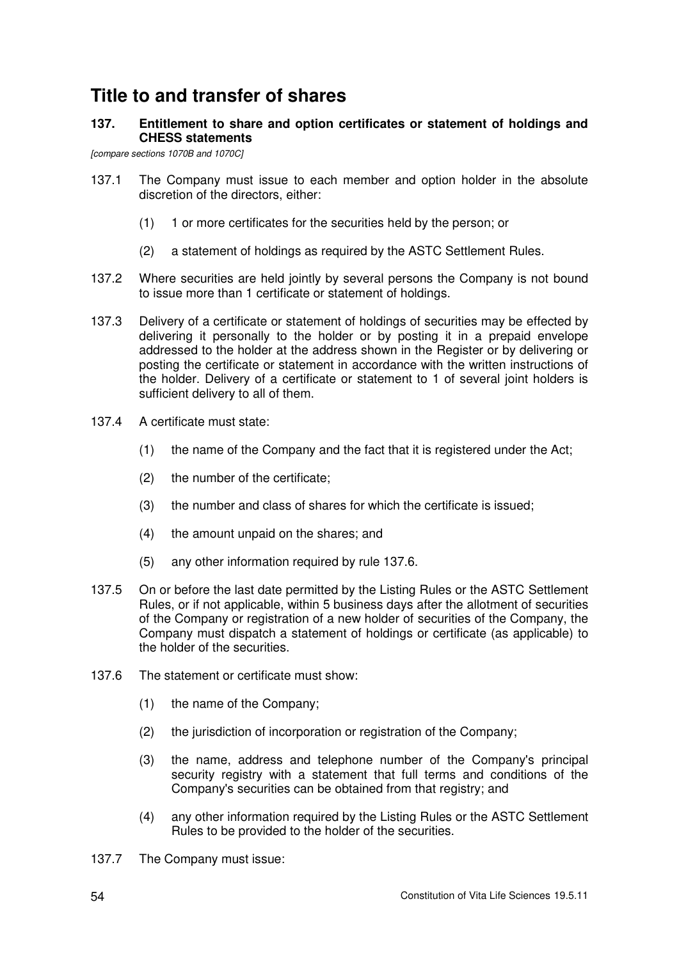# **Title to and transfer of shares**

# **137. Entitlement to share and option certificates or statement of holdings and CHESS statements**

*[compare sections 1070B and 1070C]* 

- 137.1 The Company must issue to each member and option holder in the absolute discretion of the directors, either:
	- (1) 1 or more certificates for the securities held by the person; or
	- (2) a statement of holdings as required by the ASTC Settlement Rules.
- 137.2 Where securities are held jointly by several persons the Company is not bound to issue more than 1 certificate or statement of holdings.
- 137.3 Delivery of a certificate or statement of holdings of securities may be effected by delivering it personally to the holder or by posting it in a prepaid envelope addressed to the holder at the address shown in the Register or by delivering or posting the certificate or statement in accordance with the written instructions of the holder. Delivery of a certificate or statement to 1 of several joint holders is sufficient delivery to all of them.
- 137.4 A certificate must state:
	- (1) the name of the Company and the fact that it is registered under the Act;
	- (2) the number of the certificate;
	- (3) the number and class of shares for which the certificate is issued;
	- (4) the amount unpaid on the shares; and
	- (5) any other information required by rule 137.6.
- 137.5 On or before the last date permitted by the Listing Rules or the ASTC Settlement Rules, or if not applicable, within 5 business days after the allotment of securities of the Company or registration of a new holder of securities of the Company, the Company must dispatch a statement of holdings or certificate (as applicable) to the holder of the securities.
- 137.6 The statement or certificate must show:
	- (1) the name of the Company;
	- (2) the jurisdiction of incorporation or registration of the Company;
	- (3) the name, address and telephone number of the Company's principal security registry with a statement that full terms and conditions of the Company's securities can be obtained from that registry; and
	- (4) any other information required by the Listing Rules or the ASTC Settlement Rules to be provided to the holder of the securities.
- 137.7 The Company must issue: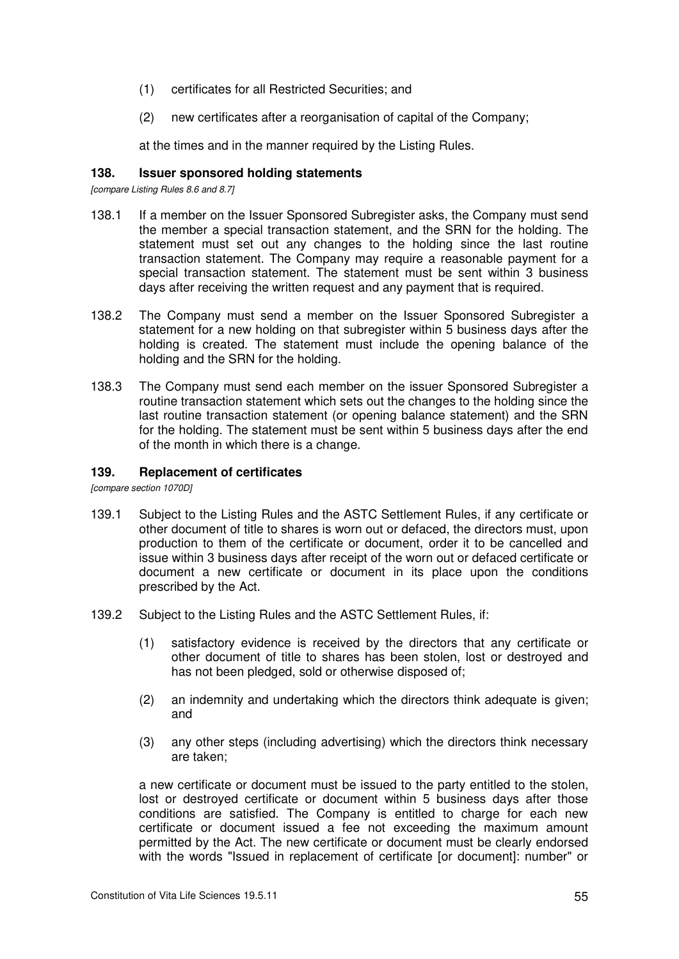- (1) certificates for all Restricted Securities; and
- (2) new certificates after a reorganisation of capital of the Company;

at the times and in the manner required by the Listing Rules.

### **138. Issuer sponsored holding statements**

*[compare Listing Rules 8.6 and 8.7]* 

- 138.1 If a member on the Issuer Sponsored Subregister asks, the Company must send the member a special transaction statement, and the SRN for the holding. The statement must set out any changes to the holding since the last routine transaction statement. The Company may require a reasonable payment for a special transaction statement. The statement must be sent within 3 business days after receiving the written request and any payment that is required.
- 138.2 The Company must send a member on the Issuer Sponsored Subregister a statement for a new holding on that subregister within 5 business days after the holding is created. The statement must include the opening balance of the holding and the SRN for the holding.
- 138.3 The Company must send each member on the issuer Sponsored Subregister a routine transaction statement which sets out the changes to the holding since the last routine transaction statement (or opening balance statement) and the SRN for the holding. The statement must be sent within 5 business days after the end of the month in which there is a change.

### **139. Replacement of certificates**

*[compare section 1070D]* 

- 139.1 Subject to the Listing Rules and the ASTC Settlement Rules, if any certificate or other document of title to shares is worn out or defaced, the directors must, upon production to them of the certificate or document, order it to be cancelled and issue within 3 business days after receipt of the worn out or defaced certificate or document a new certificate or document in its place upon the conditions prescribed by the Act.
- 139.2 Subject to the Listing Rules and the ASTC Settlement Rules, if:
	- (1) satisfactory evidence is received by the directors that any certificate or other document of title to shares has been stolen, lost or destroyed and has not been pledged, sold or otherwise disposed of;
	- (2) an indemnity and undertaking which the directors think adequate is given; and
	- (3) any other steps (including advertising) which the directors think necessary are taken;

a new certificate or document must be issued to the party entitled to the stolen, lost or destroyed certificate or document within 5 business days after those conditions are satisfied. The Company is entitled to charge for each new certificate or document issued a fee not exceeding the maximum amount permitted by the Act. The new certificate or document must be clearly endorsed with the words "Issued in replacement of certificate [or document]: number" or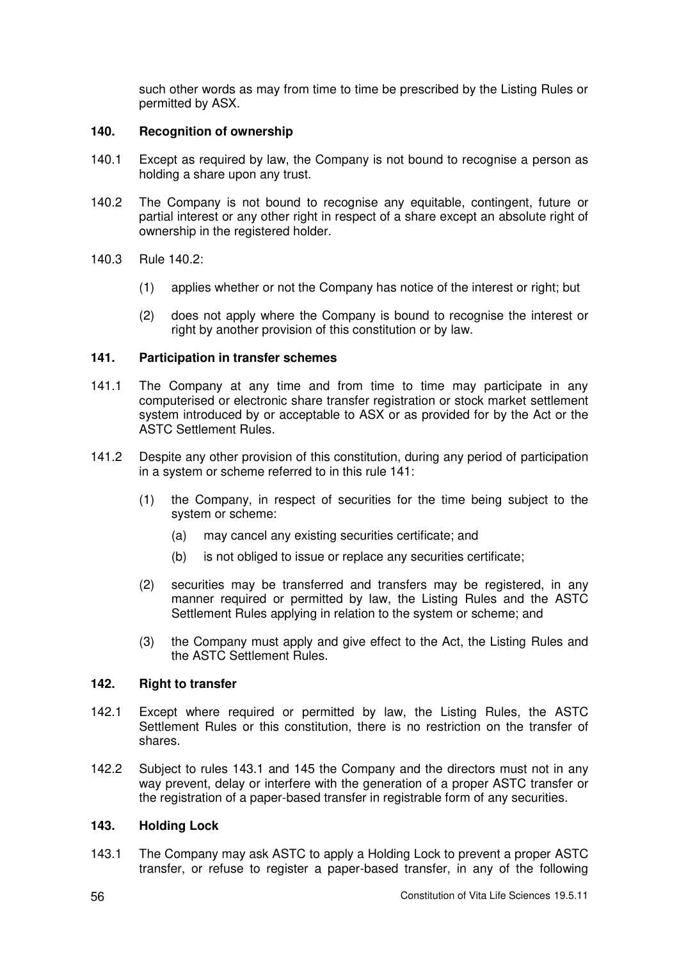such other words as may from time to time be prescribed by the Listing Rules or permitted by ASX.

# **140. Recognition of ownership**

- 140.1 Except as required by law, the Company is not bound to recognise a person as holding a share upon any trust.
- 140.2 The Company is not bound to recognise any equitable, contingent, future or partial interest or any other right in respect of a share except an absolute right of ownership in the registered holder.
- 140.3 Rule 140.2:
	- (1) applies whether or not the Company has notice of the interest or right; but
	- (2) does not apply where the Company is bound to recognise the interest or right by another provision of this constitution or by law.

### **141. Participation in transfer schemes**

- 141.1 The Company at any time and from time to time may participate in any computerised or electronic share transfer registration or stock market settlement system introduced by or acceptable to ASX or as provided for by the Act or the ASTC Settlement Rules.
- 141.2 Despite any other provision of this constitution, during any period of participation in a system or scheme referred to in this rule 141:
	- (1) the Company, in respect of securities for the time being subject to the system or scheme:
		- (a) may cancel any existing securities certificate; and
		- (b) is not obliged to issue or replace any securities certificate;
	- (2) securities may be transferred and transfers may be registered, in any manner required or permitted by law, the Listing Rules and the ASTC Settlement Rules applying in relation to the system or scheme; and
	- (3) the Company must apply and give effect to the Act, the Listing Rules and the ASTC Settlement Rules.

#### **142. Right to transfer**

- 142.1 Except where required or permitted by law, the Listing Rules, the ASTC Settlement Rules or this constitution, there is no restriction on the transfer of shares.
- 142.2 Subject to rules 143.1 and 145 the Company and the directors must not in any way prevent, delay or interfere with the generation of a proper ASTC transfer or the registration of a paper-based transfer in registrable form of any securities.

# **143. Holding Lock**

143.1 The Company may ask ASTC to apply a Holding Lock to prevent a proper ASTC transfer, or refuse to register a paper-based transfer, in any of the following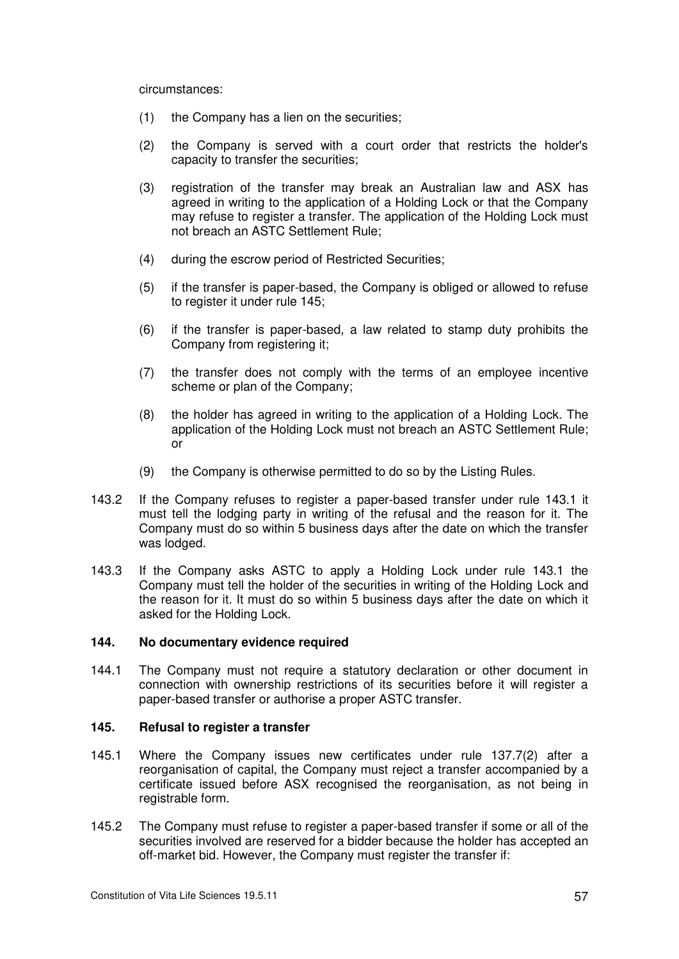circumstances:

- (1) the Company has a lien on the securities;
- (2) the Company is served with a court order that restricts the holder's capacity to transfer the securities;
- (3) registration of the transfer may break an Australian law and ASX has agreed in writing to the application of a Holding Lock or that the Company may refuse to register a transfer. The application of the Holding Lock must not breach an ASTC Settlement Rule;
- (4) during the escrow period of Restricted Securities;
- (5) if the transfer is paper-based, the Company is obliged or allowed to refuse to register it under rule 145;
- (6) if the transfer is paper-based, a law related to stamp duty prohibits the Company from registering it;
- (7) the transfer does not comply with the terms of an employee incentive scheme or plan of the Company;
- (8) the holder has agreed in writing to the application of a Holding Lock. The application of the Holding Lock must not breach an ASTC Settlement Rule; or
- (9) the Company is otherwise permitted to do so by the Listing Rules.
- 143.2 If the Company refuses to register a paper-based transfer under rule 143.1 it must tell the lodging party in writing of the refusal and the reason for it. The Company must do so within 5 business days after the date on which the transfer was lodged.
- 143.3 If the Company asks ASTC to apply a Holding Lock under rule 143.1 the Company must tell the holder of the securities in writing of the Holding Lock and the reason for it. It must do so within 5 business days after the date on which it asked for the Holding Lock.

# **144. No documentary evidence required**

144.1 The Company must not require a statutory declaration or other document in connection with ownership restrictions of its securities before it will register a paper-based transfer or authorise a proper ASTC transfer.

#### **145. Refusal to register a transfer**

- 145.1 Where the Company issues new certificates under rule 137.7(2) after a reorganisation of capital, the Company must reject a transfer accompanied by a certificate issued before ASX recognised the reorganisation, as not being in registrable form.
- 145.2 The Company must refuse to register a paper-based transfer if some or all of the securities involved are reserved for a bidder because the holder has accepted an off-market bid. However, the Company must register the transfer if: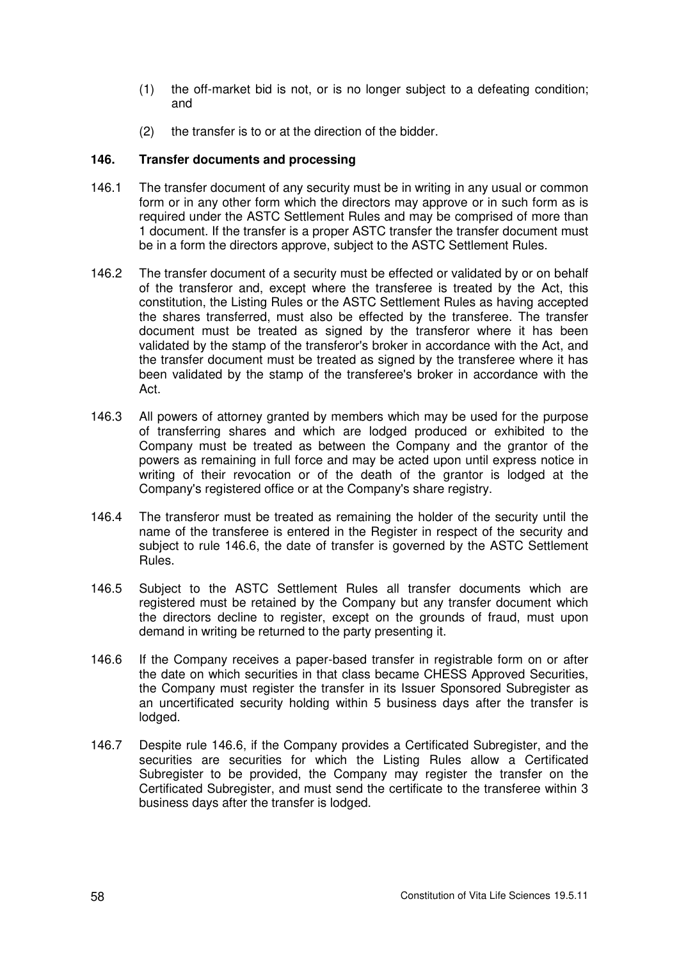- (1) the off-market bid is not, or is no longer subject to a defeating condition; and
- (2) the transfer is to or at the direction of the bidder.

# **146. Transfer documents and processing**

- 146.1 The transfer document of any security must be in writing in any usual or common form or in any other form which the directors may approve or in such form as is required under the ASTC Settlement Rules and may be comprised of more than 1 document. If the transfer is a proper ASTC transfer the transfer document must be in a form the directors approve, subject to the ASTC Settlement Rules.
- 146.2 The transfer document of a security must be effected or validated by or on behalf of the transferor and, except where the transferee is treated by the Act, this constitution, the Listing Rules or the ASTC Settlement Rules as having accepted the shares transferred, must also be effected by the transferee. The transfer document must be treated as signed by the transferor where it has been validated by the stamp of the transferor's broker in accordance with the Act, and the transfer document must be treated as signed by the transferee where it has been validated by the stamp of the transferee's broker in accordance with the Act.
- 146.3 All powers of attorney granted by members which may be used for the purpose of transferring shares and which are lodged produced or exhibited to the Company must be treated as between the Company and the grantor of the powers as remaining in full force and may be acted upon until express notice in writing of their revocation or of the death of the grantor is lodged at the Company's registered office or at the Company's share registry.
- 146.4 The transferor must be treated as remaining the holder of the security until the name of the transferee is entered in the Register in respect of the security and subject to rule 146.6, the date of transfer is governed by the ASTC Settlement Rules.
- 146.5 Subject to the ASTC Settlement Rules all transfer documents which are registered must be retained by the Company but any transfer document which the directors decline to register, except on the grounds of fraud, must upon demand in writing be returned to the party presenting it.
- 146.6 If the Company receives a paper-based transfer in registrable form on or after the date on which securities in that class became CHESS Approved Securities, the Company must register the transfer in its Issuer Sponsored Subregister as an uncertificated security holding within 5 business days after the transfer is lodged.
- 146.7 Despite rule 146.6, if the Company provides a Certificated Subregister, and the securities are securities for which the Listing Rules allow a Certificated Subregister to be provided, the Company may register the transfer on the Certificated Subregister, and must send the certificate to the transferee within 3 business days after the transfer is lodged.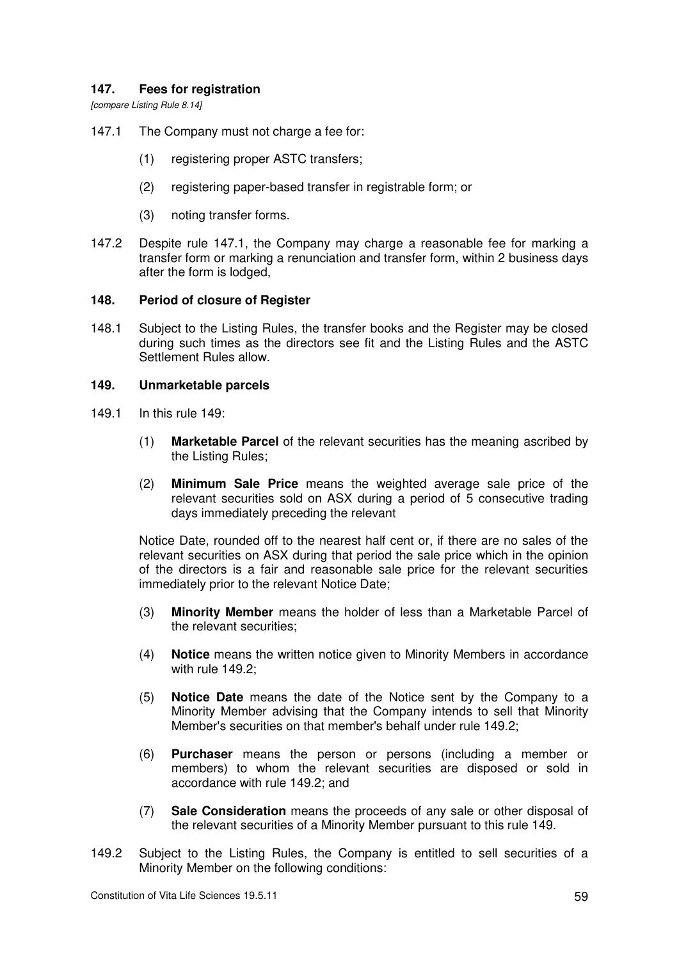# **147. Fees for registration**

*[compare Listing Rule 8.14]* 

147.1 The Company must not charge a fee for:

- (1) registering proper ASTC transfers;
- (2) registering paper-based transfer in registrable form; or
- (3) noting transfer forms.
- 147.2 Despite rule 147.1, the Company may charge a reasonable fee for marking a transfer form or marking a renunciation and transfer form, within 2 business days after the form is lodged,

### **148. Period of closure of Register**

148.1 Subject to the Listing Rules, the transfer books and the Register may be closed during such times as the directors see fit and the Listing Rules and the ASTC Settlement Rules allow.

### **149. Unmarketable parcels**

- 149.1 In this rule  $149<sup>1</sup>$ 
	- (1) **Marketable Parcel** of the relevant securities has the meaning ascribed by the Listing Rules;
	- (2) **Minimum Sale Price** means the weighted average sale price of the relevant securities sold on ASX during a period of 5 consecutive trading days immediately preceding the relevant

Notice Date, rounded off to the nearest half cent or, if there are no sales of the relevant securities on ASX during that period the sale price which in the opinion of the directors is a fair and reasonable sale price for the relevant securities immediately prior to the relevant Notice Date;

- (3) **Minority Member** means the holder of less than a Marketable Parcel of the relevant securities;
- (4) **Notice** means the written notice given to Minority Members in accordance with rule 149.2;
- (5) **Notice Date** means the date of the Notice sent by the Company to a Minority Member advising that the Company intends to sell that Minority Member's securities on that member's behalf under rule 149.2;
- (6) **Purchaser** means the person or persons (including a member or members) to whom the relevant securities are disposed or sold in accordance with rule 149.2; and
- (7) **Sale Consideration** means the proceeds of any sale or other disposal of the relevant securities of a Minority Member pursuant to this rule 149.
- 149.2 Subject to the Listing Rules, the Company is entitled to sell securities of a Minority Member on the following conditions: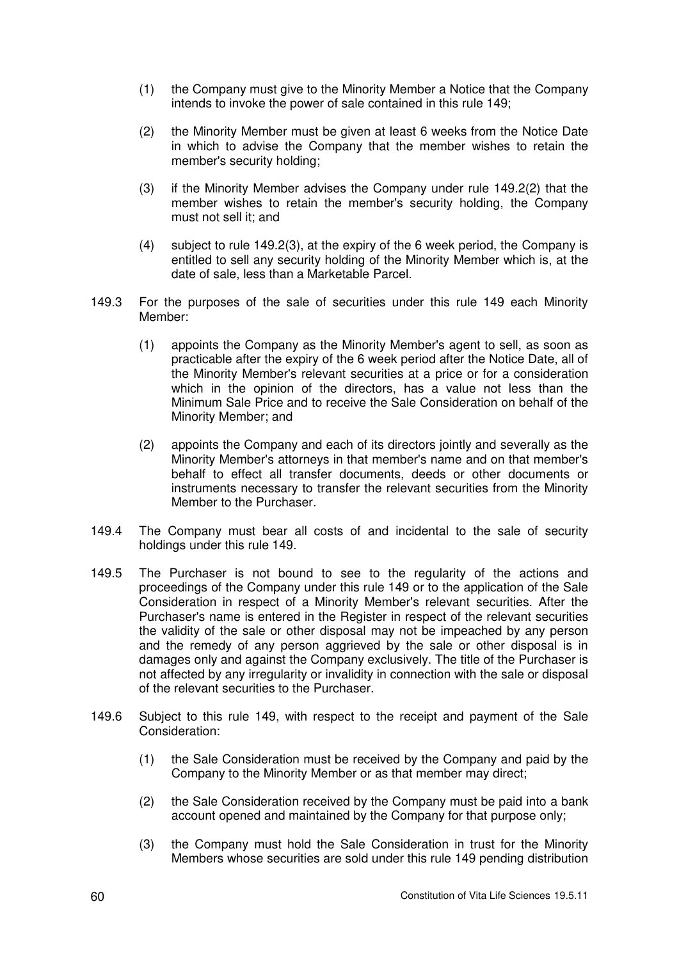- (1) the Company must give to the Minority Member a Notice that the Company intends to invoke the power of sale contained in this rule 149;
- (2) the Minority Member must be given at least 6 weeks from the Notice Date in which to advise the Company that the member wishes to retain the member's security holding;
- (3) if the Minority Member advises the Company under rule 149.2(2) that the member wishes to retain the member's security holding, the Company must not sell it; and
- (4) subject to rule 149.2(3), at the expiry of the 6 week period, the Company is entitled to sell any security holding of the Minority Member which is, at the date of sale, less than a Marketable Parcel.
- 149.3 For the purposes of the sale of securities under this rule 149 each Minority Member:
	- (1) appoints the Company as the Minority Member's agent to sell, as soon as practicable after the expiry of the 6 week period after the Notice Date, all of the Minority Member's relevant securities at a price or for a consideration which in the opinion of the directors, has a value not less than the Minimum Sale Price and to receive the Sale Consideration on behalf of the Minority Member; and
	- (2) appoints the Company and each of its directors jointly and severally as the Minority Member's attorneys in that member's name and on that member's behalf to effect all transfer documents, deeds or other documents or instruments necessary to transfer the relevant securities from the Minority Member to the Purchaser.
- 149.4 The Company must bear all costs of and incidental to the sale of security holdings under this rule 149.
- 149.5 The Purchaser is not bound to see to the regularity of the actions and proceedings of the Company under this rule 149 or to the application of the Sale Consideration in respect of a Minority Member's relevant securities. After the Purchaser's name is entered in the Register in respect of the relevant securities the validity of the sale or other disposal may not be impeached by any person and the remedy of any person aggrieved by the sale or other disposal is in damages only and against the Company exclusively. The title of the Purchaser is not affected by any irregularity or invalidity in connection with the sale or disposal of the relevant securities to the Purchaser.
- 149.6 Subject to this rule 149, with respect to the receipt and payment of the Sale Consideration:
	- (1) the Sale Consideration must be received by the Company and paid by the Company to the Minority Member or as that member may direct;
	- (2) the Sale Consideration received by the Company must be paid into a bank account opened and maintained by the Company for that purpose only;
	- (3) the Company must hold the Sale Consideration in trust for the Minority Members whose securities are sold under this rule 149 pending distribution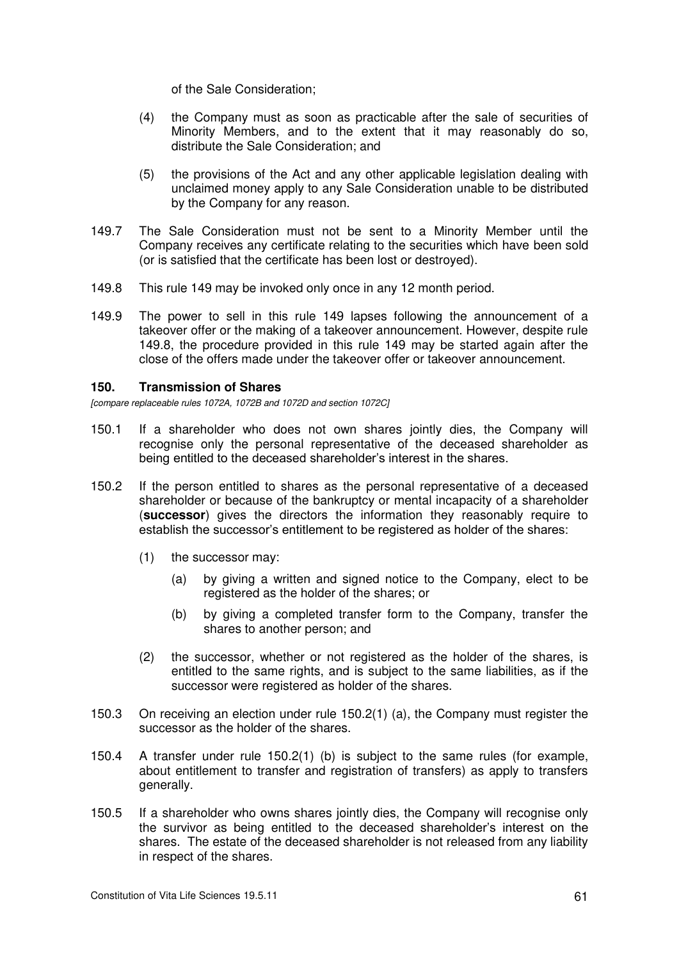of the Sale Consideration;

- (4) the Company must as soon as practicable after the sale of securities of Minority Members, and to the extent that it may reasonably do so, distribute the Sale Consideration; and
- (5) the provisions of the Act and any other applicable legislation dealing with unclaimed money apply to any Sale Consideration unable to be distributed by the Company for any reason.
- 149.7 The Sale Consideration must not be sent to a Minority Member until the Company receives any certificate relating to the securities which have been sold (or is satisfied that the certificate has been lost or destroyed).
- 149.8 This rule 149 may be invoked only once in any 12 month period.
- 149.9 The power to sell in this rule 149 lapses following the announcement of a takeover offer or the making of a takeover announcement. However, despite rule 149.8, the procedure provided in this rule 149 may be started again after the close of the offers made under the takeover offer or takeover announcement.

### **150. Transmission of Shares**

*[compare replaceable rules 1072A, 1072B and 1072D and section 1072C]* 

- 150.1 If a shareholder who does not own shares jointly dies, the Company will recognise only the personal representative of the deceased shareholder as being entitled to the deceased shareholder's interest in the shares.
- 150.2 If the person entitled to shares as the personal representative of a deceased shareholder or because of the bankruptcy or mental incapacity of a shareholder (**successor**) gives the directors the information they reasonably require to establish the successor's entitlement to be registered as holder of the shares:
	- (1) the successor may:
		- (a) by giving a written and signed notice to the Company, elect to be registered as the holder of the shares; or
		- (b) by giving a completed transfer form to the Company, transfer the shares to another person; and
	- (2) the successor, whether or not registered as the holder of the shares, is entitled to the same rights, and is subject to the same liabilities, as if the successor were registered as holder of the shares.
- 150.3 On receiving an election under rule 150.2(1) (a), the Company must register the successor as the holder of the shares.
- 150.4 A transfer under rule 150.2(1) (b) is subject to the same rules (for example, about entitlement to transfer and registration of transfers) as apply to transfers generally.
- 150.5 If a shareholder who owns shares jointly dies, the Company will recognise only the survivor as being entitled to the deceased shareholder's interest on the shares. The estate of the deceased shareholder is not released from any liability in respect of the shares.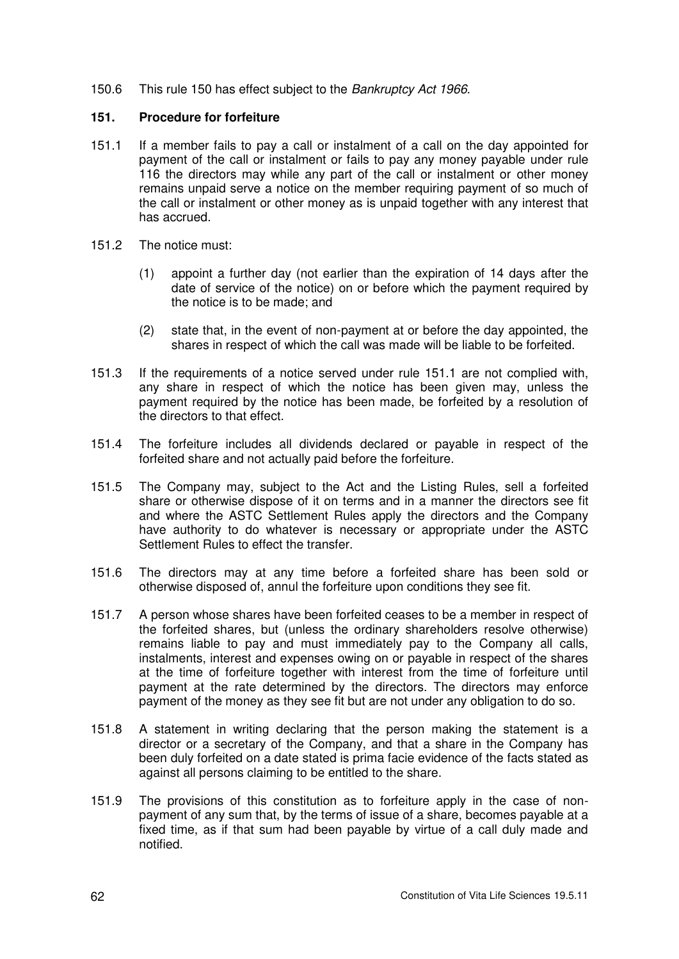150.6 This rule 150 has effect subject to the *Bankruptcy Act 1966*.

### **151. Procedure for forfeiture**

- 151.1 If a member fails to pay a call or instalment of a call on the day appointed for payment of the call or instalment or fails to pay any money payable under rule 116 the directors may while any part of the call or instalment or other money remains unpaid serve a notice on the member requiring payment of so much of the call or instalment or other money as is unpaid together with any interest that has accrued.
- 151.2 The notice must:
	- (1) appoint a further day (not earlier than the expiration of 14 days after the date of service of the notice) on or before which the payment required by the notice is to be made; and
	- (2) state that, in the event of non-payment at or before the day appointed, the shares in respect of which the call was made will be liable to be forfeited.
- 151.3 If the requirements of a notice served under rule 151.1 are not complied with, any share in respect of which the notice has been given may, unless the payment required by the notice has been made, be forfeited by a resolution of the directors to that effect.
- 151.4 The forfeiture includes all dividends declared or payable in respect of the forfeited share and not actually paid before the forfeiture.
- 151.5 The Company may, subject to the Act and the Listing Rules, sell a forfeited share or otherwise dispose of it on terms and in a manner the directors see fit and where the ASTC Settlement Rules apply the directors and the Company have authority to do whatever is necessary or appropriate under the ASTC Settlement Rules to effect the transfer.
- 151.6 The directors may at any time before a forfeited share has been sold or otherwise disposed of, annul the forfeiture upon conditions they see fit.
- 151.7 A person whose shares have been forfeited ceases to be a member in respect of the forfeited shares, but (unless the ordinary shareholders resolve otherwise) remains liable to pay and must immediately pay to the Company all calls, instalments, interest and expenses owing on or payable in respect of the shares at the time of forfeiture together with interest from the time of forfeiture until payment at the rate determined by the directors. The directors may enforce payment of the money as they see fit but are not under any obligation to do so.
- 151.8 A statement in writing declaring that the person making the statement is a director or a secretary of the Company, and that a share in the Company has been duly forfeited on a date stated is prima facie evidence of the facts stated as against all persons claiming to be entitled to the share.
- 151.9 The provisions of this constitution as to forfeiture apply in the case of nonpayment of any sum that, by the terms of issue of a share, becomes payable at a fixed time, as if that sum had been payable by virtue of a call duly made and notified.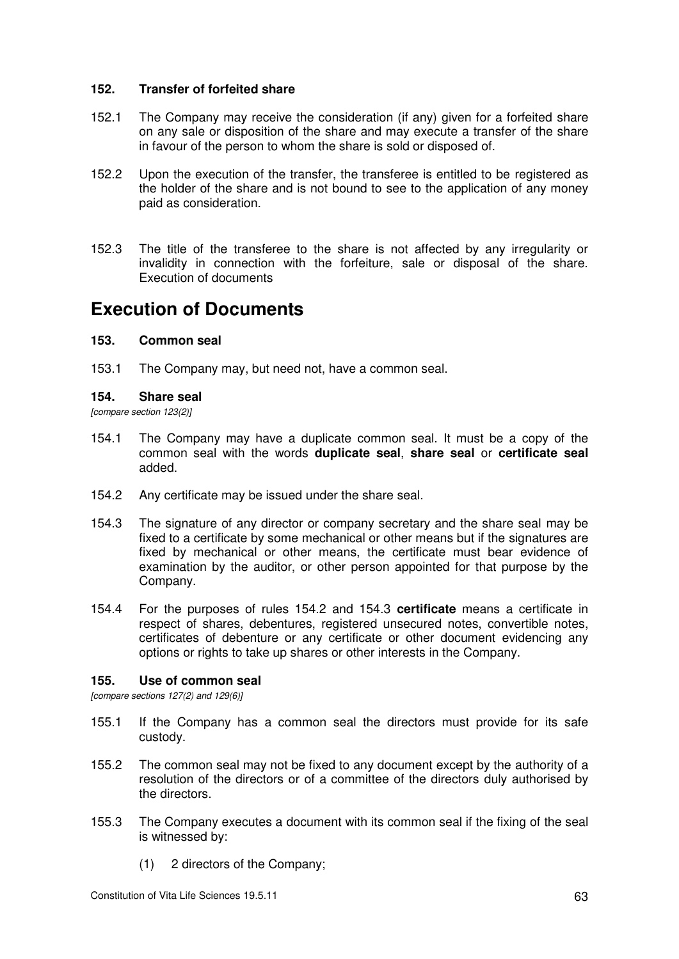### **152. Transfer of forfeited share**

- 152.1 The Company may receive the consideration (if any) given for a forfeited share on any sale or disposition of the share and may execute a transfer of the share in favour of the person to whom the share is sold or disposed of.
- 152.2 Upon the execution of the transfer, the transferee is entitled to be registered as the holder of the share and is not bound to see to the application of any money paid as consideration.
- 152.3 The title of the transferee to the share is not affected by any irregularity or invalidity in connection with the forfeiture, sale or disposal of the share. Execution of documents

# **Execution of Documents**

### **153. Common seal**

153.1 The Company may, but need not, have a common seal.

#### **154. Share seal**

*[compare section 123(2)]* 

- 154.1 The Company may have a duplicate common seal. It must be a copy of the common seal with the words **duplicate seal**, **share seal** or **certificate seal** added.
- 154.2 Any certificate may be issued under the share seal.
- 154.3 The signature of any director or company secretary and the share seal may be fixed to a certificate by some mechanical or other means but if the signatures are fixed by mechanical or other means, the certificate must bear evidence of examination by the auditor, or other person appointed for that purpose by the Company.
- 154.4 For the purposes of rules 154.2 and 154.3 **certificate** means a certificate in respect of shares, debentures, registered unsecured notes, convertible notes, certificates of debenture or any certificate or other document evidencing any options or rights to take up shares or other interests in the Company.

# **155. Use of common seal**

*[compare sections 127(2) and 129(6)]* 

- 155.1 If the Company has a common seal the directors must provide for its safe custody.
- 155.2 The common seal may not be fixed to any document except by the authority of a resolution of the directors or of a committee of the directors duly authorised by the directors.
- 155.3 The Company executes a document with its common seal if the fixing of the seal is witnessed by:
	- (1) 2 directors of the Company;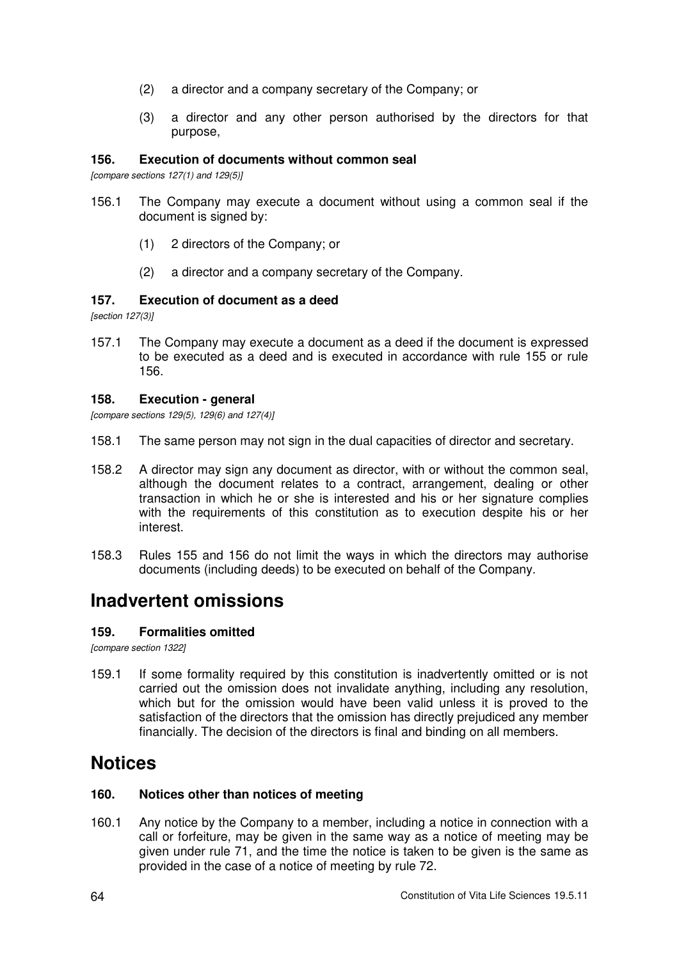- (2) a director and a company secretary of the Company; or
- (3) a director and any other person authorised by the directors for that purpose,

## **156. Execution of documents without common seal**

*[compare sections 127(1) and 129(5)]* 

- 156.1 The Company may execute a document without using a common seal if the document is signed by:
	- (1) 2 directors of the Company; or
	- (2) a director and a company secretary of the Company.

### **157. Execution of document as a deed**

*[section 127(3)]* 

157.1 The Company may execute a document as a deed if the document is expressed to be executed as a deed and is executed in accordance with rule 155 or rule 156.

#### **158. Execution - general**

*[compare sections 129(5), 129(6) and 127(4)]* 

- 158.1 The same person may not sign in the dual capacities of director and secretary.
- 158.2 A director may sign any document as director, with or without the common seal, although the document relates to a contract, arrangement, dealing or other transaction in which he or she is interested and his or her signature complies with the requirements of this constitution as to execution despite his or her interest.
- 158.3 Rules 155 and 156 do not limit the ways in which the directors may authorise documents (including deeds) to be executed on behalf of the Company.

# **Inadvertent omissions**

# **159. Formalities omitted**

*[compare section 1322]* 

159.1 If some formality required by this constitution is inadvertently omitted or is not carried out the omission does not invalidate anything, including any resolution, which but for the omission would have been valid unless it is proved to the satisfaction of the directors that the omission has directly prejudiced any member financially. The decision of the directors is final and binding on all members.

# **Notices**

# **160. Notices other than notices of meeting**

160.1 Any notice by the Company to a member, including a notice in connection with a call or forfeiture, may be given in the same way as a notice of meeting may be given under rule 71, and the time the notice is taken to be given is the same as provided in the case of a notice of meeting by rule 72.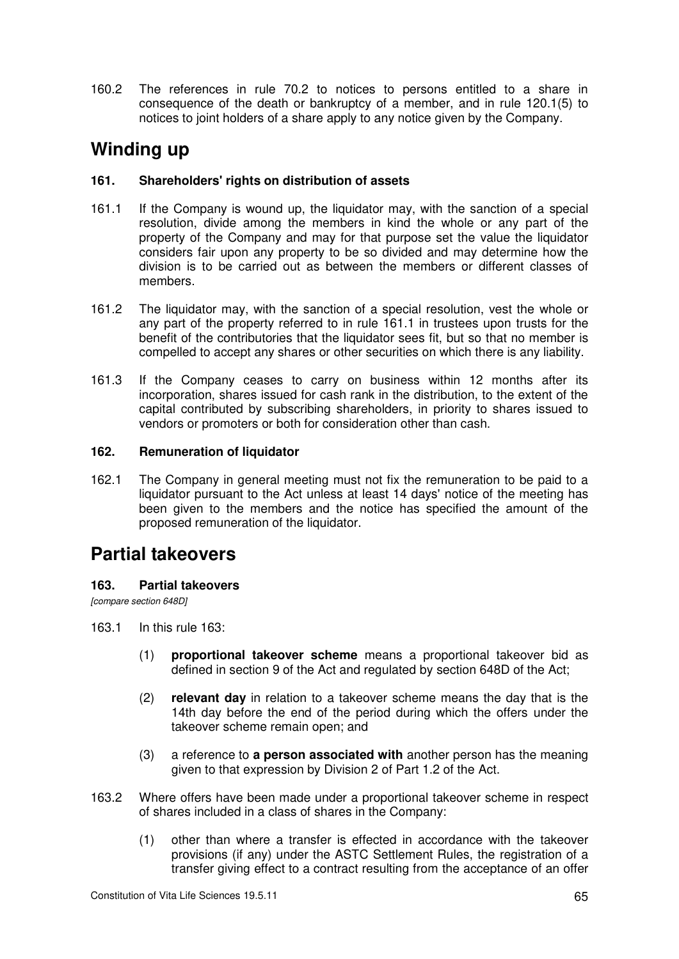160.2 The references in rule 70.2 to notices to persons entitled to a share in consequence of the death or bankruptcy of a member, and in rule 120.1(5) to notices to joint holders of a share apply to any notice given by the Company.

# **Winding up**

# **161. Shareholders' rights on distribution of assets**

- 161.1 If the Company is wound up, the liquidator may, with the sanction of a special resolution, divide among the members in kind the whole or any part of the property of the Company and may for that purpose set the value the liquidator considers fair upon any property to be so divided and may determine how the division is to be carried out as between the members or different classes of members.
- 161.2 The liquidator may, with the sanction of a special resolution, vest the whole or any part of the property referred to in rule 161.1 in trustees upon trusts for the benefit of the contributories that the liquidator sees fit, but so that no member is compelled to accept any shares or other securities on which there is any liability.
- 161.3 If the Company ceases to carry on business within 12 months after its incorporation, shares issued for cash rank in the distribution, to the extent of the capital contributed by subscribing shareholders, in priority to shares issued to vendors or promoters or both for consideration other than cash.

# **162. Remuneration of liquidator**

162.1 The Company in general meeting must not fix the remuneration to be paid to a liquidator pursuant to the Act unless at least 14 days' notice of the meeting has been given to the members and the notice has specified the amount of the proposed remuneration of the liquidator.

# **Partial takeovers**

# **163. Partial takeovers**

*[compare section 648D]* 

- 163.1 In this rule 163:
	- (1) **proportional takeover scheme** means a proportional takeover bid as defined in section 9 of the Act and regulated by section 648D of the Act;
	- (2) **relevant day** in relation to a takeover scheme means the day that is the 14th day before the end of the period during which the offers under the takeover scheme remain open; and
	- (3) a reference to **a person associated with** another person has the meaning given to that expression by Division 2 of Part 1.2 of the Act.
- 163.2 Where offers have been made under a proportional takeover scheme in respect of shares included in a class of shares in the Company:
	- (1) other than where a transfer is effected in accordance with the takeover provisions (if any) under the ASTC Settlement Rules, the registration of a transfer giving effect to a contract resulting from the acceptance of an offer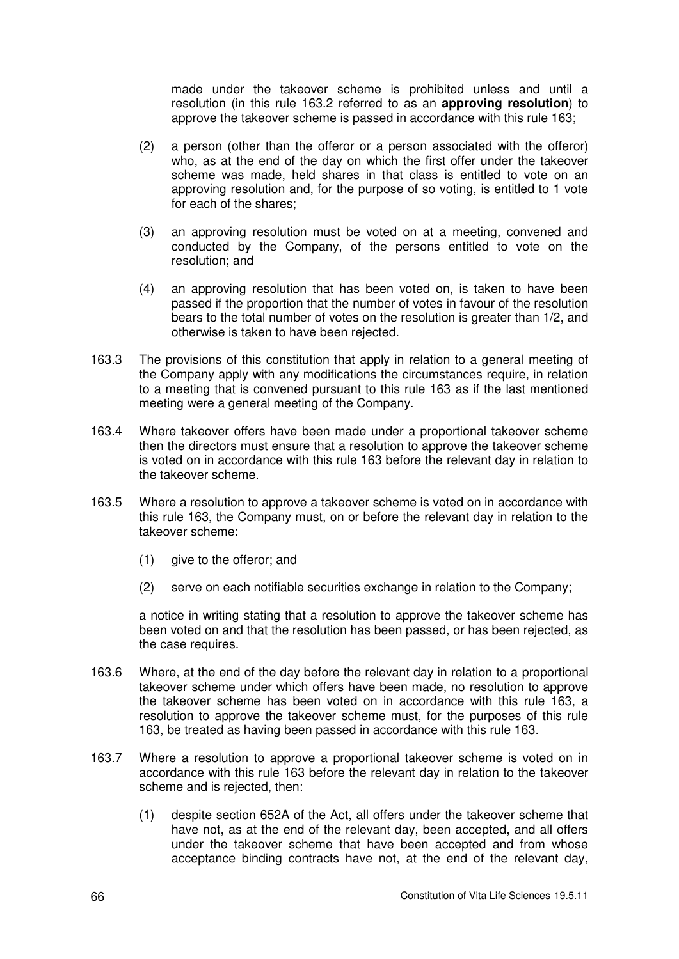made under the takeover scheme is prohibited unless and until a resolution (in this rule 163.2 referred to as an **approving resolution**) to approve the takeover scheme is passed in accordance with this rule 163;

- (2) a person (other than the offeror or a person associated with the offeror) who, as at the end of the day on which the first offer under the takeover scheme was made, held shares in that class is entitled to vote on an approving resolution and, for the purpose of so voting, is entitled to 1 vote for each of the shares;
- (3) an approving resolution must be voted on at a meeting, convened and conducted by the Company, of the persons entitled to vote on the resolution; and
- (4) an approving resolution that has been voted on, is taken to have been passed if the proportion that the number of votes in favour of the resolution bears to the total number of votes on the resolution is greater than 1/2, and otherwise is taken to have been rejected.
- 163.3 The provisions of this constitution that apply in relation to a general meeting of the Company apply with any modifications the circumstances require, in relation to a meeting that is convened pursuant to this rule 163 as if the last mentioned meeting were a general meeting of the Company.
- 163.4 Where takeover offers have been made under a proportional takeover scheme then the directors must ensure that a resolution to approve the takeover scheme is voted on in accordance with this rule 163 before the relevant day in relation to the takeover scheme.
- 163.5 Where a resolution to approve a takeover scheme is voted on in accordance with this rule 163, the Company must, on or before the relevant day in relation to the takeover scheme:
	- (1) give to the offeror; and
	- (2) serve on each notifiable securities exchange in relation to the Company;

a notice in writing stating that a resolution to approve the takeover scheme has been voted on and that the resolution has been passed, or has been rejected, as the case requires.

- 163.6 Where, at the end of the day before the relevant day in relation to a proportional takeover scheme under which offers have been made, no resolution to approve the takeover scheme has been voted on in accordance with this rule 163, a resolution to approve the takeover scheme must, for the purposes of this rule 163, be treated as having been passed in accordance with this rule 163.
- 163.7 Where a resolution to approve a proportional takeover scheme is voted on in accordance with this rule 163 before the relevant day in relation to the takeover scheme and is rejected, then:
	- (1) despite section 652A of the Act, all offers under the takeover scheme that have not, as at the end of the relevant day, been accepted, and all offers under the takeover scheme that have been accepted and from whose acceptance binding contracts have not, at the end of the relevant day,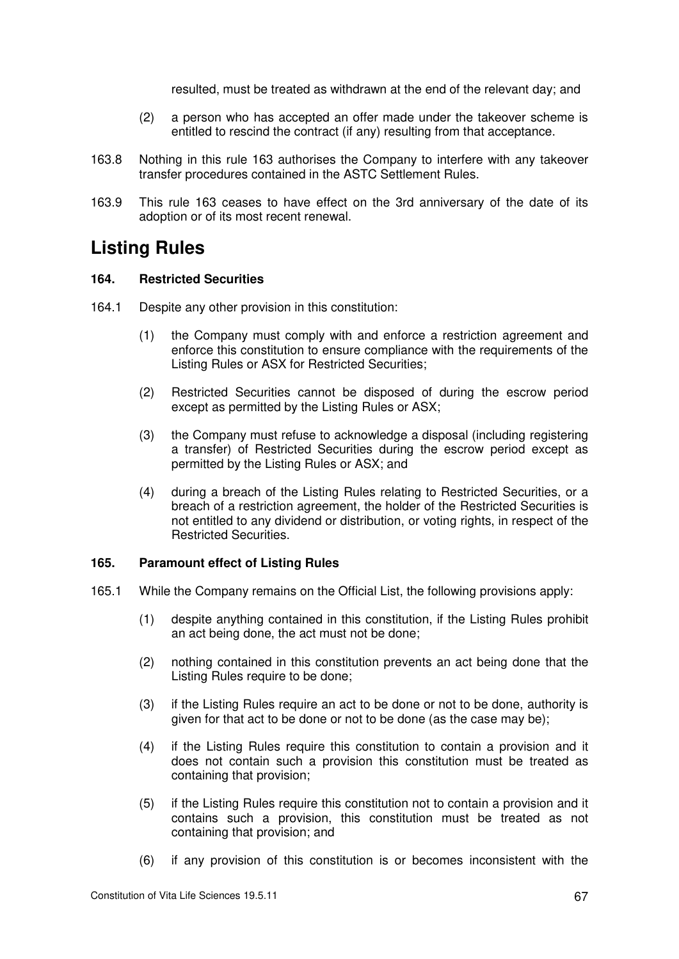resulted, must be treated as withdrawn at the end of the relevant day; and

- (2) a person who has accepted an offer made under the takeover scheme is entitled to rescind the contract (if any) resulting from that acceptance.
- 163.8 Nothing in this rule 163 authorises the Company to interfere with any takeover transfer procedures contained in the ASTC Settlement Rules.
- 163.9 This rule 163 ceases to have effect on the 3rd anniversary of the date of its adoption or of its most recent renewal.

## **Listing Rules**

## **164. Restricted Securities**

- 164.1 Despite any other provision in this constitution:
	- (1) the Company must comply with and enforce a restriction agreement and enforce this constitution to ensure compliance with the requirements of the Listing Rules or ASX for Restricted Securities;
	- (2) Restricted Securities cannot be disposed of during the escrow period except as permitted by the Listing Rules or ASX;
	- (3) the Company must refuse to acknowledge a disposal (including registering a transfer) of Restricted Securities during the escrow period except as permitted by the Listing Rules or ASX; and
	- (4) during a breach of the Listing Rules relating to Restricted Securities, or a breach of a restriction agreement, the holder of the Restricted Securities is not entitled to any dividend or distribution, or voting rights, in respect of the Restricted Securities.

## **165. Paramount effect of Listing Rules**

- 165.1 While the Company remains on the Official List, the following provisions apply:
	- (1) despite anything contained in this constitution, if the Listing Rules prohibit an act being done, the act must not be done;
	- (2) nothing contained in this constitution prevents an act being done that the Listing Rules require to be done;
	- (3) if the Listing Rules require an act to be done or not to be done, authority is given for that act to be done or not to be done (as the case may be);
	- (4) if the Listing Rules require this constitution to contain a provision and it does not contain such a provision this constitution must be treated as containing that provision;
	- (5) if the Listing Rules require this constitution not to contain a provision and it contains such a provision, this constitution must be treated as not containing that provision; and
	- (6) if any provision of this constitution is or becomes inconsistent with the